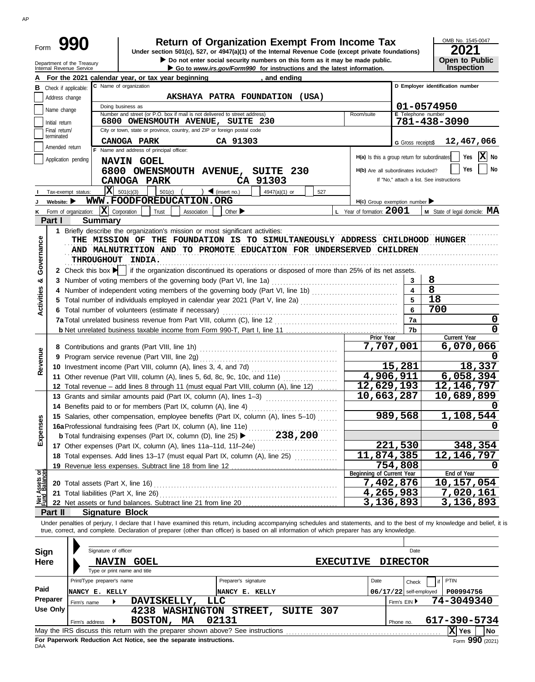| Form |  |
|------|--|

# **990 2021 2010 2016 2021 Dependent Organization Exempt From Income Tax 2021 2021**

▶ Do not enter social security numbers on this form as it may be made public. **Open to Public** 

OMB No. 1545-0047 **Open to Public<br>Inspection** 

| Department of the Treasury | $\blacktriangleright$ Do not enter social security numbers on this form as it may be made publ |
|----------------------------|------------------------------------------------------------------------------------------------|
| Internal Revenue Service   | Go to <i>www.irs.gov/Form990</i> for instructions and the latest information.                  |
|                            |                                                                                                |

|                                |                                | For the 2021 calendar year, or tax year beginning                                                                                                                       | <u>, and ending</u>                                  |                                     |                          |                                                                       |
|--------------------------------|--------------------------------|-------------------------------------------------------------------------------------------------------------------------------------------------------------------------|------------------------------------------------------|-------------------------------------|--------------------------|-----------------------------------------------------------------------|
|                                | <b>B</b> Check if applicable:  | C Name of organization                                                                                                                                                  |                                                      |                                     |                          | D Employer identification number                                      |
|                                | Address change                 |                                                                                                                                                                         | AKSHAYA PATRA FOUNDATION (USA)                       |                                     |                          |                                                                       |
|                                |                                | Doing business as                                                                                                                                                       |                                                      |                                     |                          | 01-0574950                                                            |
|                                | Name change                    | Number and street (or P.O. box if mail is not delivered to street address)                                                                                              |                                                      | Room/suite                          | E Telephone number       |                                                                       |
|                                | Initial return                 | 6800 OWENSMOUTH AVENUE, SUITE 230                                                                                                                                       |                                                      |                                     |                          | 781-438-3090                                                          |
|                                | Final return/                  | City or town, state or province, country, and ZIP or foreign postal code                                                                                                |                                                      |                                     |                          |                                                                       |
|                                | terminated                     | CANOGA PARK                                                                                                                                                             | CA 91303                                             |                                     | G Gross receipts\$       | 12,467,066                                                            |
|                                | Amended return                 | F Name and address of principal officer:                                                                                                                                |                                                      |                                     |                          |                                                                       |
|                                | Application pending            | NAVIN GOEL                                                                                                                                                              |                                                      |                                     |                          | $\mathbf{X}$ No<br>H(a) Is this a group return for subordinates   Yes |
|                                |                                | 6800 OWENSMOUTH AVENUE, SUITE 230                                                                                                                                       |                                                      | H(b) Are all subordinates included? |                          | Yes<br>  No                                                           |
|                                |                                | <b>CANOGA PARK</b>                                                                                                                                                      | CA 91303                                             |                                     |                          | If "No," attach a list. See instructions                              |
|                                |                                |                                                                                                                                                                         |                                                      |                                     |                          |                                                                       |
|                                | Tax-exempt status:             | $ \mathbf{X} $ 501(c)(3)<br>501(c)                                                                                                                                      | $\sum$ (insert no.)<br>4947(a)(1) or<br>527          |                                     |                          |                                                                       |
|                                | Website: $\blacktriangleright$ | WWW.FOODFOREDUCATION.ORG                                                                                                                                                |                                                      | $H(c)$ Group exemption number       |                          |                                                                       |
|                                | K Form of organization:        | $ \mathbf{X} $ Corporation<br>Trust<br>Association                                                                                                                      | Other $\blacktriangleright$                          | L Year of formation: 2001           |                          | M State of legal domicile: MA                                         |
|                                | Part I                         | <b>Summary</b>                                                                                                                                                          |                                                      |                                     |                          |                                                                       |
|                                |                                | 1 Briefly describe the organization's mission or most significant activities:                                                                                           |                                                      |                                     |                          |                                                                       |
|                                |                                | THE MISSION OF THE FOUNDATION IS TO SIMULTANEOUSLY ADDRESS CHILDHOOD HUNGER                                                                                             |                                                      |                                     |                          |                                                                       |
|                                |                                | AND MALNUTRITION AND TO PROMOTE EDUCATION FOR UNDERSERVED CHILDREN                                                                                                      |                                                      |                                     |                          |                                                                       |
|                                |                                | THROUGHOUT INDIA.                                                                                                                                                       |                                                      |                                     |                          |                                                                       |
| Governance                     |                                | 2 Check this box $\blacktriangleright$ if the organization discontinued its operations or disposed of more than 25% of its net assets.                                  |                                                      |                                     |                          |                                                                       |
| න්                             |                                |                                                                                                                                                                         |                                                      |                                     | 3                        | 8                                                                     |
|                                |                                |                                                                                                                                                                         |                                                      |                                     | $\overline{\mathbf{4}}$  | 8                                                                     |
| <b>Activities</b>              |                                | 4 Number of independent voting members of the governing body (Part VI, line 1b)                                                                                         |                                                      |                                     | 5                        | 18                                                                    |
|                                |                                | 5 Total number of individuals employed in calendar year 2021 (Part V, line 2a)                                                                                          |                                                      |                                     |                          |                                                                       |
|                                |                                | 6 Total number of volunteers (estimate if necessary)                                                                                                                    |                                                      |                                     | 6                        | 700                                                                   |
|                                |                                |                                                                                                                                                                         |                                                      |                                     | 7a                       | O                                                                     |
|                                |                                |                                                                                                                                                                         |                                                      |                                     | 7b                       | 0                                                                     |
|                                |                                |                                                                                                                                                                         |                                                      | Prior Year                          |                          | Current Year                                                          |
|                                |                                |                                                                                                                                                                         |                                                      |                                     | 7,707,001                | 6,070,066                                                             |
| Revenue                        |                                | 9 Program service revenue (Part VIII, line 2g)                                                                                                                          |                                                      |                                     |                          |                                                                       |
|                                |                                | 10 Investment income (Part VIII, column (A), lines 3, 4, and 7d)                                                                                                        |                                                      |                                     | 15,281                   | 18,337                                                                |
|                                |                                | 11 Other revenue (Part VIII, column (A), lines 5, 6d, 8c, 9c, 10c, and 11e)                                                                                             |                                                      |                                     | 4,906,911                | 6,058,394                                                             |
|                                |                                | 12 Total revenue – add lines 8 through 11 (must equal Part VIII, column (A), line 12)                                                                                   |                                                      | 12,629,193                          |                          | 12, 146, 797                                                          |
|                                |                                | 13 Grants and similar amounts paid (Part IX, column (A), lines 1-3)                                                                                                     | <u> 1986 - Johann Stoff, Amerikaansk politiker (</u> | 10,663,287                          |                          | 10,689,899                                                            |
|                                |                                | 14 Benefits paid to or for members (Part IX, column (A), line 4)                                                                                                        |                                                      |                                     |                          |                                                                       |
|                                |                                | 15 Salaries, other compensation, employee benefits (Part IX, column (A), lines 5-10)                                                                                    |                                                      |                                     | 989,568                  | 1,108,544                                                             |
|                                |                                | 16a Professional fundraising fees (Part IX, column (A), line 11e)                                                                                                       |                                                      |                                     |                          |                                                                       |
| Expenses                       |                                |                                                                                                                                                                         |                                                      |                                     |                          |                                                                       |
|                                |                                | <b>b</b> Total fundraising expenses (Part IX, column (D), line 25) $\blacktriangleright$                                                                                | 238,200                                              |                                     |                          |                                                                       |
|                                |                                | 17 Other expenses (Part IX, column (A), lines 11a-11d, 11f-24e)                                                                                                         |                                                      |                                     | <u>221,530</u>           | 348,354                                                               |
|                                |                                | 18 Total expenses. Add lines 13-17 (must equal Part IX, column (A), line 25) [                                                                                          |                                                      | 11,874,385                          |                          | 12, 146, 797                                                          |
|                                |                                | 19 Revenue less expenses. Subtract line 18 from line 12                                                                                                                 |                                                      |                                     | 754,808                  | 0                                                                     |
|                                |                                |                                                                                                                                                                         |                                                      | Beginning of Current Year           |                          | End of Year                                                           |
| Net Assets or<br>Fund Balances |                                | 20 Total assets (Part X, line 16)                                                                                                                                       |                                                      |                                     | 7,402,876                | 10,157,054                                                            |
|                                |                                | 21 Total liabilities (Part X, line 26)                                                                                                                                  |                                                      |                                     | 4,265,983                | 7,020,161                                                             |
|                                |                                |                                                                                                                                                                         |                                                      |                                     | 3,136,893                | 3,136,893                                                             |
|                                | Part II                        | <b>Signature Block</b>                                                                                                                                                  |                                                      |                                     |                          |                                                                       |
|                                |                                | Under penalties of perjury, I declare that I have examined this return, including accompanying schedules and statements, and to the best of my knowledge and belief, it |                                                      |                                     |                          |                                                                       |
|                                |                                | true, correct, and complete. Declaration of preparer (other than officer) is based on all information of which preparer has any knowledge.                              |                                                      |                                     |                          |                                                                       |
|                                |                                |                                                                                                                                                                         |                                                      |                                     |                          |                                                                       |
|                                | <b>Sign</b>                    | Signature of officer                                                                                                                                                    |                                                      |                                     | Date                     |                                                                       |
|                                | Here                           | <b>NAVIN</b><br><b>GOEL</b>                                                                                                                                             |                                                      | <b>EXECUTIVE</b>                    | <b>DIRECTOR</b>          |                                                                       |
|                                |                                | Type or print name and title                                                                                                                                            |                                                      |                                     |                          |                                                                       |
|                                |                                | Print/Type preparer's name                                                                                                                                              | Preparer's signature                                 | Date                                | Check                    | <b>PTIN</b><br>if                                                     |
| Paid                           |                                |                                                                                                                                                                         |                                                      |                                     |                          |                                                                       |
|                                | Preparer                       | NANCY E. KELLY                                                                                                                                                          | NANCY E. KELLY                                       |                                     | $06/17/22$ self-employed | P00994756                                                             |
|                                | Firm's name                    | DAVISKELLY,                                                                                                                                                             | LLC                                                  |                                     | Firm's EIN ▶             | 74-3049340                                                            |
|                                | Use Only                       | 4238 WASHINGTON STREET,                                                                                                                                                 | SUITE 307                                            |                                     |                          |                                                                       |
|                                | Firm's address                 | BOSTON,<br>MA                                                                                                                                                           | 02131                                                |                                     | Phone no.                | 617-390-5734                                                          |
|                                |                                |                                                                                                                                                                         |                                                      |                                     |                          | X Yes<br>No                                                           |

| Sign<br><b>Here</b> |                                                                                         | Signature of officer<br><b>NAVIN</b><br>Type or print name and title | <b>GOEL</b>                                                                     |                                    | <b>EXECUTIVE</b> |              | Date<br><b>DIRECTOR</b>  |                           |  |
|---------------------|-----------------------------------------------------------------------------------------|----------------------------------------------------------------------|---------------------------------------------------------------------------------|------------------------------------|------------------|--------------|--------------------------|---------------------------|--|
|                     |                                                                                         | Print/Type preparer's name                                           |                                                                                 | Preparer's signature               |                  | Date         | Check                    | PTIN                      |  |
| Paid                | NANCY E. KELLY                                                                          |                                                                      |                                                                                 | NANCY E. KELLY                     |                  |              | $06/17/22$ self-employed | P00994756                 |  |
| Preparer            | Firm's name                                                                             |                                                                      | DAVISKELLY,                                                                     | LLC                                |                  | Firm's EIN ▶ |                          | 74-3049340                |  |
| Use Only            |                                                                                         |                                                                      | 4238                                                                            | WASHINGTON STREET,<br><b>SUITE</b> | 307              |              |                          |                           |  |
|                     | Firm's address                                                                          |                                                                      | MA<br>BOSTON,                                                                   | 02131                              |                  | Phone no.    |                          | 617-390-5734              |  |
|                     |                                                                                         |                                                                      | May the IRS discuss this return with the preparer shown above? See instructions |                                    |                  |              |                          | ΙXΙ<br>l No<br><b>Yes</b> |  |
| DAA                 | Form $990$ (2021)<br>For Paperwork Reduction Act Notice, see the separate instructions. |                                                                      |                                                                                 |                                    |                  |              |                          |                           |  |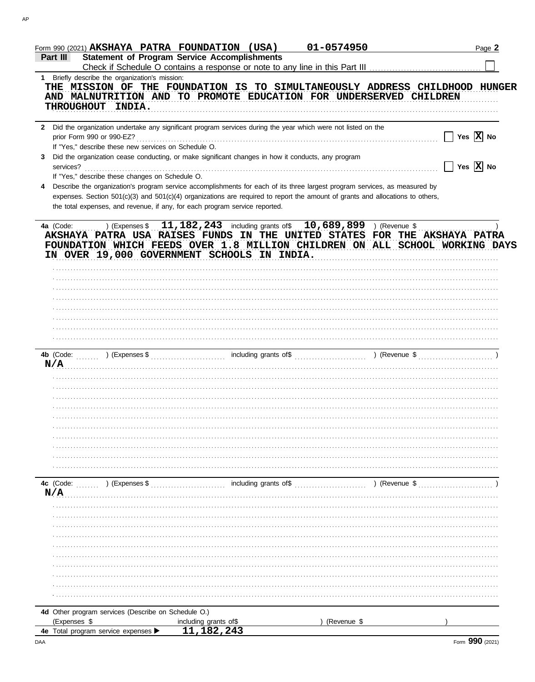| Form 990 (2021) AKSHAYA PATRA FOUNDATION (USA)<br>Part III                                                                                                                                                                                                                                                                                                                                                                                                              | <b>Statement of Program Service Accomplishments</b>                         | 01-0574950                                                                                                                     | Page 2                                                                         |
|-------------------------------------------------------------------------------------------------------------------------------------------------------------------------------------------------------------------------------------------------------------------------------------------------------------------------------------------------------------------------------------------------------------------------------------------------------------------------|-----------------------------------------------------------------------------|--------------------------------------------------------------------------------------------------------------------------------|--------------------------------------------------------------------------------|
| 1 Briefly describe the organization's mission:<br>THE MISSION OF THE FOUNDATION IS TO SIMULTANEOUSLY ADDRESS CHILDHOOD HUNGER<br>AND MALNUTRITION AND TO PROMOTE EDUCATION FOR UNDERSERVED CHILDREN<br>THROUGHOUT INDIA.                                                                                                                                                                                                                                                |                                                                             |                                                                                                                                |                                                                                |
| 2 Did the organization undertake any significant program services during the year which were not listed on the<br>If "Yes," describe these new services on Schedule O.<br>Did the organization cease conducting, or make significant changes in how it conducts, any program<br>3<br>If "Yes," describe these changes on Schedule O.<br>Describe the organization's program service accomplishments for each of its three largest program services, as measured by<br>4 | the total expenses, and revenue, if any, for each program service reported. | expenses. Section 501(c)(3) and 501(c)(4) organizations are required to report the amount of grants and allocations to others, | $\Box$ Yes $\overline{\mathrm{X}}$ No<br>$\Box$ Yes $\overline{\mathrm{X}}$ No |
| 4a (Code: ) (Expenses $$11,182,243$ including grants of $$10,689,899$ ) (Revenue \$<br>AKSHAYA PATRA USA RAISES FUNDS IN THE UNITED STATES FOR THE AKSHAYA PATRA<br>FOUNDATION WHICH FEEDS OVER 1.8 MILLION CHILDREN ON ALL SCHOOL WORKING DAYS<br>IN OVER 19,000 GOVERNMENT SCHOOLS IN INDIA.                                                                                                                                                                          |                                                                             |                                                                                                                                |                                                                                |
| N/A                                                                                                                                                                                                                                                                                                                                                                                                                                                                     |                                                                             |                                                                                                                                |                                                                                |
| 4c (Code: ) (Expenses \$<br>N/A                                                                                                                                                                                                                                                                                                                                                                                                                                         | including grants of \$                                                      | ) (Revenue \$                                                                                                                  |                                                                                |
|                                                                                                                                                                                                                                                                                                                                                                                                                                                                         |                                                                             |                                                                                                                                |                                                                                |
| 4d Other program services (Describe on Schedule O.)<br>(Expenses \$<br>4e Total program service expenses >                                                                                                                                                                                                                                                                                                                                                              | including grants of\$<br>11, 182, 243                                       | (Revenue \$                                                                                                                    |                                                                                |

AP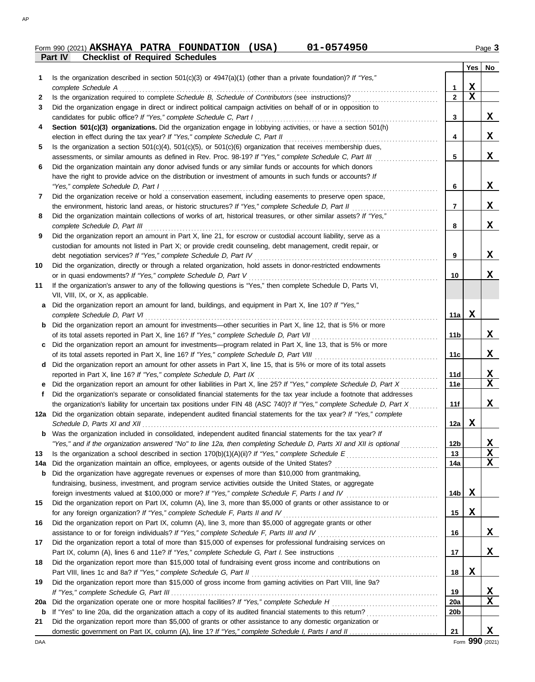## **Part IV Checklist of Required Schedules Form 990 (2021) AKSHAYA PATRA FOUNDATION (USA) 01-0574950** 11-0574950

|          |                                                                                                                                                                                                                                                   |                  | Yes         | No               |
|----------|---------------------------------------------------------------------------------------------------------------------------------------------------------------------------------------------------------------------------------------------------|------------------|-------------|------------------|
| 1        | Is the organization described in section $501(c)(3)$ or $4947(a)(1)$ (other than a private foundation)? If "Yes,"                                                                                                                                 |                  |             |                  |
|          | complete Schedule A                                                                                                                                                                                                                               | 1                | X           |                  |
| 2        | Is the organization required to complete Schedule B, Schedule of Contributors (see instructions)?                                                                                                                                                 | $\mathbf{2}$     | X           |                  |
| 3        | Did the organization engage in direct or indirect political campaign activities on behalf of or in opposition to                                                                                                                                  |                  |             |                  |
|          | candidates for public office? If "Yes," complete Schedule C, Part I                                                                                                                                                                               | 3                |             | x                |
| 4        | Section 501(c)(3) organizations. Did the organization engage in lobbying activities, or have a section 501(h)                                                                                                                                     |                  |             |                  |
|          |                                                                                                                                                                                                                                                   | 4                |             | X                |
| 5        | Is the organization a section $501(c)(4)$ , $501(c)(5)$ , or $501(c)(6)$ organization that receives membership dues,                                                                                                                              |                  |             |                  |
|          | assessments, or similar amounts as defined in Rev. Proc. 98-19? If "Yes," complete Schedule C, Part III                                                                                                                                           | 5                |             | X                |
| 6        | Did the organization maintain any donor advised funds or any similar funds or accounts for which donors                                                                                                                                           |                  |             |                  |
|          | have the right to provide advice on the distribution or investment of amounts in such funds or accounts? If                                                                                                                                       |                  |             | X                |
|          | "Yes," complete Schedule D, Part I<br>Did the organization receive or hold a conservation easement, including easements to preserve open space,                                                                                                   | 6                |             |                  |
| 7        | the environment, historic land areas, or historic structures? If "Yes," complete Schedule D, Part II                                                                                                                                              | 7                |             | X                |
| 8        | Did the organization maintain collections of works of art, historical treasures, or other similar assets? If "Yes,"                                                                                                                               |                  |             |                  |
|          |                                                                                                                                                                                                                                                   | 8                |             | X                |
| 9        | Did the organization report an amount in Part X, line 21, for escrow or custodial account liability, serve as a                                                                                                                                   |                  |             |                  |
|          | custodian for amounts not listed in Part X; or provide credit counseling, debt management, credit repair, or                                                                                                                                      |                  |             |                  |
|          | debt negotiation services? If "Yes," complete Schedule D, Part IV                                                                                                                                                                                 | 9                |             | X                |
| 10       | Did the organization, directly or through a related organization, hold assets in donor-restricted endowments                                                                                                                                      |                  |             |                  |
|          | or in quasi endowments? If "Yes," complete Schedule D, Part V                                                                                                                                                                                     | 10               |             | X                |
| 11       | If the organization's answer to any of the following questions is "Yes," then complete Schedule D, Parts VI,                                                                                                                                      |                  |             |                  |
|          | VII, VIII, IX, or X, as applicable.                                                                                                                                                                                                               |                  |             |                  |
|          | a Did the organization report an amount for land, buildings, and equipment in Part X, line 10? If "Yes,"                                                                                                                                          |                  |             |                  |
|          | complete Schedule D, Part VI                                                                                                                                                                                                                      | 11a              | X           |                  |
|          | <b>b</b> Did the organization report an amount for investments—other securities in Part X, line 12, that is 5% or more                                                                                                                            |                  |             |                  |
|          |                                                                                                                                                                                                                                                   | 11 <sub>b</sub>  |             | X                |
|          | c Did the organization report an amount for investments—program related in Part X, line 13, that is 5% or more                                                                                                                                    |                  |             |                  |
|          |                                                                                                                                                                                                                                                   | 11c              |             | X                |
|          | d Did the organization report an amount for other assets in Part X, line 15, that is 5% or more of its total assets                                                                                                                               |                  |             |                  |
|          |                                                                                                                                                                                                                                                   | 11d              |             | X                |
|          | e Did the organization report an amount for other liabilities in Part X, line 25? If "Yes," complete Schedule D, Part X                                                                                                                           | 11e              |             | X                |
| f        | Did the organization's separate or consolidated financial statements for the tax year include a footnote that addresses<br>the organization's liability for uncertain tax positions under FIN 48 (ASC 740)? If "Yes," complete Schedule D, Part X | 11f              |             | X                |
|          | 12a Did the organization obtain separate, independent audited financial statements for the tax year? If "Yes," complete                                                                                                                           |                  |             |                  |
|          |                                                                                                                                                                                                                                                   | 12a $ $          | X           |                  |
|          | <b>b</b> Was the organization included in consolidated, independent audited financial statements for the tax year? If                                                                                                                             |                  |             |                  |
|          | "Yes," and if the organization answered "No" to line 12a, then completing Schedule D, Parts XI and XII is optional                                                                                                                                | 12 <sub>b</sub>  |             | X                |
| 13       |                                                                                                                                                                                                                                                   | 13               |             | $\mathbf X$      |
| 14a      |                                                                                                                                                                                                                                                   | 14a              |             | $\mathbf X$      |
| b        | Did the organization have aggregate revenues or expenses of more than \$10,000 from grantmaking,                                                                                                                                                  |                  |             |                  |
|          | fundraising, business, investment, and program service activities outside the United States, or aggregate                                                                                                                                         |                  |             |                  |
|          |                                                                                                                                                                                                                                                   | 14b              | X           |                  |
| 15       | Did the organization report on Part IX, column (A), line 3, more than \$5,000 of grants or other assistance to or                                                                                                                                 |                  |             |                  |
|          | for any foreign organization? If "Yes," complete Schedule F, Parts II and IV                                                                                                                                                                      | 15               | $\mathbf X$ |                  |
| 16       | Did the organization report on Part IX, column (A), line 3, more than \$5,000 of aggregate grants or other                                                                                                                                        |                  |             |                  |
|          |                                                                                                                                                                                                                                                   | 16               |             | X                |
| 17       | Did the organization report a total of more than \$15,000 of expenses for professional fundraising services on                                                                                                                                    |                  |             |                  |
|          |                                                                                                                                                                                                                                                   | 17               |             | X                |
| 18       | Did the organization report more than \$15,000 total of fundraising event gross income and contributions on                                                                                                                                       |                  |             |                  |
|          |                                                                                                                                                                                                                                                   | 18               | X           |                  |
| 19       | Did the organization report more than \$15,000 of gross income from gaming activities on Part VIII, line 9a?                                                                                                                                      |                  |             |                  |
|          |                                                                                                                                                                                                                                                   | 19<br><b>20a</b> |             | X<br>$\mathbf X$ |
| 20a<br>b |                                                                                                                                                                                                                                                   | 20b              |             |                  |
| 21       | Did the organization report more than \$5,000 of grants or other assistance to any domestic organization or                                                                                                                                       |                  |             |                  |
|          |                                                                                                                                                                                                                                                   | 21               |             | X                |
|          |                                                                                                                                                                                                                                                   |                  |             |                  |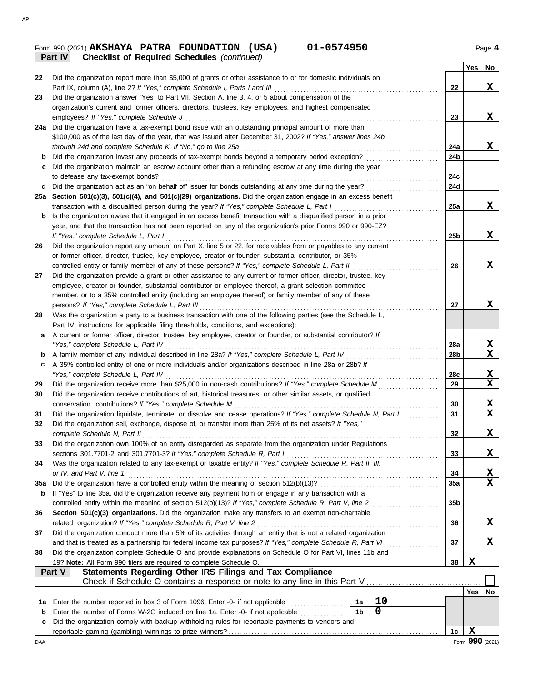### Form 990 (2021) **AKSHAYA PATRA FOUNDATION (USA)** 01-0574950 01-0574950 **Part IV Checklist AKSHAYA PATRA FOUNDATION (USA) 01-0574950**

|       | 01-0574950<br>Form 990 (2021) $AKSHAYA$ PATRA FOUNDATION (USA)                                                |
|-------|---------------------------------------------------------------------------------------------------------------|
|       | <b>Checklist of Required Schedules (continued)</b><br><b>Part IV</b>                                          |
|       |                                                                                                               |
| 22.   | Did the organization report more than \$5,000 of grants or other assistance to or for domestic individuals on |
|       |                                                                                                               |
| 23    | Did the organization answer "Yes" to Part VII, Section A, line 3, 4, or 5 about compensation of the           |
|       | organization's current and former officers, directors, trustees, key employees, and highest compensated       |
|       |                                                                                                               |
| 24a l | Did the organization have a tax-exempt bond issue with an outstanding principal amount of more than           |
|       | \$100,000 as of the last day of the year, that was issued after December 31, 2002? If "Yes," answer lines 24b |
|       |                                                                                                               |
|       |                                                                                                               |
| c     | Did the organization maintain an escrow account other than a refunding escrow at any time during the year     |
|       | to defease any tax-exempt bonds?                                                                              |
| d     | Did the organization act as an "on behalf of" issuer for bonds outstanding at any time during the year?       |
|       |                                                                                                               |

|    | 24a Did the organization have a tax-exempt bond issue with an outstanding principal amount of more than            |                 |            |                                 |
|----|--------------------------------------------------------------------------------------------------------------------|-----------------|------------|---------------------------------|
|    | \$100,000 as of the last day of the year, that was issued after December 31, 2002? If "Yes," answer lines 24b      |                 |            |                                 |
|    | through 24d and complete Schedule K. If "No," go to line 25a                                                       | 24a             |            | X                               |
| b  | Did the organization invest any proceeds of tax-exempt bonds beyond a temporary period exception?                  | 24b             |            |                                 |
| c  | Did the organization maintain an escrow account other than a refunding escrow at any time during the year          |                 |            |                                 |
|    | to defease any tax-exempt bonds?                                                                                   | 24c             |            |                                 |
| d  | Did the organization act as an "on behalf of" issuer for bonds outstanding at any time during the year?            | 24d             |            |                                 |
|    | 25a Section 501(c)(3), 501(c)(4), and 501(c)(29) organizations. Did the organization engage in an excess benefit   |                 |            |                                 |
|    | transaction with a disqualified person during the year? If "Yes," complete Schedule L, Part I                      | 25a             |            | X                               |
| b  | Is the organization aware that it engaged in an excess benefit transaction with a disqualified person in a prior   |                 |            |                                 |
|    | year, and that the transaction has not been reported on any of the organization's prior Forms 990 or 990-EZ?       |                 |            |                                 |
|    | If "Yes," complete Schedule L, Part I                                                                              | 25 <sub>b</sub> |            | X                               |
| 26 | Did the organization report any amount on Part X, line 5 or 22, for receivables from or payables to any current    |                 |            |                                 |
|    | or former officer, director, trustee, key employee, creator or founder, substantial contributor, or 35%            |                 |            |                                 |
|    | controlled entity or family member of any of these persons? If "Yes," complete Schedule L, Part II                 | 26              |            | X                               |
| 27 | Did the organization provide a grant or other assistance to any current or former officer, director, trustee, key  |                 |            |                                 |
|    | employee, creator or founder, substantial contributor or employee thereof, a grant selection committee             |                 |            |                                 |
|    | member, or to a 35% controlled entity (including an employee thereof) or family member of any of these             |                 |            |                                 |
|    | persons? If "Yes," complete Schedule L, Part III                                                                   | 27              |            | x                               |
| 28 | Was the organization a party to a business transaction with one of the following parties (see the Schedule L,      |                 |            |                                 |
|    | Part IV, instructions for applicable filing thresholds, conditions, and exceptions):                               |                 |            |                                 |
| а  | A current or former officer, director, trustee, key employee, creator or founder, or substantial contributor? If   |                 |            |                                 |
|    | "Yes," complete Schedule L, Part IV                                                                                | 28a             |            |                                 |
| b  |                                                                                                                    | 28b             |            | $\frac{\mathbf{X}}{\mathbf{X}}$ |
| c  | A 35% controlled entity of one or more individuals and/or organizations described in line 28a or 28b? If           |                 |            |                                 |
|    | "Yes," complete Schedule L, Part IV                                                                                | 28c             |            |                                 |
| 29 | Did the organization receive more than \$25,000 in non-cash contributions? If "Yes," complete Schedule M           | 29              |            | $\frac{\mathbf{x}}{\mathbf{x}}$ |
| 30 | Did the organization receive contributions of art, historical treasures, or other similar assets, or qualified     |                 |            |                                 |
|    | conservation contributions? If "Yes," complete Schedule M                                                          | 30              |            | $\frac{\mathbf{x}}{\mathbf{x}}$ |
| 31 | Did the organization liquidate, terminate, or dissolve and cease operations? If "Yes," complete Schedule N, Part I | 31              |            |                                 |
| 32 | Did the organization sell, exchange, dispose of, or transfer more than 25% of its net assets? If "Yes,"            |                 |            |                                 |
|    | complete Schedule N, Part II                                                                                       | 32              |            | <u>x</u>                        |
| 33 | Did the organization own 100% of an entity disregarded as separate from the organization under Regulations         |                 |            |                                 |
|    | sections 301.7701-2 and 301.7701-3? If "Yes," complete Schedule R, Part I                                          | 33              |            | X                               |
| 34 | Was the organization related to any tax-exempt or taxable entity? If "Yes," complete Schedule R, Part II, III,     |                 |            |                                 |
|    | or IV, and Part V, line 1                                                                                          | 34              |            | $\frac{\mathbf{X}}{\mathbf{X}}$ |
|    |                                                                                                                    | 35a             |            |                                 |
|    | If "Yes" to line 35a, did the organization receive any payment from or engage in any transaction with a            |                 |            |                                 |
|    | controlled entity within the meaning of section 512(b)(13)? If "Yes," complete Schedule R, Part V, line 2          | 35 <sub>b</sub> |            |                                 |
| 36 | Section 501(c)(3) organizations. Did the organization make any transfers to an exempt non-charitable               |                 |            |                                 |
|    | related organization? If "Yes," complete Schedule R, Part V, line 2                                                | 36              |            | <u>x</u>                        |
| 37 | Did the organization conduct more than 5% of its activities through an entity that is not a related organization   |                 |            |                                 |
|    | and that is treated as a partnership for federal income tax purposes? If "Yes," complete Schedule R, Part VI       | 37              |            | X                               |
| 38 | Did the organization complete Schedule O and provide explanations on Schedule O for Part VI, lines 11b and         |                 |            |                                 |
|    | 19? Note: All Form 990 filers are required to complete Schedule O.                                                 | 38              | X          |                                 |
|    | Statements Regarding Other IRS Filings and Tax Compliance<br><b>Part V</b>                                         |                 |            |                                 |
|    | Check if Schedule O contains a response or note to any line in this Part V                                         |                 |            |                                 |
|    |                                                                                                                    |                 | <b>Yes</b> | No                              |
| 1a | 10<br>Enter the number reported in box 3 of Form 1096. Enter -0- if not applicable<br>1a                           |                 |            |                                 |
| b  | 0<br>Enter the number of Forms W-2G included on line 1a. Enter -0- if not applicable<br>1b                         |                 |            |                                 |
| c  | Did the organization comply with backup withholding rules for reportable payments to vendors and                   |                 |            |                                 |
|    |                                                                                                                    | 1c              | X          |                                 |

**22**

**23**

**Yes No** 

**X**

**X**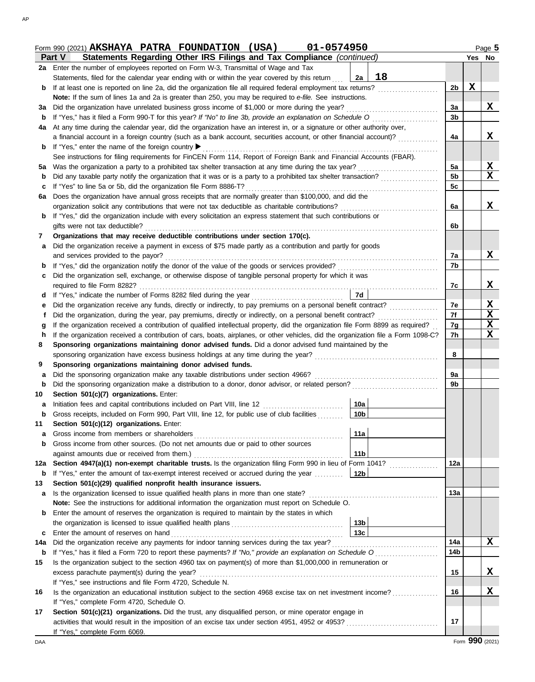|         | 01-0574950<br>Form 990 (2021) AKSHAYA PATRA FOUNDATION (USA)                                                                                                                |                 |                |        | Page 5      |
|---------|-----------------------------------------------------------------------------------------------------------------------------------------------------------------------------|-----------------|----------------|--------|-------------|
|         | Statements Regarding Other IRS Filings and Tax Compliance (continued)<br><b>Part V</b>                                                                                      |                 |                | Yes No |             |
|         | 2a Enter the number of employees reported on Form W-3, Transmittal of Wage and Tax                                                                                          |                 |                |        |             |
|         | Statements, filed for the calendar year ending with or within the year covered by this return                                                                               | 18<br>2a        |                |        |             |
| b       | If at least one is reported on line 2a, did the organization file all required federal employment tax returns?                                                              |                 | 2 <sub>b</sub> | X      |             |
|         | Note: If the sum of lines 1a and 2a is greater than 250, you may be required to e-file. See instructions.                                                                   |                 |                |        |             |
| За      | Did the organization have unrelated business gross income of \$1,000 or more during the year?                                                                               |                 | 3a             |        | X.          |
| b       | If "Yes," has it filed a Form 990-T for this year? If "No" to line 3b, provide an explanation on Schedule O                                                                 |                 | 3 <sub>b</sub> |        |             |
| 4a      | At any time during the calendar year, did the organization have an interest in, or a signature or other authority over,                                                     |                 |                |        |             |
|         | a financial account in a foreign country (such as a bank account, securities account, or other financial account)?                                                          |                 | 4a             |        | X           |
| b       | If "Yes," enter the name of the foreign country ▶                                                                                                                           |                 |                |        |             |
|         | See instructions for filing requirements for FinCEN Form 114, Report of Foreign Bank and Financial Accounts (FBAR).                                                         |                 |                |        |             |
| 5а      |                                                                                                                                                                             |                 | 5a             |        | $\mathbf x$ |
| b       |                                                                                                                                                                             |                 | 5 <sub>b</sub> |        | X           |
| c       | If "Yes" to line 5a or 5b, did the organization file Form 8886-T?                                                                                                           |                 | 5c             |        |             |
| 6a      | Does the organization have annual gross receipts that are normally greater than \$100,000, and did the                                                                      |                 |                |        |             |
|         | organization solicit any contributions that were not tax deductible as charitable contributions?                                                                            |                 | 6a             |        | x           |
| b       | If "Yes," did the organization include with every solicitation an express statement that such contributions or                                                              |                 |                |        |             |
|         | gifts were not tax deductible?                                                                                                                                              |                 | 6b             |        |             |
| 7       | Organizations that may receive deductible contributions under section 170(c).                                                                                               |                 |                |        |             |
| a       | Did the organization receive a payment in excess of \$75 made partly as a contribution and partly for goods                                                                 |                 |                |        |             |
|         | and services provided to the payor?                                                                                                                                         |                 | 7a             |        | X           |
| b       | If "Yes," did the organization notify the donor of the value of the goods or services provided?                                                                             |                 | 7b             |        |             |
| c       | Did the organization sell, exchange, or otherwise dispose of tangible personal property for which it was                                                                    |                 |                |        |             |
|         |                                                                                                                                                                             |                 | 7c             |        | x           |
| d       |                                                                                                                                                                             | 7d              |                |        |             |
| е       | Did the organization receive any funds, directly or indirectly, to pay premiums on a personal benefit contract?                                                             |                 | 7e             |        | x           |
| f       |                                                                                                                                                                             |                 | 7f             |        | X           |
| g       | If the organization received a contribution of qualified intellectual property, did the organization file Form 8899 as required?                                            |                 | 7g             |        | X           |
| h       | If the organization received a contribution of cars, boats, airplanes, or other vehicles, did the organization file a Form 1098-C?                                          |                 | 7h             |        | X           |
| 8       | Sponsoring organizations maintaining donor advised funds. Did a donor advised fund maintained by the                                                                        |                 |                |        |             |
|         |                                                                                                                                                                             |                 | 8              |        |             |
| 9       | Sponsoring organizations maintaining donor advised funds.<br>Did the sponsoring organization make any taxable distributions under section 4966? [[[[[[[[[[[[[[[[[[[[[[[[[[[ |                 | 9a             |        |             |
| a       | Did the sponsoring organization make a distribution to a donor, donor advisor, or related person?                                                                           |                 | 9b             |        |             |
| b<br>10 | Section 501(c)(7) organizations. Enter:                                                                                                                                     |                 |                |        |             |
| a       | Initiation fees and capital contributions included on Part VIII, line 12                                                                                                    | 10a             |                |        |             |
| b       | Gross receipts, included on Form 990, Part VIII, line 12, for public use of club facilities                                                                                 | 10 <sub>b</sub> |                |        |             |
| 11      | Section 501(c)(12) organizations. Enter:                                                                                                                                    |                 |                |        |             |
| a       | Gross income from members or shareholders                                                                                                                                   | 11a             |                |        |             |
| b       | Gross income from other sources. (Do not net amounts due or paid to other sources                                                                                           |                 |                |        |             |
|         | against amounts due or received from them.)                                                                                                                                 | 11 <sub>b</sub> |                |        |             |
| 12a     | Section 4947(a)(1) non-exempt charitable trusts. Is the organization filing Form 990 in lieu of Form 1041?                                                                  |                 | 12a            |        |             |
| b       | If "Yes," enter the amount of tax-exempt interest received or accrued during the year                                                                                       | 12 <sub>b</sub> |                |        |             |
| 13      | Section 501(c)(29) qualified nonprofit health insurance issuers.                                                                                                            |                 |                |        |             |
| а       | Is the organization licensed to issue qualified health plans in more than one state?                                                                                        |                 | 13a            |        |             |
|         | Note: See the instructions for additional information the organization must report on Schedule O.                                                                           |                 |                |        |             |
| b       | Enter the amount of reserves the organization is required to maintain by the states in which                                                                                |                 |                |        |             |
|         |                                                                                                                                                                             | 13 <sub>b</sub> |                |        |             |
| c       | Enter the amount of reserves on hand                                                                                                                                        | 13 <sub>c</sub> |                |        |             |
| 14a     |                                                                                                                                                                             |                 | 14a            |        | x           |
| b       |                                                                                                                                                                             |                 | 14b            |        |             |
| 15      | Is the organization subject to the section 4960 tax on payment(s) of more than \$1,000,000 in remuneration or                                                               |                 |                |        |             |
|         | excess parachute payment(s) during the year?                                                                                                                                |                 | 15             |        | X           |
|         | If "Yes," see instructions and file Form 4720, Schedule N.                                                                                                                  |                 |                |        |             |
| 16      | Is the organization an educational institution subject to the section 4968 excise tax on net investment income?                                                             |                 | 16             |        | X           |
|         | If "Yes," complete Form 4720, Schedule O.                                                                                                                                   |                 |                |        |             |
| 17      | Section 501(c)(21) organizations. Did the trust, any disqualified person, or mine operator engage in                                                                        |                 |                |        |             |
|         |                                                                                                                                                                             |                 | 17             |        |             |
|         | If "Yes," complete Form 6069.                                                                                                                                               |                 |                |        |             |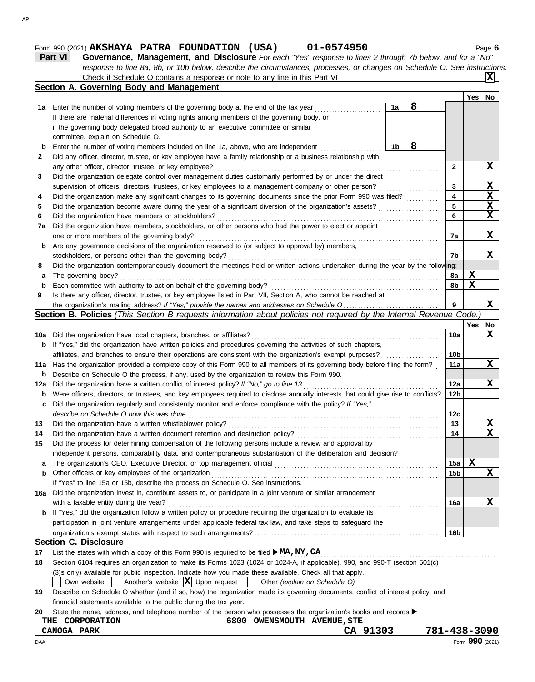## **Form 990 (2021) AKSHAYA PATRA FOUNDATION (USA) 01-0574950** 11-0574950

|--|--|

| Part VI | Governance, Management, and Disclosure For each "Yes" response to lines 2 through 7b below, and for a "No"                |
|---------|---------------------------------------------------------------------------------------------------------------------------|
|         | response to line 8a, 8b, or 10b below, describe the circumstances, processes, or changes on Schedule O. See instructions. |
|         |                                                                                                                           |

|     | Section A. Governing Body and Management                                                                                            |    |   |                 |     |                         |
|-----|-------------------------------------------------------------------------------------------------------------------------------------|----|---|-----------------|-----|-------------------------|
|     |                                                                                                                                     |    |   |                 | Yes | No                      |
|     | 1a Enter the number of voting members of the governing body at the end of the tax year                                              | 1a | 8 |                 |     |                         |
|     | If there are material differences in voting rights among members of the governing body, or                                          |    |   |                 |     |                         |
|     | if the governing body delegated broad authority to an executive committee or similar                                                |    |   |                 |     |                         |
|     | committee, explain on Schedule O.                                                                                                   |    |   |                 |     |                         |
| b   | Enter the number of voting members included on line 1a, above, who are independent                                                  | 1b | 8 |                 |     |                         |
| 2   | Did any officer, director, trustee, or key employee have a family relationship or a business relationship with                      |    |   |                 |     |                         |
|     | any other officer, director, trustee, or key employee?                                                                              |    |   | 2               |     | X                       |
| 3   | Did the organization delegate control over management duties customarily performed by or under the direct                           |    |   |                 |     |                         |
|     | supervision of officers, directors, trustees, or key employees to a management company or other person?                             |    |   | 3               |     | X                       |
| 4   | Did the organization make any significant changes to its governing documents since the prior Form 990 was filed?                    |    |   | 4               |     | $\overline{\mathbf{x}}$ |
| 5   | Did the organization become aware during the year of a significant diversion of the organization's assets?                          |    |   | 5               |     | $\mathbf{x}$            |
| 6   | Did the organization have members or stockholders?                                                                                  |    |   | 6               |     | $\overline{\mathbf{x}}$ |
| 7a  | Did the organization have members, stockholders, or other persons who had the power to elect or appoint                             |    |   |                 |     |                         |
|     | one or more members of the governing body?                                                                                          |    |   | 7a              |     | X                       |
| b   | Are any governance decisions of the organization reserved to (or subject to approval by) members,                                   |    |   |                 |     |                         |
|     | stockholders, or persons other than the governing body?                                                                             |    |   | 7b              |     | X.                      |
| 8   | Did the organization contemporaneously document the meetings held or written actions undertaken during the year by the following:   |    |   |                 |     |                         |
| а   | The governing body?                                                                                                                 |    |   | 8a              | X   |                         |
| b   | Each committee with authority to act on behalf of the governing body?                                                               |    |   | 8b              | X   |                         |
| 9   | Is there any officer, director, trustee, or key employee listed in Part VII, Section A, who cannot be reached at                    |    |   |                 |     |                         |
|     |                                                                                                                                     |    |   | 9               |     | X                       |
|     | Section B. Policies (This Section B requests information about policies not required by the Internal Revenue Code.                  |    |   |                 |     |                         |
|     |                                                                                                                                     |    |   |                 | Yes | No                      |
| 10a | Did the organization have local chapters, branches, or affiliates?                                                                  |    |   | 10a             |     | X                       |
| b   | If "Yes," did the organization have written policies and procedures governing the activities of such chapters,                      |    |   |                 |     |                         |
|     | affiliates, and branches to ensure their operations are consistent with the organization's exempt purposes?                         |    |   | 10 <sub>b</sub> |     |                         |
| 11a | Has the organization provided a complete copy of this Form 990 to all members of its governing body before filing the form?         |    |   | 11a             |     | X                       |
| b   | Describe on Schedule O the process, if any, used by the organization to review this Form 990.                                       |    |   |                 |     |                         |
| 12a | Did the organization have a written conflict of interest policy? If "No," go to line 13                                             |    |   | 12a             |     | X                       |
| b   | Were officers, directors, or trustees, and key employees required to disclose annually interests that could give rise to conflicts? |    |   | 12b             |     |                         |
| c   | Did the organization regularly and consistently monitor and enforce compliance with the policy? If "Yes,"                           |    |   |                 |     |                         |
|     | describe on Schedule O how this was done                                                                                            |    |   | 12c             |     |                         |
| 13  | Did the organization have a written whistleblower policy?                                                                           |    |   | 13              |     | X                       |
| 14  | Did the organization have a written document retention and destruction policy?                                                      |    |   | 14              |     | $\overline{\mathbf{x}}$ |
| 15  | Did the process for determining compensation of the following persons include a review and approval by                              |    |   |                 |     |                         |
|     | independent persons, comparability data, and contemporaneous substantiation of the deliberation and decision?                       |    |   |                 |     |                         |
| a   |                                                                                                                                     |    |   | 15a             | X   |                         |
| b   | Other officers or key employees of the organization                                                                                 |    |   | 15b             |     | X                       |
|     | If "Yes" to line 15a or 15b, describe the process on Schedule O. See instructions.                                                  |    |   |                 |     |                         |
|     | 16a Did the organization invest in, contribute assets to, or participate in a joint venture or similar arrangement                  |    |   |                 |     |                         |
|     | with a taxable entity during the year?                                                                                              |    |   | 16a             |     | X                       |
| b   | If "Yes," did the organization follow a written policy or procedure requiring the organization to evaluate its                      |    |   |                 |     |                         |
|     | participation in joint venture arrangements under applicable federal tax law, and take steps to safeguard the                       |    |   |                 |     |                         |
|     |                                                                                                                                     |    |   | 16 <sub>b</sub> |     |                         |
|     | <b>Section C. Disclosure</b>                                                                                                        |    |   |                 |     |                         |
| 17  | List the states with which a copy of this Form 990 is required to be filed $\blacktriangleright$ MA, NY, CA                         |    |   |                 |     |                         |
| 18  | Section 6104 requires an organization to make its Forms 1023 (1024 or 1024-A, if applicable), 990, and 990-T (section 501(c)        |    |   |                 |     |                         |
|     | (3)s only) available for public inspection. Indicate how you made these available. Check all that apply.                            |    |   |                 |     |                         |

Own website  $\Box$  Another's website  $\boxed{\mathbf{X}}$  Upon request  $\Box$  Other *(explain on Schedule O)* 

**19** Describe on Schedule O whether (and if so, how) the organization made its governing documents, conflict of interest policy, and financial statements available to the public during the tax year.

|  | 20 State the name, address, and telephone number of the person who possesses the organization's books and records |  |  |  |  |  |  |  |  |  |  |  |
|--|-------------------------------------------------------------------------------------------------------------------|--|--|--|--|--|--|--|--|--|--|--|
|--|-------------------------------------------------------------------------------------------------------------------|--|--|--|--|--|--|--|--|--|--|--|

| THE CORPORATION | 6800 OWENSMOUTH AVENUE, STE |  |
|-----------------|-----------------------------|--|
|                 |                             |  |

DAA Form **990** (2021) **CANOGA PARK CA 91303 781-438-3090**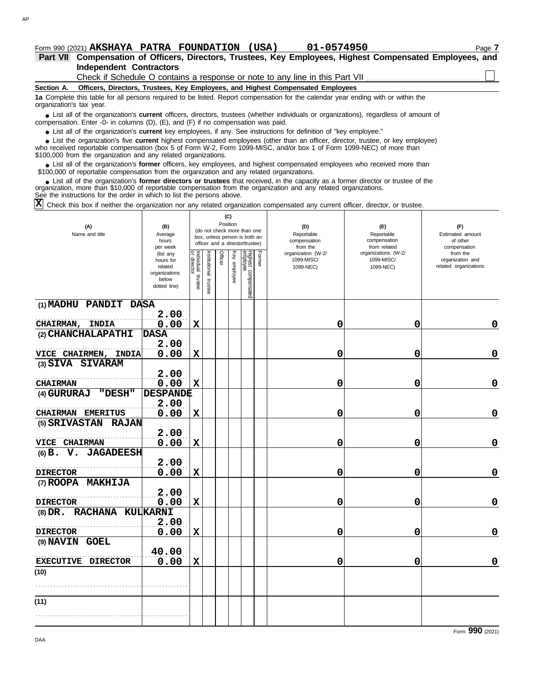**Independent Contractors Part VII Compensation of Officers, Directors, Trustees, Key Employees, Highest Compensated Employees, and**

Check if Schedule O contains a response or note to any line in this Part VII

### **Section A. Officers, Directors, Trustees, Key Employees, and Highest Compensated Employees**

**1a** Complete this table for all persons required to be listed. Report compensation for the calendar year ending with or within the organization's tax year.

■ List all of the organization's **current** officers, directors, trustees (whether individuals or organizations), regardless of amount of the organization Enter -0- in columns (D), (E), and (E) if no compensation was paid compensation. Enter -0- in columns (D), (E), and (F) if no compensation was paid.

● List all of the organization's **current** key employees, if any. See instructions for definition of "key employee."

who received reportable compensation (box 5 of Form W-2, Form 1099-MISC, and/or box 1 of Form 1099-NEC) of more than \$100,000 from the organization and any related organizations. ■ List the organization's five **current** highest compensated employees (other than an officer, director, trustee, or key employee)<br> **•** received reportable compensation (box 5 of Form W-2, Form 1000-MISC, and/or box 1 of

■ List all of the organization's **former** officers, key employees, and highest compensated employees who received more than<br>00,000 of reportable compensation from the organization and any related organizations \$100,000 of reportable compensation from the organization and any related organizations.

■ List all of the organization's **former directors or trustees** that received, in the capacity as a former director or trustee of the<br>enization, more than \$10,000 of reportable compensation from the organization and any r organization, more than \$10,000 of reportable compensation from the organization and any related organizations. See the instructions for the order in which to list the persons above.

Check this box if neither the organization nor any related organization compensated any current officer, director, or trustee. **X**

| (A)<br>Name and title                            | (B)<br>Average<br>hours<br>per week                                         | (C)<br>Position<br>(do not check more than one<br>box, unless person is both an<br>officer and a director/trustee) |                         |         |              |                                 |        | (D)<br>Reportable<br>compensation<br>from the | (E)<br>Reportable<br>compensation<br>from related | (F)<br>Estimated amount<br>of other<br>compensation   |  |
|--------------------------------------------------|-----------------------------------------------------------------------------|--------------------------------------------------------------------------------------------------------------------|-------------------------|---------|--------------|---------------------------------|--------|-----------------------------------------------|---------------------------------------------------|-------------------------------------------------------|--|
|                                                  | (list any<br>hours for<br>related<br>organizations<br>below<br>dotted line) | Individual trustee<br>or director                                                                                  | nstitutional<br>trustee | Officer | Key employee | Highest compensated<br>employee | Former | organization (W-2/<br>1099-MISC/<br>1099-NEC) | organizations (W-2/<br>1099-MISC/<br>1099-NEC)    | from the<br>organization and<br>related organizations |  |
| (1) MADHU PANDIT DASA                            |                                                                             |                                                                                                                    |                         |         |              |                                 |        |                                               |                                                   |                                                       |  |
| <b>CHAIRMAN,</b><br><b>INDIA</b>                 | 2.00<br>0.00                                                                | $\mathbf x$                                                                                                        |                         |         |              |                                 |        | 0                                             | 0                                                 | 0                                                     |  |
| (2) CHANCHALAPATHI                               | <b>DASA</b>                                                                 |                                                                                                                    |                         |         |              |                                 |        |                                               |                                                   |                                                       |  |
| VICE CHAIRMEN, INDIA                             | 2.00<br>0.00                                                                | $\mathbf X$                                                                                                        |                         |         |              |                                 |        | 0                                             | 0                                                 | 0                                                     |  |
| (3) SIVA SIVARAM                                 |                                                                             |                                                                                                                    |                         |         |              |                                 |        |                                               |                                                   |                                                       |  |
| <b>CHAIRMAN</b>                                  | 2.00<br>0.00                                                                | X                                                                                                                  |                         |         |              |                                 |        | 0                                             | 0                                                 | $\mathbf 0$                                           |  |
| "DESH"<br>(4) GURURAJ                            | <b>DESPANDE</b>                                                             |                                                                                                                    |                         |         |              |                                 |        |                                               |                                                   |                                                       |  |
| <b>CHAIRMAN EMERITUS</b>                         | 2.00<br>0.00                                                                | $\mathbf X$                                                                                                        |                         |         |              |                                 |        | 0                                             | 0                                                 | $\mathbf 0$                                           |  |
| (5) SRIVASTAN<br><b>RAJAN</b>                    |                                                                             |                                                                                                                    |                         |         |              |                                 |        |                                               |                                                   |                                                       |  |
| VICE CHAIRMAN                                    | 2.00<br>0.00                                                                | $\mathbf X$                                                                                                        |                         |         |              |                                 |        | 0                                             | 0                                                 | $\mathbf 0$                                           |  |
| V. JAGADEESH<br>$(6)$ B.                         |                                                                             |                                                                                                                    |                         |         |              |                                 |        |                                               |                                                   |                                                       |  |
| <b>DIRECTOR</b>                                  | 2.00<br>0.00                                                                | $\mathbf x$                                                                                                        |                         |         |              |                                 |        | 0                                             | 0                                                 | $\mathbf 0$                                           |  |
| (7) ROOPA MAKHIJA                                |                                                                             |                                                                                                                    |                         |         |              |                                 |        |                                               |                                                   |                                                       |  |
|                                                  | 2.00                                                                        |                                                                                                                    |                         |         |              |                                 |        |                                               |                                                   |                                                       |  |
| <b>DIRECTOR</b><br>RACHANA KULKARNI<br>$(8)$ DR. | 0.00                                                                        | $\mathbf X$                                                                                                        |                         |         |              |                                 |        | 0                                             | 0                                                 | $\mathbf 0$                                           |  |
|                                                  | 2.00                                                                        |                                                                                                                    |                         |         |              |                                 |        |                                               |                                                   |                                                       |  |
| <b>DIRECTOR</b>                                  | 0.00                                                                        | $\mathbf x$                                                                                                        |                         |         |              |                                 |        | 0                                             | 0                                                 | $\mathbf 0$                                           |  |
| (9) NAVIN GOEL                                   |                                                                             |                                                                                                                    |                         |         |              |                                 |        |                                               |                                                   |                                                       |  |
|                                                  | 40.00                                                                       |                                                                                                                    |                         |         |              |                                 |        |                                               |                                                   | 0                                                     |  |
| EXECUTIVE DIRECTOR<br>(10)                       | 0.00                                                                        | $\mathbf x$                                                                                                        |                         |         |              |                                 |        | 0                                             | 0                                                 |                                                       |  |
|                                                  |                                                                             |                                                                                                                    |                         |         |              |                                 |        |                                               |                                                   |                                                       |  |
| (11)                                             |                                                                             |                                                                                                                    |                         |         |              |                                 |        |                                               |                                                   |                                                       |  |
|                                                  |                                                                             |                                                                                                                    |                         |         |              |                                 |        |                                               |                                                   |                                                       |  |
|                                                  |                                                                             |                                                                                                                    |                         |         |              |                                 |        |                                               |                                                   |                                                       |  |

DAA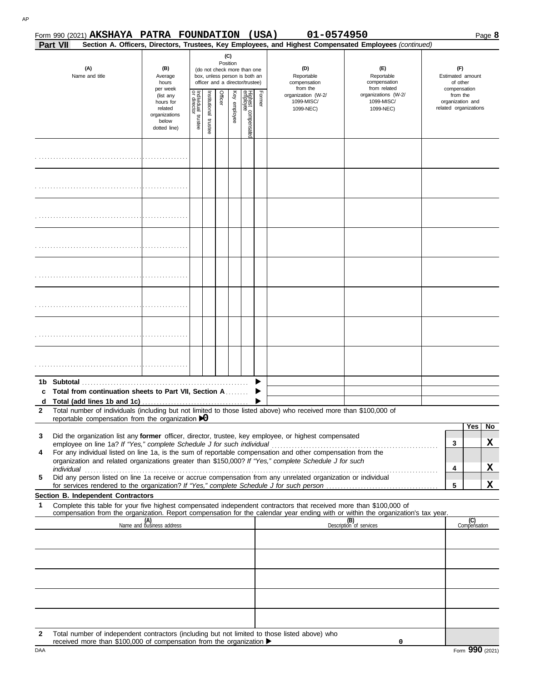| 574050 |  |  |  |
|--------|--|--|--|

|   |                 | Form 990 (2021) AKSHAYA PATRA FOUNDATION                                                                       |                                                                                           |                                   |               |         |                                 |                                                                                                                                    |        | 01-0574950<br>(USA)                                                                                                |                                                                                                                                  |                                                                                                              |                     | Page 8         |
|---|-----------------|----------------------------------------------------------------------------------------------------------------|-------------------------------------------------------------------------------------------|-----------------------------------|---------------|---------|---------------------------------|------------------------------------------------------------------------------------------------------------------------------------|--------|--------------------------------------------------------------------------------------------------------------------|----------------------------------------------------------------------------------------------------------------------------------|--------------------------------------------------------------------------------------------------------------|---------------------|----------------|
|   | <b>Part VII</b> |                                                                                                                |                                                                                           |                                   |               |         |                                 |                                                                                                                                    |        |                                                                                                                    | Section A. Officers, Directors, Trustees, Key Employees, and Highest Compensated Employees (continued)                           |                                                                                                              |                     |                |
|   |                 | (A)<br>Name and title                                                                                          | (B)<br>Average<br>hours<br>per week<br>(list any<br>hours for<br>related<br>organizations | Individual trustee<br>or director | Institutional | Officer | (C)<br>Position<br>Key employee | (do not check more than one<br>box, unless person is both an<br>officer and a director/trustee)<br>Highest compensater<br>employee | Former | (D)<br>Reportable<br>compensation<br>from the<br>organization (W-2/<br>1099-MISC/<br>1099-NEC)                     | (F)<br>Reportable<br>compensation<br>from related<br>organizations (W-2/<br>1099-MISC/<br>1099-NEC)                              | (F)<br>Estimated amount<br>of other<br>compensation<br>from the<br>organization and<br>related organizations |                     |                |
|   |                 |                                                                                                                | below<br>dotted line)                                                                     |                                   | trustee       |         |                                 |                                                                                                                                    |        |                                                                                                                    |                                                                                                                                  |                                                                                                              |                     |                |
|   |                 |                                                                                                                |                                                                                           |                                   |               |         |                                 |                                                                                                                                    |        |                                                                                                                    |                                                                                                                                  |                                                                                                              |                     |                |
|   |                 |                                                                                                                |                                                                                           |                                   |               |         |                                 |                                                                                                                                    |        |                                                                                                                    |                                                                                                                                  |                                                                                                              |                     |                |
|   |                 |                                                                                                                |                                                                                           |                                   |               |         |                                 |                                                                                                                                    |        |                                                                                                                    |                                                                                                                                  |                                                                                                              |                     |                |
|   |                 |                                                                                                                |                                                                                           |                                   |               |         |                                 |                                                                                                                                    |        |                                                                                                                    |                                                                                                                                  |                                                                                                              |                     |                |
|   |                 |                                                                                                                |                                                                                           |                                   |               |         |                                 |                                                                                                                                    |        |                                                                                                                    |                                                                                                                                  |                                                                                                              |                     |                |
|   |                 |                                                                                                                |                                                                                           |                                   |               |         |                                 |                                                                                                                                    |        |                                                                                                                    |                                                                                                                                  |                                                                                                              |                     |                |
|   |                 |                                                                                                                |                                                                                           |                                   |               |         |                                 |                                                                                                                                    |        |                                                                                                                    |                                                                                                                                  |                                                                                                              |                     |                |
|   |                 |                                                                                                                |                                                                                           |                                   |               |         |                                 |                                                                                                                                    |        |                                                                                                                    |                                                                                                                                  |                                                                                                              |                     |                |
|   |                 |                                                                                                                |                                                                                           |                                   |               |         |                                 |                                                                                                                                    |        |                                                                                                                    |                                                                                                                                  |                                                                                                              |                     |                |
|   |                 | 1b Subtotal and the state of the state of the state of the state of the state of the state of the state of the |                                                                                           |                                   |               |         |                                 |                                                                                                                                    |        |                                                                                                                    |                                                                                                                                  |                                                                                                              |                     |                |
|   |                 | Total from continuation sheets to Part VII, Section A                                                          |                                                                                           |                                   |               |         |                                 |                                                                                                                                    |        |                                                                                                                    |                                                                                                                                  |                                                                                                              |                     |                |
|   |                 |                                                                                                                |                                                                                           |                                   |               |         |                                 |                                                                                                                                    |        |                                                                                                                    |                                                                                                                                  |                                                                                                              |                     |                |
| 2 |                 | reportable compensation from the organization $\mathbf{D}$                                                     |                                                                                           |                                   |               |         |                                 |                                                                                                                                    |        | Total number of individuals (including but not limited to those listed above) who received more than \$100,000 of  |                                                                                                                                  |                                                                                                              |                     |                |
|   |                 |                                                                                                                |                                                                                           |                                   |               |         |                                 |                                                                                                                                    |        |                                                                                                                    |                                                                                                                                  |                                                                                                              | Yes                 | N <sub>o</sub> |
| 3 |                 |                                                                                                                |                                                                                           |                                   |               |         |                                 |                                                                                                                                    |        | Did the organization list any former officer, director, trustee, key employee, or highest compensated              |                                                                                                                                  |                                                                                                              |                     |                |
| 4 |                 |                                                                                                                |                                                                                           |                                   |               |         |                                 |                                                                                                                                    |        | For any individual listed on line 1a, is the sum of reportable compensation and other compensation from the        |                                                                                                                                  | 3                                                                                                            |                     | X              |
|   |                 |                                                                                                                |                                                                                           |                                   |               |         |                                 |                                                                                                                                    |        | organization and related organizations greater than \$150,000? If "Yes," complete Schedule J for such              |                                                                                                                                  |                                                                                                              |                     |                |
| 5 |                 |                                                                                                                |                                                                                           |                                   |               |         |                                 |                                                                                                                                    |        | Did any person listed on line 1a receive or accrue compensation from any unrelated organization or individual      |                                                                                                                                  | 4                                                                                                            |                     | X              |
|   |                 |                                                                                                                |                                                                                           |                                   |               |         |                                 |                                                                                                                                    |        |                                                                                                                    |                                                                                                                                  | 5                                                                                                            |                     | X              |
|   |                 | Section B. Independent Contractors                                                                             |                                                                                           |                                   |               |         |                                 |                                                                                                                                    |        |                                                                                                                    |                                                                                                                                  |                                                                                                              |                     |                |
| 1 |                 |                                                                                                                |                                                                                           |                                   |               |         |                                 |                                                                                                                                    |        | Complete this table for your five highest compensated independent contractors that received more than \$100,000 of | compensation from the organization. Report compensation for the calendar year ending with or within the organization's tax year. |                                                                                                              |                     |                |
|   |                 |                                                                                                                | (A)<br>Name and business address                                                          |                                   |               |         |                                 |                                                                                                                                    |        |                                                                                                                    | (B)<br>Description of services                                                                                                   |                                                                                                              | (C)<br>Compensation |                |
|   |                 |                                                                                                                |                                                                                           |                                   |               |         |                                 |                                                                                                                                    |        |                                                                                                                    |                                                                                                                                  |                                                                                                              |                     |                |
|   |                 |                                                                                                                |                                                                                           |                                   |               |         |                                 |                                                                                                                                    |        |                                                                                                                    |                                                                                                                                  |                                                                                                              |                     |                |
|   |                 |                                                                                                                |                                                                                           |                                   |               |         |                                 |                                                                                                                                    |        |                                                                                                                    |                                                                                                                                  |                                                                                                              |                     |                |
|   |                 |                                                                                                                |                                                                                           |                                   |               |         |                                 |                                                                                                                                    |        |                                                                                                                    |                                                                                                                                  |                                                                                                              |                     |                |
|   |                 |                                                                                                                |                                                                                           |                                   |               |         |                                 |                                                                                                                                    |        |                                                                                                                    |                                                                                                                                  |                                                                                                              |                     |                |
|   |                 |                                                                                                                |                                                                                           |                                   |               |         |                                 |                                                                                                                                    |        |                                                                                                                    |                                                                                                                                  |                                                                                                              |                     |                |
|   |                 |                                                                                                                |                                                                                           |                                   |               |         |                                 |                                                                                                                                    |        |                                                                                                                    |                                                                                                                                  |                                                                                                              |                     |                |
|   |                 |                                                                                                                |                                                                                           |                                   |               |         |                                 |                                                                                                                                    |        |                                                                                                                    |                                                                                                                                  |                                                                                                              |                     |                |
| 2 |                 |                                                                                                                |                                                                                           |                                   |               |         |                                 |                                                                                                                                    |        | Total number of independent contractors (including but not limited to those listed above) who                      |                                                                                                                                  |                                                                                                              |                     |                |

**0**

received more than \$100,000 of compensation from the organization  $\blacktriangleright$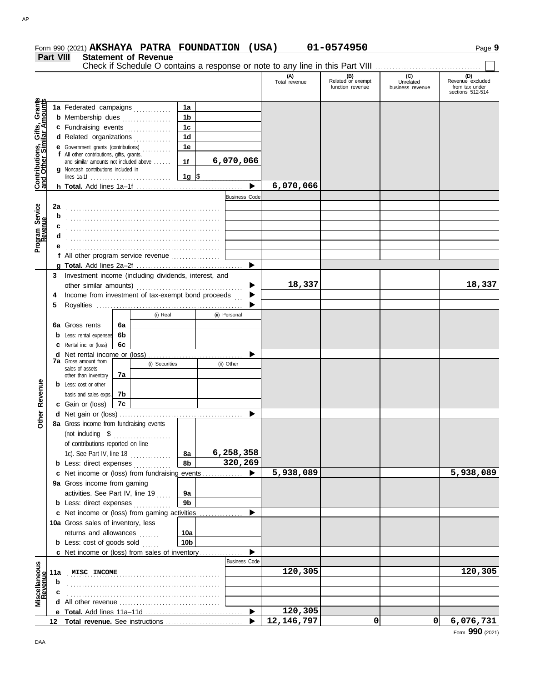|                                                           |     |                                                                                     |                |                 |                       | (A)<br>Total revenue | (B)<br>Related or exempt<br>function revenue | (C)<br>Unrelated<br>business revenue | (D)<br>Revenue excluded<br>from tax under |
|-----------------------------------------------------------|-----|-------------------------------------------------------------------------------------|----------------|-----------------|-----------------------|----------------------|----------------------------------------------|--------------------------------------|-------------------------------------------|
|                                                           |     |                                                                                     |                |                 |                       |                      |                                              |                                      | sections 512-514                          |
| Contributions, Gifts, Grants<br>and Other Similar Amounts |     | 1a Federated campaigns                                                              |                | 1a              |                       |                      |                                              |                                      |                                           |
|                                                           |     | <b>b</b> Membership dues <i>[[[[[[[[[[[[[[[[[[[[[[[[[[[[]]]</i> ]]]                 |                | 1 <sub>b</sub>  |                       |                      |                                              |                                      |                                           |
|                                                           |     | c Fundraising events                                                                |                | 1 <sub>c</sub>  |                       |                      |                                              |                                      |                                           |
|                                                           |     | d Related organizations                                                             |                | 1 <sub>d</sub>  |                       |                      |                                              |                                      |                                           |
|                                                           |     | <b>e</b> Government grants (contributions)                                          |                | 1e              |                       |                      |                                              |                                      |                                           |
|                                                           |     | f All other contributions, gifts, grants,<br>and similar amounts not included above |                | 1f              | 6,070,066             |                      |                                              |                                      |                                           |
|                                                           |     | g Noncash contributions included in                                                 |                |                 |                       |                      |                                              |                                      |                                           |
|                                                           |     |                                                                                     |                | $1g$ \$         |                       |                      |                                              |                                      |                                           |
|                                                           |     |                                                                                     |                |                 | $\blacktriangleright$ | 6,070,066            |                                              |                                      |                                           |
|                                                           |     |                                                                                     |                |                 | <b>Business Code</b>  |                      |                                              |                                      |                                           |
|                                                           | 2a  |                                                                                     |                |                 |                       |                      |                                              |                                      |                                           |
|                                                           | b   |                                                                                     |                |                 |                       |                      |                                              |                                      |                                           |
| Program Service<br>Revenue                                | c   |                                                                                     |                |                 |                       |                      |                                              |                                      |                                           |
|                                                           | d   |                                                                                     |                |                 |                       |                      |                                              |                                      |                                           |
|                                                           |     |                                                                                     |                |                 |                       |                      |                                              |                                      |                                           |
|                                                           |     | f All other program service revenue                                                 |                |                 |                       |                      |                                              |                                      |                                           |
|                                                           |     |                                                                                     |                |                 | ▶                     |                      |                                              |                                      |                                           |
|                                                           | 3   | Investment income (including dividends, interest, and                               |                |                 |                       |                      |                                              |                                      |                                           |
|                                                           |     | other similar amounts)                                                              |                |                 |                       | 18,337               |                                              |                                      | 18,337                                    |
|                                                           | 4   | Income from investment of tax-exempt bond proceeds                                  |                |                 |                       |                      |                                              |                                      |                                           |
|                                                           | 5   |                                                                                     |                |                 |                       |                      |                                              |                                      |                                           |
|                                                           |     |                                                                                     | (i) Real       |                 | (ii) Personal         |                      |                                              |                                      |                                           |
|                                                           |     | 6a Gross rents<br>6a                                                                |                |                 |                       |                      |                                              |                                      |                                           |
|                                                           |     | 6b<br><b>b</b> Less: rental expenses                                                |                |                 |                       |                      |                                              |                                      |                                           |
|                                                           |     | 6c<br><b>c</b> Rental inc. or (loss)                                                |                |                 |                       |                      |                                              |                                      |                                           |
|                                                           |     |                                                                                     |                |                 |                       |                      |                                              |                                      |                                           |
|                                                           |     | <b>7a</b> Gross amount from<br>sales of assets                                      | (i) Securities |                 | (ii) Other            |                      |                                              |                                      |                                           |
|                                                           |     | 7a<br>other than inventory                                                          |                |                 |                       |                      |                                              |                                      |                                           |
| Revenue                                                   |     | <b>b</b> Less: cost or other                                                        |                |                 |                       |                      |                                              |                                      |                                           |
|                                                           |     | basis and sales exps.<br>7b                                                         |                |                 |                       |                      |                                              |                                      |                                           |
|                                                           |     | c Gain or (loss)<br>7c                                                              |                |                 |                       |                      |                                              |                                      |                                           |
| Other                                                     |     |                                                                                     |                |                 |                       |                      |                                              |                                      |                                           |
|                                                           |     | 8a Gross income from fundraising events                                             |                |                 |                       |                      |                                              |                                      |                                           |
|                                                           |     | (not including \$<br>.                                                              |                |                 |                       |                      |                                              |                                      |                                           |
|                                                           |     | of contributions reported on line                                                   |                |                 |                       |                      |                                              |                                      |                                           |
|                                                           |     | 1c). See Part IV, line 18                                                           |                | 8a              | 6,258,358             |                      |                                              |                                      |                                           |
|                                                           |     | <b>b</b> Less: direct expenses                                                      |                | 8b              | 320,269               |                      |                                              |                                      |                                           |
|                                                           |     | c Net income or (loss) from fundraising events                                      |                |                 | ▶                     | 5,938,089            |                                              |                                      | 5,938,089                                 |
|                                                           |     | 9a Gross income from gaming                                                         |                |                 |                       |                      |                                              |                                      |                                           |
|                                                           |     | activities. See Part IV, line 19                                                    |                | 9a              |                       |                      |                                              |                                      |                                           |
|                                                           |     | <b>b</b> Less: direct expenses                                                      |                | 9 <sub>b</sub>  |                       |                      |                                              |                                      |                                           |
|                                                           |     | c Net income or (loss) from gaming activities                                       |                |                 |                       |                      |                                              |                                      |                                           |
|                                                           |     | 10a Gross sales of inventory, less                                                  |                |                 |                       |                      |                                              |                                      |                                           |
|                                                           |     | returns and allowances                                                              |                | 10a             |                       |                      |                                              |                                      |                                           |
|                                                           |     | <b>b</b> Less: cost of goods sold                                                   |                | 10 <sub>b</sub> |                       |                      |                                              |                                      |                                           |
|                                                           |     | c Net income or (loss) from sales of inventory                                      |                |                 |                       |                      |                                              |                                      |                                           |
|                                                           |     |                                                                                     |                |                 | <b>Business Code</b>  |                      |                                              |                                      |                                           |
|                                                           | 11a | MISC INCOME                                                                         |                |                 |                       | 120,305              |                                              |                                      | 120,305                                   |
|                                                           | b   |                                                                                     |                |                 |                       |                      |                                              |                                      |                                           |
| Miscellaneous<br>Revenue                                  |     |                                                                                     |                |                 |                       |                      |                                              |                                      |                                           |
|                                                           |     |                                                                                     |                |                 |                       |                      |                                              |                                      |                                           |
|                                                           |     |                                                                                     |                |                 | $\blacktriangleright$ | 120,305              |                                              |                                      |                                           |
|                                                           |     |                                                                                     |                |                 |                       | 12, 146, 797         | 0                                            | 0                                    | 6,076,731                                 |

**Form 990 (2021) AKSHAYA PATRA FOUNDATION (USA) 01-0574950** 11-0574950

Check if Schedule O contains a response or note to any line in this Part VIII ................................

**Part VIII Statement of Revenue**

Form **990** (2021)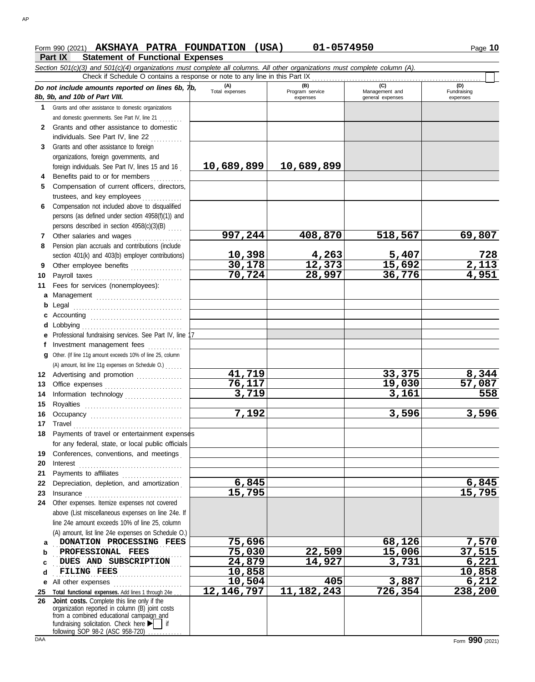## **Form 990 (2021) AKSHAYA PATRA FOUNDATION (USA) 01-0574950** 10

## **Part IX Statement of Functional Expenses**

*Section 501(c)(3) and 501(c)(4) organizations must complete all columns. All other organizations must complete column (A). Do not include amounts reported on lines 6b, 7b, 8b, 9b, and 10b of Part VIII.* **1 2 3** Grants and other assistance to foreign **4** Benefits paid to or for members **........**.. **5** Compensation of current officers, directors, **6** Compensation not included above to disqualified **7** Other salaries and wages **. . . . . . . . . . . .** . . **8 9 10** Payroll taxes ............................... **11 a** Management .............................. **b** Legal **c** Accounting . . . . . . . . . . . . . . . . . . . . . . . . . . . . . . . . **d** Lobbying . . . . . . . . . . . . . . . . . . . . . . . . . . . . . . . . . . . **e** Professional fundraising services. See Part IV, line 17 **f g** Other. (If line 11g amount exceeds 10% of line 25, column **12** Advertising and promotion ............... **13** Office expenses **.......................**... **14 15 16** Occupancy . . . . . . . . . . . . . . . . . . . . . . . . . . . . . . . . **17** Travel . . . . . . . . . . . . . . . . . . . . . . . . . . . . . . . . . . . . . . **18** Payments of travel or entertainment expenses **19** Conferences, conventions, and meetings . **20** Interest . . . . . . . . . . . . . . . . . . . . . . . . . . . . . . . . . . . . **21 22** Depreciation, depletion, and amortization . **23** Insurance . . . . . . . . . . . . . . . . . . . . . . . . . . . . . . . . . . **24** Other expenses. Itemize expenses not covered **a** DONATION PROCESSING FEES 75,696 126,126 7,570 **b c d e** All other expenses . . . . . . . . . . . . . . . . . . . . . . . . **25 Total functional expenses.** Add lines 1 through 24e . . . **26** Grants and other assistance to domestic organizations and domestic governments. See Part IV, line 21 . . . . . . . . Grants and other assistance to domestic individuals. See Part IV, line 22 organizations, foreign governments, and foreign individuals. See Part IV, lines 15 and 16 trustees, and key employees ............... persons (as defined under section 4958(f)(1)) and persons described in section 4958(c)(3)(B) . . . . . Pension plan accruals and contributions (include section 401(k) and 403(b) employer contributions) Other employee benefits .................. Fees for services (nonemployees): . . . . . . . . . . . . . . . . . . . . . . . . . . . . . . . . . . . . . . Investment management fees Information technology . . . . . . . . . . . . . . . . . . . . Royalties . . . . . . . . . . . . . . . . . . . . . . . . . . . . . . . . . . for any federal, state, or local public officials Payments to affiliates ....................... above (List miscellaneous expenses on line 24e. If line 24e amount exceeds 10% of line 25, column (A) amount, list line 24e expenses on Schedule O.) fundraising solicitation. Check here  $\blacktriangleright$  if organization reported in column (B) joint costs from a combined educational campaign and following SOP 98-2 (ASC 958-720) **(A) (B) (C) (C) (D) (D) Total expenses Program service Management and Fundrais** Total expenses<br>
expenses Program service<br>
Program service<br>  $\frac{1}{2}$ <br>  $\frac{1}{2}$ <br>  $\frac{1}{2}$ <br>  $\frac{1}{2}$ <br>  $\frac{1}{2}$ <br>  $\frac{1}{2}$ <br>  $\frac{1}{2}$ <br>  $\frac{1}{2}$ <br>  $\frac{1}{2}$ <br>  $\frac{1}{2}$ <br>  $\frac{1}{2}$ <br>  $\frac{1}{2}$ <br>  $\frac{1}{2}$ <br>  $\frac{1}{2}$ <br>  $\frac{1}{2}$ expenses general expenses Fundraising expenses . . . . . . . . . . . . . . . . . . . . . . . . . . . . . . . . . . . . . . . . . . . . . **PROFESSIONAL FEES 75,030 22,509 15,006 37,515** . . . . . . . . . . . . . . . . . . . . . . . . . . . . . . . . . . . . . . . . . . . . . **DUES AND SUBSCRIPTION 24,879 14,927 3,731 6,221** . . . . . . . . . . . . . . . . . . . . . . . . . . . . . . . . . . . . . . . . . . . . . **FILING FEES 10,858 10,858** Check if Schedule O contains a response or note to any line in this Part IX **Joint costs.** Complete this line only if the (A) amount, list line 11g expenses on Schedule O.) . . . . . . **10,689,899 10,689,899 997,244 408,870 518,567 69,807 10,398 4,263 5,407 728 30,178 12,373 15,692 2,113 70,724 28,997 36,776 4,951 41,719 33,375 8,344 76,117 19,030 57,087 3,719 3,161 558 7,192 3,596 3,596 6,845 6,845 15,795 15,795 10,504 405 3,887 6,212 12,146,797 11,182,243 726,354 238,200**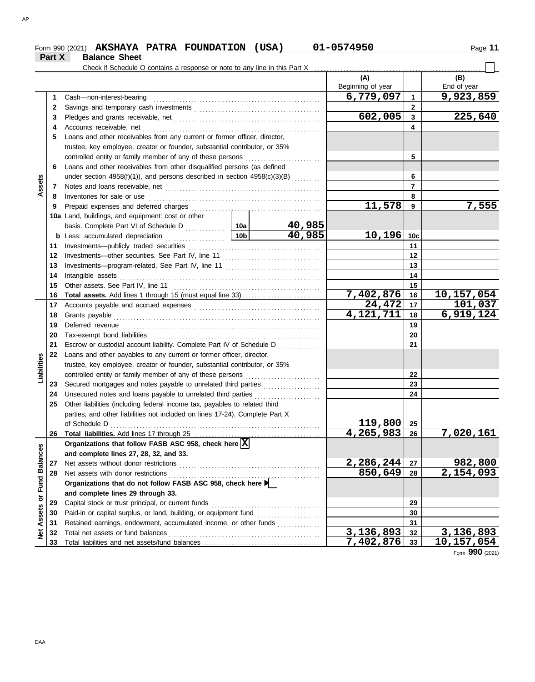### Form 990 (2021) Page **11 AKSHAYA PATRA FOUNDATION (USA) 01-0574950**

|                      | Part X | <b>Balance Sheet</b>                                                                                                                                                                                                          |                                                      |                     |                                  |                              |                    |
|----------------------|--------|-------------------------------------------------------------------------------------------------------------------------------------------------------------------------------------------------------------------------------|------------------------------------------------------|---------------------|----------------------------------|------------------------------|--------------------|
|                      |        | Check if Schedule O contains a response or note to any line in this Part X                                                                                                                                                    |                                                      |                     |                                  |                              |                    |
|                      |        |                                                                                                                                                                                                                               |                                                      |                     | (A)<br>Beginning of year         |                              | (B)<br>End of year |
|                      |        |                                                                                                                                                                                                                               |                                                      |                     | 6,779,097                        |                              | 9,923,859          |
|                      | 1      | Cash-non-interest-bearing                                                                                                                                                                                                     |                                                      |                     |                                  | $\mathbf{1}$                 |                    |
|                      | 2      |                                                                                                                                                                                                                               |                                                      |                     | 602,005                          | $\mathbf{2}$<br>$\mathbf{3}$ | 225,640            |
|                      | 3      |                                                                                                                                                                                                                               |                                                      |                     |                                  | 4                            |                    |
|                      | 4      | Loans and other receivables from any current or former officer, director,                                                                                                                                                     |                                                      |                     |                                  |                              |                    |
|                      | 5      |                                                                                                                                                                                                                               |                                                      |                     |                                  |                              |                    |
|                      |        | trustee, key employee, creator or founder, substantial contributor, or 35%<br>controlled entity or family member of any of these persons                                                                                      |                                                      |                     |                                  | 5                            |                    |
|                      | 6      | Loans and other receivables from other disqualified persons (as defined                                                                                                                                                       |                                                      |                     |                                  |                              |                    |
|                      |        | under section $4958(f)(1)$ ), and persons described in section $4958(c)(3)(B)$                                                                                                                                                |                                                      |                     |                                  | 6                            |                    |
| Assets               | 7      |                                                                                                                                                                                                                               |                                                      |                     |                                  | $\overline{7}$               |                    |
|                      | 8      | Inventories for sale or use                                                                                                                                                                                                   |                                                      |                     |                                  | 8                            |                    |
|                      | 9      |                                                                                                                                                                                                                               |                                                      |                     | 11,578                           | 9                            | 7,555              |
|                      |        | 10a Land, buildings, and equipment: cost or other                                                                                                                                                                             |                                                      |                     |                                  |                              |                    |
|                      |        |                                                                                                                                                                                                                               |                                                      | 40,985              |                                  |                              |                    |
|                      |        | <b>b</b> Less: accumulated depreciation<br>.                                                                                                                                                                                  | 10 <sub>b</sub>                                      | $\overline{40,985}$ | 10,196                           | 10 <sub>c</sub>              |                    |
|                      | 11     |                                                                                                                                                                                                                               |                                                      |                     |                                  | 11                           |                    |
|                      | 12     |                                                                                                                                                                                                                               |                                                      |                     |                                  | 12                           |                    |
|                      | 13     |                                                                                                                                                                                                                               |                                                      |                     |                                  | 13                           |                    |
|                      | 14     | Intangible assets                                                                                                                                                                                                             |                                                      |                     |                                  | 14                           |                    |
|                      | 15     | Other assets. See Part IV, line 11                                                                                                                                                                                            |                                                      |                     |                                  | 15                           |                    |
|                      | 16     |                                                                                                                                                                                                                               |                                                      |                     | 7,402,876                        | 16                           | <u>10,157,054</u>  |
|                      | 17     | Accounts payable and accrued expenses [[11] content and accrued expenses [[11] content and accrued expenses [[11] content and accrued accrued accrued accrued accrued accrued accrued accrued accrued accrued accrued accrued |                                                      |                     | $\overline{24, 472}$             | 17                           | 101,037            |
|                      | 18     | Grants payable                                                                                                                                                                                                                |                                                      |                     | 4,121,711                        | 18                           | 6,919,124          |
|                      | 19     |                                                                                                                                                                                                                               |                                                      |                     | 19                               |                              |                    |
|                      | 20     |                                                                                                                                                                                                                               |                                                      |                     |                                  | 20                           |                    |
|                      | 21     | Escrow or custodial account liability. Complete Part IV of Schedule D <sub>11</sub> ,                                                                                                                                         |                                                      |                     |                                  | 21                           |                    |
|                      | 22     | Loans and other payables to any current or former officer, director,                                                                                                                                                          |                                                      |                     |                                  |                              |                    |
|                      |        | trustee, key employee, creator or founder, substantial contributor, or 35%                                                                                                                                                    |                                                      |                     |                                  |                              |                    |
| Liabilities          |        | controlled entity or family member of any of these persons                                                                                                                                                                    |                                                      |                     |                                  | 22                           |                    |
|                      | 23     | Secured mortgages and notes payable to unrelated third parties                                                                                                                                                                |                                                      |                     |                                  | 23                           |                    |
|                      | 24     | Unsecured notes and loans payable to unrelated third parties                                                                                                                                                                  |                                                      |                     |                                  | 24                           |                    |
|                      | 25     | Other liabilities (including federal income tax, payables to related third                                                                                                                                                    |                                                      |                     |                                  |                              |                    |
|                      |        | parties, and other liabilities not included on lines 17-24). Complete Part X                                                                                                                                                  |                                                      |                     |                                  |                              |                    |
|                      |        | of Schedule D                                                                                                                                                                                                                 |                                                      |                     | $119$ ,800 $\mid$<br>4, 265, 983 | 25                           | 7,020,161          |
|                      | 26     | Organizations that follow FASB ASC 958, check here $\boxed{\mathbf{X}}$                                                                                                                                                       |                                                      |                     |                                  | 26                           |                    |
| <b>Fund Balances</b> |        | and complete lines 27, 28, 32, and 33.                                                                                                                                                                                        |                                                      |                     |                                  |                              |                    |
|                      | 27     | Net assets without donor restrictions                                                                                                                                                                                         |                                                      |                     | 2,286,244                        | 27                           | <u>982,800</u>     |
|                      | 28     | Net assets with donor restrictions                                                                                                                                                                                            |                                                      |                     | 850,649                          | 28                           | 2,154,093          |
|                      |        | Organizations that do not follow FASB ASC 958, check here                                                                                                                                                                     |                                                      |                     |                                  |                              |                    |
|                      |        | and complete lines 29 through 33.                                                                                                                                                                                             |                                                      |                     |                                  |                              |                    |
| ŏ                    | 29     | Capital stock or trust principal, or current funds                                                                                                                                                                            |                                                      |                     | 29                               |                              |                    |
|                      | 30     | Paid-in or capital surplus, or land, building, or equipment fund                                                                                                                                                              | <u> 1986 - Johann Stoff, Amerikaansk politiker (</u> |                     | 30                               |                              |                    |
| Assets               | 31     | Retained earnings, endowment, accumulated income, or other funds                                                                                                                                                              |                                                      |                     |                                  | 31                           |                    |
| Net                  | 32     | Total net assets or fund balances                                                                                                                                                                                             |                                                      |                     | 3,136,893                        | 32                           | 3, 136, 893        |
|                      | 33     |                                                                                                                                                                                                                               |                                                      |                     | <u>7,402,876 33</u>              |                              | <u>10,157,054</u>  |

Form **990** (2021)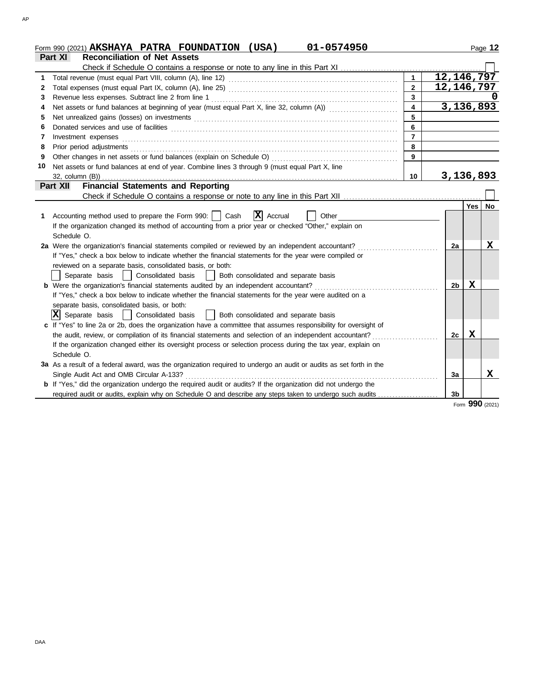|    | 01-0574950<br>(USA)<br>Form 990 (2021) AKSHAYA PATRA FOUNDATION                                                                                                                                                                                                                                                                                                                                                                                                                                                        |                         |                           |     | Page 12         |
|----|------------------------------------------------------------------------------------------------------------------------------------------------------------------------------------------------------------------------------------------------------------------------------------------------------------------------------------------------------------------------------------------------------------------------------------------------------------------------------------------------------------------------|-------------------------|---------------------------|-----|-----------------|
|    | <b>Reconciliation of Net Assets</b><br>Part XI                                                                                                                                                                                                                                                                                                                                                                                                                                                                         |                         |                           |     |                 |
|    | Check if Schedule O contains a response or note to any line in this Part XI                                                                                                                                                                                                                                                                                                                                                                                                                                            |                         |                           |     |                 |
| 1  |                                                                                                                                                                                                                                                                                                                                                                                                                                                                                                                        | $\mathbf{1}$            | 12, 146, 797              |     |                 |
| 2  |                                                                                                                                                                                                                                                                                                                                                                                                                                                                                                                        | $\overline{2}$          | $\overline{12, 146, 797}$ |     |                 |
| 3  | Revenue less expenses. Subtract line 2 from line 1                                                                                                                                                                                                                                                                                                                                                                                                                                                                     | 3                       |                           |     |                 |
| 4  | Net assets or fund balances at beginning of year (must equal Part X, line 32, column (A))                                                                                                                                                                                                                                                                                                                                                                                                                              | $\overline{\mathbf{4}}$ | 3,136,893                 |     |                 |
| 5  |                                                                                                                                                                                                                                                                                                                                                                                                                                                                                                                        | 5                       |                           |     |                 |
| 6  |                                                                                                                                                                                                                                                                                                                                                                                                                                                                                                                        | 6                       |                           |     |                 |
| 7  | $Investment \textit{ expenses} \textit{________} \label{ex:ex:ex:1} \begin{minipage}[c]{0.9\textwidth}{ \begin{minipage}[c]{0.9\textwidth}{ \begin{minipage}[c]{0.9\textwidth}{ \begin{minipage}[c]{0.9\textwidth}{ \begin{minipage}[c]{0.9\textwidth}{ \begin{minipage}[c]{0.9\textwidth}{ \begin{minipage}[c]{0.9\textwidth}{ \begin{minipage}[c]{0.9\textwidth}{ \begin{minipage}[c]{0.9\textwidth}{ \begin{minipage}[c]{0.9\textwidth}{ \begin{minipage}[c]{0.9\textwidth}{ \begin{minipage}[c]{0.9\textwidth}{ \$ | $\overline{7}$          |                           |     |                 |
| 8  | Prior period adjustments [11, 12] and the contract of the contract of the contract of the contract of the contract of the contract of the contract of the contract of the contract of the contract of the contract of the cont                                                                                                                                                                                                                                                                                         | 8                       |                           |     |                 |
| 9  |                                                                                                                                                                                                                                                                                                                                                                                                                                                                                                                        | 9                       |                           |     |                 |
| 10 | Net assets or fund balances at end of year. Combine lines 3 through 9 (must equal Part X, line                                                                                                                                                                                                                                                                                                                                                                                                                         |                         |                           |     |                 |
|    | 32, column (B))                                                                                                                                                                                                                                                                                                                                                                                                                                                                                                        | 10                      | <u>3,136,893</u>          |     |                 |
|    | <b>Financial Statements and Reporting</b><br><b>Part XII</b>                                                                                                                                                                                                                                                                                                                                                                                                                                                           |                         |                           |     |                 |
|    |                                                                                                                                                                                                                                                                                                                                                                                                                                                                                                                        |                         |                           |     |                 |
|    |                                                                                                                                                                                                                                                                                                                                                                                                                                                                                                                        |                         |                           | Yes | <b>No</b>       |
| 1. | $\overline{\mathbf{X}}$ Accrual<br>Accounting method used to prepare the Form 990:     Cash<br>Other                                                                                                                                                                                                                                                                                                                                                                                                                   |                         |                           |     |                 |
|    | If the organization changed its method of accounting from a prior year or checked "Other," explain on                                                                                                                                                                                                                                                                                                                                                                                                                  |                         |                           |     |                 |
|    | Schedule O.                                                                                                                                                                                                                                                                                                                                                                                                                                                                                                            |                         |                           |     |                 |
|    | 2a Were the organization's financial statements compiled or reviewed by an independent accountant?                                                                                                                                                                                                                                                                                                                                                                                                                     |                         | 2a                        |     | x               |
|    | If "Yes," check a box below to indicate whether the financial statements for the year were compiled or                                                                                                                                                                                                                                                                                                                                                                                                                 |                         |                           |     |                 |
|    | reviewed on a separate basis, consolidated basis, or both:                                                                                                                                                                                                                                                                                                                                                                                                                                                             |                         |                           |     |                 |
|    | Consolidated basis<br>Both consolidated and separate basis<br>Separate basis<br>$\sim$ 1.0 $\pm$                                                                                                                                                                                                                                                                                                                                                                                                                       |                         |                           |     |                 |
|    | <b>b</b> Were the organization's financial statements audited by an independent accountant?                                                                                                                                                                                                                                                                                                                                                                                                                            |                         | 2b                        | X   |                 |
|    | If "Yes," check a box below to indicate whether the financial statements for the year were audited on a                                                                                                                                                                                                                                                                                                                                                                                                                |                         |                           |     |                 |
|    | separate basis, consolidated basis, or both:                                                                                                                                                                                                                                                                                                                                                                                                                                                                           |                         |                           |     |                 |
|    | $ \mathbf{X} $ Separate basis<br>Both consolidated and separate basis<br>  Consolidated basis                                                                                                                                                                                                                                                                                                                                                                                                                          |                         |                           |     |                 |
|    | c If "Yes" to line 2a or 2b, does the organization have a committee that assumes responsibility for oversight of                                                                                                                                                                                                                                                                                                                                                                                                       |                         |                           |     |                 |
|    | the audit, review, or compilation of its financial statements and selection of an independent accountant?                                                                                                                                                                                                                                                                                                                                                                                                              |                         | 2с                        | X   |                 |
|    | If the organization changed either its oversight process or selection process during the tax year, explain on                                                                                                                                                                                                                                                                                                                                                                                                          |                         |                           |     |                 |
|    | Schedule O.                                                                                                                                                                                                                                                                                                                                                                                                                                                                                                            |                         |                           |     |                 |
|    | 3a As a result of a federal award, was the organization required to undergo an audit or audits as set forth in the                                                                                                                                                                                                                                                                                                                                                                                                     |                         |                           |     |                 |
|    | Single Audit Act and OMB Circular A-133?                                                                                                                                                                                                                                                                                                                                                                                                                                                                               |                         | 3a                        |     | x               |
|    | b If "Yes," did the organization undergo the required audit or audits? If the organization did not undergo the                                                                                                                                                                                                                                                                                                                                                                                                         |                         |                           |     |                 |
|    | required audit or audits, explain why on Schedule O and describe any steps taken to undergo such audits                                                                                                                                                                                                                                                                                                                                                                                                                |                         | 3b                        |     |                 |
|    |                                                                                                                                                                                                                                                                                                                                                                                                                                                                                                                        |                         |                           |     | Form 990 (2021) |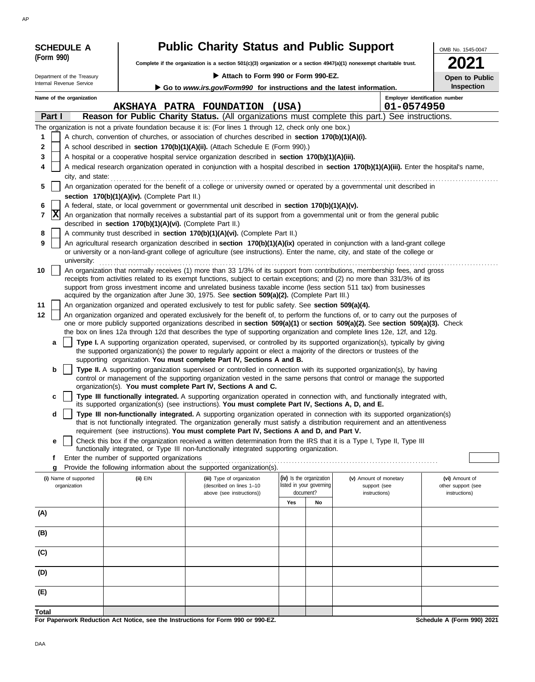|                                                 | <b>SCHEDULE A</b>                              |                                                                                                             | <b>Public Charity Status and Public Support</b>                                                                                                                                                                                                                                                                                                                                                                                                                                                                                                                                             |       |                                                                         |                                                                                                                                                                                                                                                                                                                                                                                                                                                                                                                                                                                                                                                                                                                                                                                                                                                                                                                                                                                                                                                                                                                                                                                                                                                                                                                                                                                                                                                                                                                                                         | OMB No. 1545-0047                                     |
|-------------------------------------------------|------------------------------------------------|-------------------------------------------------------------------------------------------------------------|---------------------------------------------------------------------------------------------------------------------------------------------------------------------------------------------------------------------------------------------------------------------------------------------------------------------------------------------------------------------------------------------------------------------------------------------------------------------------------------------------------------------------------------------------------------------------------------------|-------|-------------------------------------------------------------------------|---------------------------------------------------------------------------------------------------------------------------------------------------------------------------------------------------------------------------------------------------------------------------------------------------------------------------------------------------------------------------------------------------------------------------------------------------------------------------------------------------------------------------------------------------------------------------------------------------------------------------------------------------------------------------------------------------------------------------------------------------------------------------------------------------------------------------------------------------------------------------------------------------------------------------------------------------------------------------------------------------------------------------------------------------------------------------------------------------------------------------------------------------------------------------------------------------------------------------------------------------------------------------------------------------------------------------------------------------------------------------------------------------------------------------------------------------------------------------------------------------------------------------------------------------------|-------------------------------------------------------|
|                                                 | (Form 990)                                     |                                                                                                             |                                                                                                                                                                                                                                                                                                                                                                                                                                                                                                                                                                                             |       |                                                                         | Complete if the organization is a section 501(c)(3) organization or a section 4947(a)(1) nonexempt charitable trust.                                                                                                                                                                                                                                                                                                                                                                                                                                                                                                                                                                                                                                                                                                                                                                                                                                                                                                                                                                                                                                                                                                                                                                                                                                                                                                                                                                                                                                    | 2021                                                  |
|                                                 | Department of the Treasury                     |                                                                                                             | Attach to Form 990 or Form 990-EZ.                                                                                                                                                                                                                                                                                                                                                                                                                                                                                                                                                          |       |                                                                         |                                                                                                                                                                                                                                                                                                                                                                                                                                                                                                                                                                                                                                                                                                                                                                                                                                                                                                                                                                                                                                                                                                                                                                                                                                                                                                                                                                                                                                                                                                                                                         | Open to Public                                        |
|                                                 | Internal Revenue Service                       |                                                                                                             | Go to www.irs.gov/Form990 for instructions and the latest information.                                                                                                                                                                                                                                                                                                                                                                                                                                                                                                                      |       |                                                                         |                                                                                                                                                                                                                                                                                                                                                                                                                                                                                                                                                                                                                                                                                                                                                                                                                                                                                                                                                                                                                                                                                                                                                                                                                                                                                                                                                                                                                                                                                                                                                         | Inspection                                            |
|                                                 | Name of the organization                       |                                                                                                             |                                                                                                                                                                                                                                                                                                                                                                                                                                                                                                                                                                                             |       |                                                                         |                                                                                                                                                                                                                                                                                                                                                                                                                                                                                                                                                                                                                                                                                                                                                                                                                                                                                                                                                                                                                                                                                                                                                                                                                                                                                                                                                                                                                                                                                                                                                         | Employer identification number                        |
|                                                 |                                                |                                                                                                             | AKSHAYA PATRA FOUNDATION                                                                                                                                                                                                                                                                                                                                                                                                                                                                                                                                                                    | (USA) |                                                                         | 01-0574950                                                                                                                                                                                                                                                                                                                                                                                                                                                                                                                                                                                                                                                                                                                                                                                                                                                                                                                                                                                                                                                                                                                                                                                                                                                                                                                                                                                                                                                                                                                                              |                                                       |
|                                                 | Part I                                         |                                                                                                             |                                                                                                                                                                                                                                                                                                                                                                                                                                                                                                                                                                                             |       |                                                                         | Reason for Public Charity Status. (All organizations must complete this part.) See instructions.                                                                                                                                                                                                                                                                                                                                                                                                                                                                                                                                                                                                                                                                                                                                                                                                                                                                                                                                                                                                                                                                                                                                                                                                                                                                                                                                                                                                                                                        |                                                       |
| 1<br>2<br>3<br>4<br>5<br>6<br>7<br>8<br>9<br>10 | city, and state:<br>$ {\bf x} $<br>university: | section 170(b)(1)(A)(iv). (Complete Part II.)<br>described in section 170(b)(1)(A)(vi). (Complete Part II.) | The organization is not a private foundation because it is: (For lines 1 through 12, check only one box.)<br>A church, convention of churches, or association of churches described in section 170(b)(1)(A)(i).<br>A school described in section 170(b)(1)(A)(ii). (Attach Schedule E (Form 990).)<br>A hospital or a cooperative hospital service organization described in section 170(b)(1)(A)(iii).<br>A federal, state, or local government or governmental unit described in section 170(b)(1)(A)(v).<br>A community trust described in section 170(b)(1)(A)(vi). (Complete Part II.) |       |                                                                         | A medical research organization operated in conjunction with a hospital described in section 170(b)(1)(A)(iii). Enter the hospital's name,<br>An organization operated for the benefit of a college or university owned or operated by a governmental unit described in<br>An organization that normally receives a substantial part of its support from a governmental unit or from the general public<br>An agricultural research organization described in section 170(b)(1)(A)(ix) operated in conjunction with a land-grant college<br>or university or a non-land-grant college of agriculture (see instructions). Enter the name, city, and state of the college or<br>An organization that normally receives (1) more than 33 1/3% of its support from contributions, membership fees, and gross<br>receipts from activities related to its exempt functions, subject to certain exceptions; and (2) no more than 331/3% of its                                                                                                                                                                                                                                                                                                                                                                                                                                                                                                                                                                                                                 |                                                       |
| 11<br>12                                        | a<br>b<br>с<br>d<br>е                          |                                                                                                             | acquired by the organization after June 30, 1975. See section 509(a)(2). (Complete Part III.)<br>An organization organized and operated exclusively to test for public safety. See section 509(a)(4).<br>supporting organization. You must complete Part IV, Sections A and B.<br>organization(s). You must complete Part IV, Sections A and C.<br>its supported organization(s) (see instructions). You must complete Part IV, Sections A, D, and E.<br>requirement (see instructions). You must complete Part IV, Sections A and D, and Part V.                                           |       |                                                                         | support from gross investment income and unrelated business taxable income (less section 511 tax) from businesses<br>An organization organized and operated exclusively for the benefit of, to perform the functions of, or to carry out the purposes of<br>one or more publicly supported organizations described in section 509(a)(1) or section 509(a)(2). See section 509(a)(3). Check<br>the box on lines 12a through 12d that describes the type of supporting organization and complete lines 12e, 12f, and 12g.<br>Type I. A supporting organization operated, supervised, or controlled by its supported organization(s), typically by giving<br>the supported organization(s) the power to regularly appoint or elect a majority of the directors or trustees of the<br>Type II. A supporting organization supervised or controlled in connection with its supported organization(s), by having<br>control or management of the supporting organization vested in the same persons that control or manage the supported<br>Type III functionally integrated. A supporting organization operated in connection with, and functionally integrated with,<br>Type III non-functionally integrated. A supporting organization operated in connection with its supported organization(s)<br>that is not functionally integrated. The organization generally must satisfy a distribution requirement and an attentiveness<br>Check this box if the organization received a written determination from the IRS that it is a Type I, Type II, Type III |                                                       |
|                                                 | f                                              | Enter the number of supported organizations                                                                 | functionally integrated, or Type III non-functionally integrated supporting organization.                                                                                                                                                                                                                                                                                                                                                                                                                                                                                                   |       |                                                                         |                                                                                                                                                                                                                                                                                                                                                                                                                                                                                                                                                                                                                                                                                                                                                                                                                                                                                                                                                                                                                                                                                                                                                                                                                                                                                                                                                                                                                                                                                                                                                         |                                                       |
|                                                 | g                                              |                                                                                                             | Provide the following information about the supported organization(s).                                                                                                                                                                                                                                                                                                                                                                                                                                                                                                                      |       |                                                                         |                                                                                                                                                                                                                                                                                                                                                                                                                                                                                                                                                                                                                                                                                                                                                                                                                                                                                                                                                                                                                                                                                                                                                                                                                                                                                                                                                                                                                                                                                                                                                         |                                                       |
|                                                 | (i) Name of supported<br>organization          | (ii) EIN                                                                                                    | (iii) Type of organization<br>(described on lines 1-10<br>above (see instructions))                                                                                                                                                                                                                                                                                                                                                                                                                                                                                                         | Yes   | (iv) Is the organization<br>listed in your governing<br>document?<br>No | (v) Amount of monetary<br>support (see<br>instructions)                                                                                                                                                                                                                                                                                                                                                                                                                                                                                                                                                                                                                                                                                                                                                                                                                                                                                                                                                                                                                                                                                                                                                                                                                                                                                                                                                                                                                                                                                                 | (vi) Amount of<br>other support (see<br>instructions) |
| (A)                                             |                                                |                                                                                                             |                                                                                                                                                                                                                                                                                                                                                                                                                                                                                                                                                                                             |       |                                                                         |                                                                                                                                                                                                                                                                                                                                                                                                                                                                                                                                                                                                                                                                                                                                                                                                                                                                                                                                                                                                                                                                                                                                                                                                                                                                                                                                                                                                                                                                                                                                                         |                                                       |
| (B)                                             |                                                |                                                                                                             |                                                                                                                                                                                                                                                                                                                                                                                                                                                                                                                                                                                             |       |                                                                         |                                                                                                                                                                                                                                                                                                                                                                                                                                                                                                                                                                                                                                                                                                                                                                                                                                                                                                                                                                                                                                                                                                                                                                                                                                                                                                                                                                                                                                                                                                                                                         |                                                       |
| (C)                                             |                                                |                                                                                                             |                                                                                                                                                                                                                                                                                                                                                                                                                                                                                                                                                                                             |       |                                                                         |                                                                                                                                                                                                                                                                                                                                                                                                                                                                                                                                                                                                                                                                                                                                                                                                                                                                                                                                                                                                                                                                                                                                                                                                                                                                                                                                                                                                                                                                                                                                                         |                                                       |
| (D)                                             |                                                |                                                                                                             |                                                                                                                                                                                                                                                                                                                                                                                                                                                                                                                                                                                             |       |                                                                         |                                                                                                                                                                                                                                                                                                                                                                                                                                                                                                                                                                                                                                                                                                                                                                                                                                                                                                                                                                                                                                                                                                                                                                                                                                                                                                                                                                                                                                                                                                                                                         |                                                       |
| (E)                                             |                                                |                                                                                                             |                                                                                                                                                                                                                                                                                                                                                                                                                                                                                                                                                                                             |       |                                                                         |                                                                                                                                                                                                                                                                                                                                                                                                                                                                                                                                                                                                                                                                                                                                                                                                                                                                                                                                                                                                                                                                                                                                                                                                                                                                                                                                                                                                                                                                                                                                                         |                                                       |
| Total                                           |                                                |                                                                                                             | For Paperwork Reduction Act Notice, see the Instructions for Form 990 or 990-EZ.                                                                                                                                                                                                                                                                                                                                                                                                                                                                                                            |       |                                                                         |                                                                                                                                                                                                                                                                                                                                                                                                                                                                                                                                                                                                                                                                                                                                                                                                                                                                                                                                                                                                                                                                                                                                                                                                                                                                                                                                                                                                                                                                                                                                                         | Schedule A (Form 990) 2021                            |

AP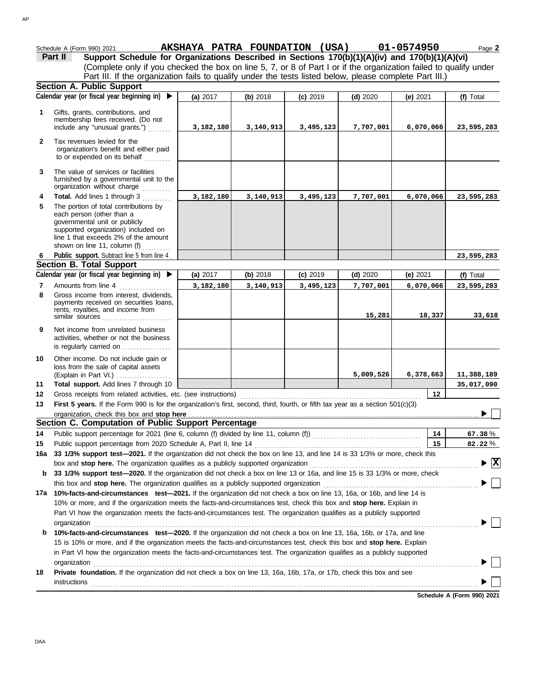|                | Schedule A (Form 990) 2021                                                                                                                                                                                                                             | AKSHAYA PATRA FOUNDATION (USA) |           |            |            | 01-0574950 | Page 2                                   |
|----------------|--------------------------------------------------------------------------------------------------------------------------------------------------------------------------------------------------------------------------------------------------------|--------------------------------|-----------|------------|------------|------------|------------------------------------------|
|                | Support Schedule for Organizations Described in Sections 170(b)(1)(A)(iv) and 170(b)(1)(A)(vi)<br>Part II                                                                                                                                              |                                |           |            |            |            |                                          |
|                | (Complete only if you checked the box on line 5, 7, or 8 of Part I or if the organization failed to qualify under                                                                                                                                      |                                |           |            |            |            |                                          |
|                | Part III. If the organization fails to qualify under the tests listed below, please complete Part III.)                                                                                                                                                |                                |           |            |            |            |                                          |
|                | <b>Section A. Public Support</b>                                                                                                                                                                                                                       |                                |           |            |            |            |                                          |
|                | Calendar year (or fiscal year beginning in) $\blacktriangleright$                                                                                                                                                                                      | (a) 2017                       | (b) 2018  | $(c)$ 2019 | $(d)$ 2020 | (e) $2021$ | (f) Total                                |
| $\mathbf 1$    | Gifts, grants, contributions, and                                                                                                                                                                                                                      |                                |           |            |            |            |                                          |
|                | membership fees received. (Do not                                                                                                                                                                                                                      |                                |           |            |            |            |                                          |
|                | include any "unusual grants.")                                                                                                                                                                                                                         | 3,182,180                      | 3,140,913 | 3,495,123  | 7,707,001  | 6,070,066  | 23,595,283                               |
| $\mathbf{2}$   | Tax revenues levied for the                                                                                                                                                                                                                            |                                |           |            |            |            |                                          |
|                | organization's benefit and either paid                                                                                                                                                                                                                 |                                |           |            |            |            |                                          |
|                | to or expended on its behalf                                                                                                                                                                                                                           |                                |           |            |            |            |                                          |
| 3              | The value of services or facilities                                                                                                                                                                                                                    |                                |           |            |            |            |                                          |
|                | furnished by a governmental unit to the<br>organization without charge                                                                                                                                                                                 |                                |           |            |            |            |                                          |
| 4              | Total. Add lines 1 through 3                                                                                                                                                                                                                           | 3,182,180                      | 3,140,913 | 3,495,123  | 7,707,001  | 6,070,066  | 23,595,283                               |
| 5              | The portion of total contributions by                                                                                                                                                                                                                  |                                |           |            |            |            |                                          |
|                | each person (other than a                                                                                                                                                                                                                              |                                |           |            |            |            |                                          |
|                | governmental unit or publicly                                                                                                                                                                                                                          |                                |           |            |            |            |                                          |
|                | supported organization) included on<br>line 1 that exceeds 2% of the amount                                                                                                                                                                            |                                |           |            |            |            |                                          |
|                | shown on line 11, column (f)                                                                                                                                                                                                                           |                                |           |            |            |            |                                          |
| 6              | Public support. Subtract line 5 from line 4                                                                                                                                                                                                            |                                |           |            |            |            | 23,595,283                               |
|                | <b>Section B. Total Support</b>                                                                                                                                                                                                                        |                                |           |            |            |            |                                          |
|                | Calendar year (or fiscal year beginning in) $\blacktriangleright$                                                                                                                                                                                      | (a) 2017                       | (b) 2018  | $(c)$ 2019 | $(d)$ 2020 | (e) $2021$ | (f) Total                                |
| $\overline{7}$ | Amounts from line 4                                                                                                                                                                                                                                    | 3,182,180                      | 3,140,913 | 3,495,123  | 7,707,001  | 6,070,066  | 23,595,283                               |
| 8              | Gross income from interest, dividends,                                                                                                                                                                                                                 |                                |           |            |            |            |                                          |
|                | payments received on securities loans,<br>rents, royalties, and income from                                                                                                                                                                            |                                |           |            |            |            |                                          |
|                | similar sources                                                                                                                                                                                                                                        |                                |           |            | 15,281     | 18,337     | 33,618                                   |
| 9              | Net income from unrelated business                                                                                                                                                                                                                     |                                |           |            |            |            |                                          |
|                | activities, whether or not the business                                                                                                                                                                                                                |                                |           |            |            |            |                                          |
|                | is regularly carried on                                                                                                                                                                                                                                |                                |           |            |            |            |                                          |
| 10             | Other income. Do not include gain or                                                                                                                                                                                                                   |                                |           |            |            |            |                                          |
|                | loss from the sale of capital assets                                                                                                                                                                                                                   |                                |           |            | 5,009,526  | 6,378,663  |                                          |
| 11             | (Explain in Part VI.)<br>Total support. Add lines 7 through 10                                                                                                                                                                                         |                                |           |            |            |            | 11,388,189<br>35,017,090                 |
| 12             |                                                                                                                                                                                                                                                        |                                |           |            |            | $12 \,$    |                                          |
| 13             | First 5 years. If the Form 990 is for the organization's first, second, third, fourth, or fifth tax year as a section 501(c)(3)                                                                                                                        |                                |           |            |            |            |                                          |
|                | organization, check this box and stop here contained and according to the state of the state of the state of the state of the state of the state of the state of the state of the state of the state of the state of the state                         |                                |           |            |            |            | ▶                                        |
|                | Section C. Computation of Public Support Percentage                                                                                                                                                                                                    |                                |           |            |            |            |                                          |
| 14             |                                                                                                                                                                                                                                                        |                                |           |            |            | 14         | 67.38%                                   |
| 15             | Public support percentage from 2020 Schedule A, Part II, line 14                                                                                                                                                                                       |                                |           |            |            | 15         | 82.22%                                   |
| 16a            | 33 1/3% support test-2021. If the organization did not check the box on line 13, and line 14 is 33 1/3% or more, check this                                                                                                                            |                                |           |            |            |            |                                          |
|                | box and stop here. The organization qualifies as a publicly supported organization                                                                                                                                                                     |                                |           |            |            |            | $\blacktriangleright$ $\boxed{\text{X}}$ |
| b              | 33 1/3% support test-2020. If the organization did not check a box on line 13 or 16a, and line 15 is 33 1/3% or more, check                                                                                                                            |                                |           |            |            |            |                                          |
|                | this box and stop here. The organization qualifies as a publicly supported organization                                                                                                                                                                |                                |           |            |            |            |                                          |
|                | 17a 10%-facts-and-circumstances test-2021. If the organization did not check a box on line 13, 16a, or 16b, and line 14 is                                                                                                                             |                                |           |            |            |            |                                          |
|                | 10% or more, and if the organization meets the facts-and-circumstances test, check this box and stop here. Explain in                                                                                                                                  |                                |           |            |            |            |                                          |
|                | Part VI how the organization meets the facts-and-circumstances test. The organization qualifies as a publicly supported                                                                                                                                |                                |           |            |            |            |                                          |
|                | organization                                                                                                                                                                                                                                           |                                |           |            |            |            |                                          |
| b              | 10%-facts-and-circumstances test-2020. If the organization did not check a box on line 13, 16a, 16b, or 17a, and line                                                                                                                                  |                                |           |            |            |            |                                          |
|                | 15 is 10% or more, and if the organization meets the facts-and-circumstances test, check this box and stop here. Explain<br>in Part VI how the organization meets the facts-and-circumstances test. The organization qualifies as a publicly supported |                                |           |            |            |            |                                          |
|                |                                                                                                                                                                                                                                                        |                                |           |            |            |            |                                          |
| 18             | Private foundation. If the organization did not check a box on line 13, 16a, 16b, 17a, or 17b, check this box and see                                                                                                                                  |                                |           |            |            |            |                                          |
|                | <b>instructions</b>                                                                                                                                                                                                                                    |                                |           |            |            |            |                                          |
|                |                                                                                                                                                                                                                                                        |                                |           |            |            |            |                                          |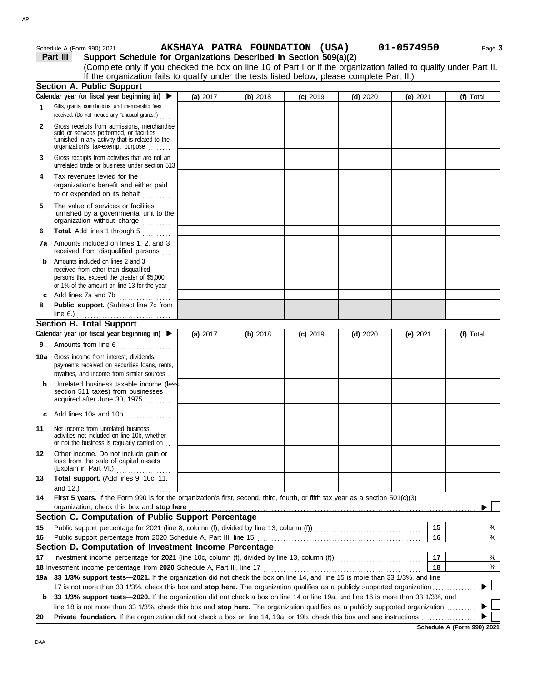| Part III<br>Support Schedule for Organizations Described in Section 509(a)(2)<br>(Complete only if you checked the box on line 10 of Part I or if the organization failed to qualify under Part II.<br>If the organization fails to qualify under the tests listed below, please complete Part II.)<br><b>Section A. Public Support</b><br>Calendar year (or fiscal year beginning in) $\blacktriangleright$<br>(a) 2017<br>(b) 2018<br>$(c)$ 2019<br>$(d)$ 2020<br>(e) $2021$<br>(f) Total<br>Gifts, grants, contributions, and membership fees<br>1<br>received. (Do not include any "unusual grants.")<br>Gross receipts from admissions, merchandise<br>2<br>sold or services performed, or facilities<br>furnished in any activity that is related to the<br>organization's tax-exempt purpose<br>Gross receipts from activities that are not an<br>3<br>unrelated trade or business under section 513<br>Tax revenues levied for the<br>4<br>organization's benefit and either paid<br>to or expended on its behalf<br>The value of services or facilities<br>5<br>furnished by a governmental unit to the<br>organization without charge<br>Total. Add lines 1 through 5<br>6<br>7a Amounts included on lines 1, 2, and 3<br>received from disqualified persons<br>Amounts included on lines 2 and 3<br>b<br>received from other than disqualified<br>persons that exceed the greater of \$5,000<br>or 1% of the amount on line 13 for the year<br>Add lines 7a and 7b<br>c<br>Public support. (Subtract line 7c from<br>8<br>line 6.) $\frac{1}{2}$ $\frac{1}{2}$ $\frac{1}{2}$ $\frac{1}{2}$ $\frac{1}{2}$ $\frac{1}{2}$ $\frac{1}{2}$ $\frac{1}{2}$<br><b>Section B. Total Support</b><br>Calendar year (or fiscal year beginning in) ▶<br>(a) 2017<br>(b) 2018<br>$(c)$ 2019<br>$(d)$ 2020<br>(e) $2021$<br>(f) Total<br>Amounts from line 6<br>9<br><b>10a</b> Gross income from interest, dividends,<br>payments received on securities loans, rents,<br>royalties, and income from similar sources.<br>Unrelated business taxable income (less<br>b<br>section 511 taxes) from businesses<br>acquired after June 30, 1975<br>Add lines 10a and 10b<br>c | Schedule A (Form 990) 2021 | AKSHAYA PATRA FOUNDATION (USA) |  | 01-0574950 | Page 3 |
|-----------------------------------------------------------------------------------------------------------------------------------------------------------------------------------------------------------------------------------------------------------------------------------------------------------------------------------------------------------------------------------------------------------------------------------------------------------------------------------------------------------------------------------------------------------------------------------------------------------------------------------------------------------------------------------------------------------------------------------------------------------------------------------------------------------------------------------------------------------------------------------------------------------------------------------------------------------------------------------------------------------------------------------------------------------------------------------------------------------------------------------------------------------------------------------------------------------------------------------------------------------------------------------------------------------------------------------------------------------------------------------------------------------------------------------------------------------------------------------------------------------------------------------------------------------------------------------------------------------------------------------------------------------------------------------------------------------------------------------------------------------------------------------------------------------------------------------------------------------------------------------------------------------------------------------------------------------------------------------------------------------------------------------------------------------------------------------------------------------------------------------------------------------------------|----------------------------|--------------------------------|--|------------|--------|
|                                                                                                                                                                                                                                                                                                                                                                                                                                                                                                                                                                                                                                                                                                                                                                                                                                                                                                                                                                                                                                                                                                                                                                                                                                                                                                                                                                                                                                                                                                                                                                                                                                                                                                                                                                                                                                                                                                                                                                                                                                                                                                                                                                       |                            |                                |  |            |        |
|                                                                                                                                                                                                                                                                                                                                                                                                                                                                                                                                                                                                                                                                                                                                                                                                                                                                                                                                                                                                                                                                                                                                                                                                                                                                                                                                                                                                                                                                                                                                                                                                                                                                                                                                                                                                                                                                                                                                                                                                                                                                                                                                                                       |                            |                                |  |            |        |
|                                                                                                                                                                                                                                                                                                                                                                                                                                                                                                                                                                                                                                                                                                                                                                                                                                                                                                                                                                                                                                                                                                                                                                                                                                                                                                                                                                                                                                                                                                                                                                                                                                                                                                                                                                                                                                                                                                                                                                                                                                                                                                                                                                       |                            |                                |  |            |        |
|                                                                                                                                                                                                                                                                                                                                                                                                                                                                                                                                                                                                                                                                                                                                                                                                                                                                                                                                                                                                                                                                                                                                                                                                                                                                                                                                                                                                                                                                                                                                                                                                                                                                                                                                                                                                                                                                                                                                                                                                                                                                                                                                                                       |                            |                                |  |            |        |
|                                                                                                                                                                                                                                                                                                                                                                                                                                                                                                                                                                                                                                                                                                                                                                                                                                                                                                                                                                                                                                                                                                                                                                                                                                                                                                                                                                                                                                                                                                                                                                                                                                                                                                                                                                                                                                                                                                                                                                                                                                                                                                                                                                       |                            |                                |  |            |        |
|                                                                                                                                                                                                                                                                                                                                                                                                                                                                                                                                                                                                                                                                                                                                                                                                                                                                                                                                                                                                                                                                                                                                                                                                                                                                                                                                                                                                                                                                                                                                                                                                                                                                                                                                                                                                                                                                                                                                                                                                                                                                                                                                                                       |                            |                                |  |            |        |
|                                                                                                                                                                                                                                                                                                                                                                                                                                                                                                                                                                                                                                                                                                                                                                                                                                                                                                                                                                                                                                                                                                                                                                                                                                                                                                                                                                                                                                                                                                                                                                                                                                                                                                                                                                                                                                                                                                                                                                                                                                                                                                                                                                       |                            |                                |  |            |        |
|                                                                                                                                                                                                                                                                                                                                                                                                                                                                                                                                                                                                                                                                                                                                                                                                                                                                                                                                                                                                                                                                                                                                                                                                                                                                                                                                                                                                                                                                                                                                                                                                                                                                                                                                                                                                                                                                                                                                                                                                                                                                                                                                                                       |                            |                                |  |            |        |
|                                                                                                                                                                                                                                                                                                                                                                                                                                                                                                                                                                                                                                                                                                                                                                                                                                                                                                                                                                                                                                                                                                                                                                                                                                                                                                                                                                                                                                                                                                                                                                                                                                                                                                                                                                                                                                                                                                                                                                                                                                                                                                                                                                       |                            |                                |  |            |        |
|                                                                                                                                                                                                                                                                                                                                                                                                                                                                                                                                                                                                                                                                                                                                                                                                                                                                                                                                                                                                                                                                                                                                                                                                                                                                                                                                                                                                                                                                                                                                                                                                                                                                                                                                                                                                                                                                                                                                                                                                                                                                                                                                                                       |                            |                                |  |            |        |
|                                                                                                                                                                                                                                                                                                                                                                                                                                                                                                                                                                                                                                                                                                                                                                                                                                                                                                                                                                                                                                                                                                                                                                                                                                                                                                                                                                                                                                                                                                                                                                                                                                                                                                                                                                                                                                                                                                                                                                                                                                                                                                                                                                       |                            |                                |  |            |        |
|                                                                                                                                                                                                                                                                                                                                                                                                                                                                                                                                                                                                                                                                                                                                                                                                                                                                                                                                                                                                                                                                                                                                                                                                                                                                                                                                                                                                                                                                                                                                                                                                                                                                                                                                                                                                                                                                                                                                                                                                                                                                                                                                                                       |                            |                                |  |            |        |
|                                                                                                                                                                                                                                                                                                                                                                                                                                                                                                                                                                                                                                                                                                                                                                                                                                                                                                                                                                                                                                                                                                                                                                                                                                                                                                                                                                                                                                                                                                                                                                                                                                                                                                                                                                                                                                                                                                                                                                                                                                                                                                                                                                       |                            |                                |  |            |        |
|                                                                                                                                                                                                                                                                                                                                                                                                                                                                                                                                                                                                                                                                                                                                                                                                                                                                                                                                                                                                                                                                                                                                                                                                                                                                                                                                                                                                                                                                                                                                                                                                                                                                                                                                                                                                                                                                                                                                                                                                                                                                                                                                                                       |                            |                                |  |            |        |
|                                                                                                                                                                                                                                                                                                                                                                                                                                                                                                                                                                                                                                                                                                                                                                                                                                                                                                                                                                                                                                                                                                                                                                                                                                                                                                                                                                                                                                                                                                                                                                                                                                                                                                                                                                                                                                                                                                                                                                                                                                                                                                                                                                       |                            |                                |  |            |        |
|                                                                                                                                                                                                                                                                                                                                                                                                                                                                                                                                                                                                                                                                                                                                                                                                                                                                                                                                                                                                                                                                                                                                                                                                                                                                                                                                                                                                                                                                                                                                                                                                                                                                                                                                                                                                                                                                                                                                                                                                                                                                                                                                                                       |                            |                                |  |            |        |
|                                                                                                                                                                                                                                                                                                                                                                                                                                                                                                                                                                                                                                                                                                                                                                                                                                                                                                                                                                                                                                                                                                                                                                                                                                                                                                                                                                                                                                                                                                                                                                                                                                                                                                                                                                                                                                                                                                                                                                                                                                                                                                                                                                       |                            |                                |  |            |        |
|                                                                                                                                                                                                                                                                                                                                                                                                                                                                                                                                                                                                                                                                                                                                                                                                                                                                                                                                                                                                                                                                                                                                                                                                                                                                                                                                                                                                                                                                                                                                                                                                                                                                                                                                                                                                                                                                                                                                                                                                                                                                                                                                                                       |                            |                                |  |            |        |
|                                                                                                                                                                                                                                                                                                                                                                                                                                                                                                                                                                                                                                                                                                                                                                                                                                                                                                                                                                                                                                                                                                                                                                                                                                                                                                                                                                                                                                                                                                                                                                                                                                                                                                                                                                                                                                                                                                                                                                                                                                                                                                                                                                       |                            |                                |  |            |        |
|                                                                                                                                                                                                                                                                                                                                                                                                                                                                                                                                                                                                                                                                                                                                                                                                                                                                                                                                                                                                                                                                                                                                                                                                                                                                                                                                                                                                                                                                                                                                                                                                                                                                                                                                                                                                                                                                                                                                                                                                                                                                                                                                                                       |                            |                                |  |            |        |
|                                                                                                                                                                                                                                                                                                                                                                                                                                                                                                                                                                                                                                                                                                                                                                                                                                                                                                                                                                                                                                                                                                                                                                                                                                                                                                                                                                                                                                                                                                                                                                                                                                                                                                                                                                                                                                                                                                                                                                                                                                                                                                                                                                       |                            |                                |  |            |        |
| Net income from unrelated business<br>11<br>activities not included on line 10b, whether<br>or not the business is regularly carried on                                                                                                                                                                                                                                                                                                                                                                                                                                                                                                                                                                                                                                                                                                                                                                                                                                                                                                                                                                                                                                                                                                                                                                                                                                                                                                                                                                                                                                                                                                                                                                                                                                                                                                                                                                                                                                                                                                                                                                                                                               |                            |                                |  |            |        |
| Other income. Do not include gain or<br>12<br>loss from the sale of capital assets<br>(Explain in Part VI.)                                                                                                                                                                                                                                                                                                                                                                                                                                                                                                                                                                                                                                                                                                                                                                                                                                                                                                                                                                                                                                                                                                                                                                                                                                                                                                                                                                                                                                                                                                                                                                                                                                                                                                                                                                                                                                                                                                                                                                                                                                                           |                            |                                |  |            |        |
| Total support. (Add lines 9, 10c, 11,<br>13                                                                                                                                                                                                                                                                                                                                                                                                                                                                                                                                                                                                                                                                                                                                                                                                                                                                                                                                                                                                                                                                                                                                                                                                                                                                                                                                                                                                                                                                                                                                                                                                                                                                                                                                                                                                                                                                                                                                                                                                                                                                                                                           |                            |                                |  |            |        |
| and 12.) $\ldots$<br>First 5 years. If the Form 990 is for the organization's first, second, third, fourth, or fifth tax year as a section 501(c)(3)<br>14<br>organization, check this box and stop here                                                                                                                                                                                                                                                                                                                                                                                                                                                                                                                                                                                                                                                                                                                                                                                                                                                                                                                                                                                                                                                                                                                                                                                                                                                                                                                                                                                                                                                                                                                                                                                                                                                                                                                                                                                                                                                                                                                                                              |                            |                                |  |            |        |
| Section C. Computation of Public Support Percentage                                                                                                                                                                                                                                                                                                                                                                                                                                                                                                                                                                                                                                                                                                                                                                                                                                                                                                                                                                                                                                                                                                                                                                                                                                                                                                                                                                                                                                                                                                                                                                                                                                                                                                                                                                                                                                                                                                                                                                                                                                                                                                                   |                            |                                |  |            |        |
| 15<br>15                                                                                                                                                                                                                                                                                                                                                                                                                                                                                                                                                                                                                                                                                                                                                                                                                                                                                                                                                                                                                                                                                                                                                                                                                                                                                                                                                                                                                                                                                                                                                                                                                                                                                                                                                                                                                                                                                                                                                                                                                                                                                                                                                              |                            |                                |  |            | %      |
| 16<br>16                                                                                                                                                                                                                                                                                                                                                                                                                                                                                                                                                                                                                                                                                                                                                                                                                                                                                                                                                                                                                                                                                                                                                                                                                                                                                                                                                                                                                                                                                                                                                                                                                                                                                                                                                                                                                                                                                                                                                                                                                                                                                                                                                              |                            |                                |  |            | $\%$   |
| Section D. Computation of Investment Income Percentage                                                                                                                                                                                                                                                                                                                                                                                                                                                                                                                                                                                                                                                                                                                                                                                                                                                                                                                                                                                                                                                                                                                                                                                                                                                                                                                                                                                                                                                                                                                                                                                                                                                                                                                                                                                                                                                                                                                                                                                                                                                                                                                |                            |                                |  |            |        |
| 17<br>17                                                                                                                                                                                                                                                                                                                                                                                                                                                                                                                                                                                                                                                                                                                                                                                                                                                                                                                                                                                                                                                                                                                                                                                                                                                                                                                                                                                                                                                                                                                                                                                                                                                                                                                                                                                                                                                                                                                                                                                                                                                                                                                                                              |                            |                                |  |            | %      |
| 18                                                                                                                                                                                                                                                                                                                                                                                                                                                                                                                                                                                                                                                                                                                                                                                                                                                                                                                                                                                                                                                                                                                                                                                                                                                                                                                                                                                                                                                                                                                                                                                                                                                                                                                                                                                                                                                                                                                                                                                                                                                                                                                                                                    |                            |                                |  |            | $\%$   |
| 33 1/3% support tests-2021. If the organization did not check the box on line 14, and line 15 is more than 33 1/3%, and line<br>19a                                                                                                                                                                                                                                                                                                                                                                                                                                                                                                                                                                                                                                                                                                                                                                                                                                                                                                                                                                                                                                                                                                                                                                                                                                                                                                                                                                                                                                                                                                                                                                                                                                                                                                                                                                                                                                                                                                                                                                                                                                   |                            |                                |  |            |        |
| 17 is not more than 33 1/3%, check this box and stop here. The organization qualifies as a publicly supported organization                                                                                                                                                                                                                                                                                                                                                                                                                                                                                                                                                                                                                                                                                                                                                                                                                                                                                                                                                                                                                                                                                                                                                                                                                                                                                                                                                                                                                                                                                                                                                                                                                                                                                                                                                                                                                                                                                                                                                                                                                                            |                            |                                |  |            |        |
| 33 1/3% support tests-2020. If the organization did not check a box on line 14 or line 19a, and line 16 is more than 33 1/3%, and<br>b                                                                                                                                                                                                                                                                                                                                                                                                                                                                                                                                                                                                                                                                                                                                                                                                                                                                                                                                                                                                                                                                                                                                                                                                                                                                                                                                                                                                                                                                                                                                                                                                                                                                                                                                                                                                                                                                                                                                                                                                                                |                            |                                |  |            |        |
| line 18 is not more than 33 1/3%, check this box and stop here. The organization qualifies as a publicly supported organization<br>20                                                                                                                                                                                                                                                                                                                                                                                                                                                                                                                                                                                                                                                                                                                                                                                                                                                                                                                                                                                                                                                                                                                                                                                                                                                                                                                                                                                                                                                                                                                                                                                                                                                                                                                                                                                                                                                                                                                                                                                                                                 |                            |                                |  |            |        |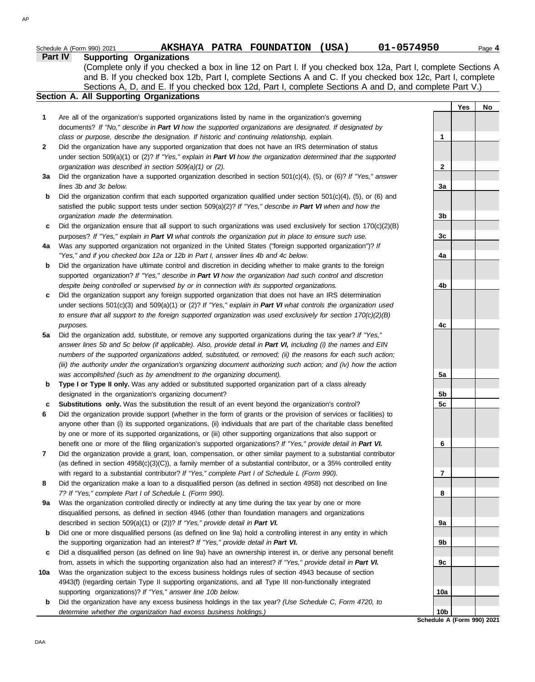|     | 01-0574950<br>AKSHAYA PATRA FOUNDATION (USA)<br>Schedule A (Form 990) 2021                                                                                                                    |                 |     | Page 4 |
|-----|-----------------------------------------------------------------------------------------------------------------------------------------------------------------------------------------------|-----------------|-----|--------|
|     | <b>Supporting Organizations</b><br>Part IV                                                                                                                                                    |                 |     |        |
|     | (Complete only if you checked a box in line 12 on Part I. If you checked box 12a, Part I, complete Sections A                                                                                 |                 |     |        |
|     | and B. If you checked box 12b, Part I, complete Sections A and C. If you checked box 12c, Part I, complete                                                                                    |                 |     |        |
|     | Sections A, D, and E. If you checked box 12d, Part I, complete Sections A and D, and complete Part V.)                                                                                        |                 |     |        |
|     | Section A. All Supporting Organizations                                                                                                                                                       |                 |     |        |
|     |                                                                                                                                                                                               |                 | Yes | No     |
| 1   | Are all of the organization's supported organizations listed by name in the organization's governing                                                                                          |                 |     |        |
|     | documents? If "No," describe in Part VI how the supported organizations are designated. If designated by                                                                                      |                 |     |        |
|     | class or purpose, describe the designation. If historic and continuing relationship, explain.                                                                                                 | 1               |     |        |
| 2   | Did the organization have any supported organization that does not have an IRS determination of status                                                                                        |                 |     |        |
|     | under section 509(a)(1) or (2)? If "Yes," explain in Part VI how the organization determined that the supported                                                                               |                 |     |        |
|     | organization was described in section 509(a)(1) or (2).                                                                                                                                       | $\mathbf{2}$    |     |        |
| Зa  | Did the organization have a supported organization described in section 501(c)(4), (5), or (6)? If "Yes," answer                                                                              |                 |     |        |
|     | lines 3b and 3c below.                                                                                                                                                                        | 3a              |     |        |
| b   | Did the organization confirm that each supported organization qualified under section $501(c)(4)$ , (5), or (6) and                                                                           |                 |     |        |
|     | satisfied the public support tests under section 509(a)(2)? If "Yes," describe in Part VI when and how the                                                                                    |                 |     |        |
|     | organization made the determination.                                                                                                                                                          | 3b              |     |        |
| c   | Did the organization ensure that all support to such organizations was used exclusively for section $170(c)(2)(B)$                                                                            |                 |     |        |
|     | purposes? If "Yes," explain in Part VI what controls the organization put in place to ensure such use.                                                                                        | 3 <sub>c</sub>  |     |        |
| 4a  | Was any supported organization not organized in the United States ("foreign supported organization")? If<br>"Yes," and if you checked box 12a or 12b in Part I, answer lines 4b and 4c below. | 4a              |     |        |
| b   | Did the organization have ultimate control and discretion in deciding whether to make grants to the foreign                                                                                   |                 |     |        |
|     | supported organization? If "Yes," describe in Part VI how the organization had such control and discretion                                                                                    |                 |     |        |
|     | despite being controlled or supervised by or in connection with its supported organizations.                                                                                                  | 4b              |     |        |
| c   | Did the organization support any foreign supported organization that does not have an IRS determination                                                                                       |                 |     |        |
|     | under sections $501(c)(3)$ and $509(a)(1)$ or (2)? If "Yes," explain in Part VI what controls the organization used                                                                           |                 |     |        |
|     | to ensure that all support to the foreign supported organization was used exclusively for section $170(c)(2)(B)$                                                                              |                 |     |        |
|     | purposes.                                                                                                                                                                                     | 4c              |     |        |
| 5a  | Did the organization add, substitute, or remove any supported organizations during the tax year? If "Yes,"                                                                                    |                 |     |        |
|     | answer lines 5b and 5c below (if applicable). Also, provide detail in Part VI, including (i) the names and EIN                                                                                |                 |     |        |
|     | numbers of the supported organizations added, substituted, or removed; (ii) the reasons for each such action;                                                                                 |                 |     |        |
|     | (iii) the authority under the organization's organizing document authorizing such action; and (iv) how the action                                                                             |                 |     |        |
|     | was accomplished (such as by amendment to the organizing document).                                                                                                                           | 5a              |     |        |
| b   | Type I or Type II only. Was any added or substituted supported organization part of a class already                                                                                           |                 |     |        |
|     | designated in the organization's organizing document?                                                                                                                                         | 5b              |     |        |
|     | Substitutions only. Was the substitution the result of an event beyond the organization's control?                                                                                            | 5 <sub>c</sub>  |     |        |
| 6   | Did the organization provide support (whether in the form of grants or the provision of services or facilities) to                                                                            |                 |     |        |
|     | anyone other than (i) its supported organizations, (ii) individuals that are part of the charitable class benefited                                                                           |                 |     |        |
|     | by one or more of its supported organizations, or (iii) other supporting organizations that also support or                                                                                   |                 |     |        |
|     | benefit one or more of the filing organization's supported organizations? If "Yes," provide detail in Part VI.                                                                                | 6               |     |        |
| 7   | Did the organization provide a grant, loan, compensation, or other similar payment to a substantial contributor                                                                               |                 |     |        |
|     | (as defined in section $4958(c)(3)(C)$ ), a family member of a substantial contributor, or a 35% controlled entity                                                                            |                 |     |        |
|     | with regard to a substantial contributor? If "Yes," complete Part I of Schedule L (Form 990).                                                                                                 | 7               |     |        |
| 8   | Did the organization make a loan to a disqualified person (as defined in section 4958) not described on line                                                                                  |                 |     |        |
|     | 7? If "Yes," complete Part I of Schedule L (Form 990).                                                                                                                                        | 8               |     |        |
| 9a  | Was the organization controlled directly or indirectly at any time during the tax year by one or more                                                                                         |                 |     |        |
|     | disqualified persons, as defined in section 4946 (other than foundation managers and organizations                                                                                            |                 |     |        |
|     | described in section 509(a)(1) or (2))? If "Yes," provide detail in Part VI.                                                                                                                  | 9а              |     |        |
| b   | Did one or more disqualified persons (as defined on line 9a) hold a controlling interest in any entity in which                                                                               |                 |     |        |
|     | the supporting organization had an interest? If "Yes," provide detail in Part VI.                                                                                                             | 9b              |     |        |
| c   | Did a disqualified person (as defined on line 9a) have an ownership interest in, or derive any personal benefit                                                                               |                 |     |        |
|     | from, assets in which the supporting organization also had an interest? If "Yes," provide detail in Part VI.                                                                                  | 9c              |     |        |
| 10a | Was the organization subject to the excess business holdings rules of section 4943 because of section                                                                                         |                 |     |        |
|     | 4943(f) (regarding certain Type II supporting organizations, and all Type III non-functionally integrated                                                                                     |                 |     |        |
|     | supporting organizations)? If "Yes," answer line 10b below.                                                                                                                                   | 10a             |     |        |
| b   | Did the organization have any excess business holdings in the tax year? (Use Schedule C, Form 4720, to                                                                                        |                 |     |        |
|     | determine whether the organization had excess business holdings.)                                                                                                                             | 10 <sub>b</sub> |     |        |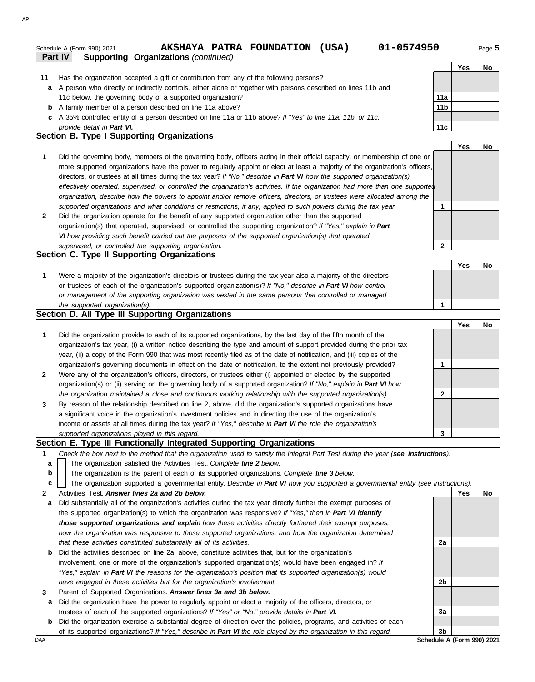| Schedule A (Form 990) 2021 |                                             | AKSHAYA PATRA FOUNDATION | 'USA) | 01-0574950 |     | Page 5 |
|----------------------------|---------------------------------------------|--------------------------|-------|------------|-----|--------|
| Part IV                    | <b>Supporting Organizations (continued)</b> |                          |       |            |     |        |
|                            |                                             |                          |       |            | Yes | Nc     |
| .                          |                                             |                          |       |            |     |        |

| Has the organization accepted a gift or contribution from any of the following persons?                          |
|------------------------------------------------------------------------------------------------------------------|
| a A person who directly or indirectly controls, either alone or together with persons described on lines 11b and |
| 11c below, the governing body of a supported organization?                                                       |
| <b>h</b> $\Delta$ family member of a person described on line 11a above?                                         |

### **b** A family member of a person described on line 11a above?

**c** A 35% controlled entity of a person described on line 11a or 11b above? *If "Yes" to line 11a, 11b, or 11c,* 

# **11a 11b 11c**

**Section B. Type I Supporting Organizations** *provide detail in Part VI.*

|   |                                                                                                                                                                                                                                                                                                                                                                                                                                                                                                                                                                                                                                                      |   | Yes | No. |
|---|------------------------------------------------------------------------------------------------------------------------------------------------------------------------------------------------------------------------------------------------------------------------------------------------------------------------------------------------------------------------------------------------------------------------------------------------------------------------------------------------------------------------------------------------------------------------------------------------------------------------------------------------------|---|-----|-----|
|   | Did the governing body, members of the governing body, officers acting in their official capacity, or membership of one or<br>more supported organizations have the power to regularly appoint or elect at least a majority of the organization's officers,<br>directors, or trustees at all times during the tax year? If "No," describe in Part VI how the supported organization(s)<br>effectively operated, supervised, or controlled the organization's activities. If the organization had more than one supported<br>organization, describe how the powers to appoint and/or remove officers, directors, or trustees were allocated among the |   |     |     |
|   | supported organizations and what conditions or restrictions, if any, applied to such powers during the tax year.                                                                                                                                                                                                                                                                                                                                                                                                                                                                                                                                     |   |     |     |
| 2 | Did the organization operate for the benefit of any supported organization other than the supported<br>organization(s) that operated, supervised, or controlled the supporting organization? If "Yes," explain in Part<br>VI how providing such benefit carried out the purposes of the supported organization(s) that operated,                                                                                                                                                                                                                                                                                                                     |   |     |     |
|   | supervised, or controlled the supporting organization.                                                                                                                                                                                                                                                                                                                                                                                                                                                                                                                                                                                               | າ |     |     |
|   | Section C. Type II Supporting Organizations                                                                                                                                                                                                                                                                                                                                                                                                                                                                                                                                                                                                          |   |     |     |

|                                                                                                                  | e. |  |
|------------------------------------------------------------------------------------------------------------------|----|--|
| Were a majority of the organization's directors or trustees during the tax year also a majority of the directors |    |  |
| or trustees of each of the organization's supported organization(s)? If "No," describe in Part VI how control    |    |  |
| or management of the supporting organization was vested in the same persons that controlled or managed           |    |  |
| the supported organization(s).                                                                                   |    |  |

## **Section D. All Type III Supporting Organizations**

|              |                                                                                                                        |   | Yes | No |
|--------------|------------------------------------------------------------------------------------------------------------------------|---|-----|----|
|              | Did the organization provide to each of its supported organizations, by the last day of the fifth month of the         |   |     |    |
|              | organization's tax year, (i) a written notice describing the type and amount of support provided during the prior tax  |   |     |    |
|              | year, (ii) a copy of the Form 990 that was most recently filed as of the date of notification, and (iii) copies of the |   |     |    |
|              | organization's governing documents in effect on the date of notification, to the extent not previously provided?       |   |     |    |
| $\mathbf{2}$ | Were any of the organization's officers, directors, or trustees either (i) appointed or elected by the supported       |   |     |    |
|              | organization(s) or (ii) serving on the governing body of a supported organization? If "No," explain in Part VI how     |   |     |    |
|              | the organization maintained a close and continuous working relationship with the supported organization(s).            |   |     |    |
| 3            | By reason of the relationship described on line 2, above, did the organization's supported organizations have          |   |     |    |
|              | a significant voice in the organization's investment policies and in directing the use of the organization's           |   |     |    |
|              | income or assets at all times during the tax year? If "Yes," describe in Part VI the role the organization's           |   |     |    |
|              | supported organizations played in this regard.                                                                         | 3 |     |    |

## **Section E. Type III Functionally Integrated Supporting Organizations**

- **1** *Check the box next to the method that the organization used to satisfy the Integral Part Test during the year (see instructions).*
	- The organization satisfied the Activities Test. *Complete line 2 below.* **a**
	- The organization is the parent of each of its supported organizations. *Complete line 3 below.* **b**
	- The organization supported a governmental entity. *Describe in Part VI how you supported a governmental entity (see instructions).* **c**
- **2** Activities Test. *Answer lines 2a and 2b below.*
- **a** Did substantially all of the organization's activities during the tax year directly further the exempt purposes of the supported organization(s) to which the organization was responsive? *If "Yes," then in Part VI identify those supported organizations and explain how these activities directly furthered their exempt purposes, how the organization was responsive to those supported organizations, and how the organization determined that these activities constituted substantially all of its activities.*
- **b** Did the activities described on line 2a, above, constitute activities that, but for the organization's involvement, one or more of the organization's supported organization(s) would have been engaged in? *If "Yes," explain in Part VI the reasons for the organization's position that its supported organization(s) would have engaged in these activities but for the organization's involvement.*
- **3** Parent of Supported Organizations. *Answer lines 3a and 3b below.*
	- **a** Did the organization have the power to regularly appoint or elect a majority of the officers, directors, or trustees of each of the supported organizations? *If "Yes" or "No," provide details in Part VI.*
- **b** Did the organization exercise a substantial degree of direction over the policies, programs, and activities of each of its supported organizations? *If "Yes," describe in Part VI the role played by the organization in this regard.*

**Yes No 2a 2b 3a 3b**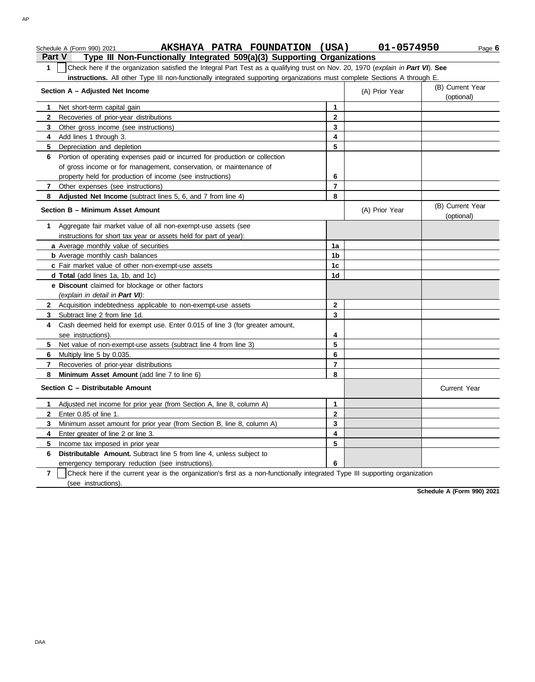| AKSHAYA PATRA FOUNDATION (USA)<br>Schedule A (Form 990) 2021                                                                                                 |                | 01-0574950<br>Page 6                             |
|--------------------------------------------------------------------------------------------------------------------------------------------------------------|----------------|--------------------------------------------------|
| Type III Non-Functionally Integrated 509(a)(3) Supporting Organizations<br>Part V                                                                            |                |                                                  |
| 1<br>Check here if the organization satisfied the Integral Part Test as a qualifying trust on Nov. 20, 1970 (explain in Part VI). See                        |                |                                                  |
| instructions. All other Type III non-functionally integrated supporting organizations must complete Sections A through E.<br>Section A - Adjusted Net Income |                | (B) Current Year<br>(A) Prior Year<br>(optional) |
| Net short-term capital gain<br>1.                                                                                                                            | 1              |                                                  |
| $\mathbf{2}$<br>Recoveries of prior-year distributions                                                                                                       | $\mathbf{2}$   |                                                  |
| Other gross income (see instructions)<br>3                                                                                                                   | 3              |                                                  |
| Add lines 1 through 3.<br>4                                                                                                                                  | 4              |                                                  |
| Depreciation and depletion<br>5                                                                                                                              | 5              |                                                  |
| Portion of operating expenses paid or incurred for production or collection<br>6                                                                             |                |                                                  |
| of gross income or for management, conservation, or maintenance of                                                                                           |                |                                                  |
| property held for production of income (see instructions)                                                                                                    | 6              |                                                  |
| Other expenses (see instructions)<br>7                                                                                                                       | $\overline{7}$ |                                                  |
| Adjusted Net Income (subtract lines 5, 6, and 7 from line 4)<br>8                                                                                            | 8              |                                                  |
| Section B - Minimum Asset Amount                                                                                                                             |                | (B) Current Year<br>(A) Prior Year<br>(optional) |
| Aggregate fair market value of all non-exempt-use assets (see<br>$\mathbf 1$                                                                                 |                |                                                  |
| instructions for short tax year or assets held for part of year):                                                                                            |                |                                                  |
| a Average monthly value of securities                                                                                                                        | 1a             |                                                  |
| <b>b</b> Average monthly cash balances                                                                                                                       | 1 <sub>b</sub> |                                                  |
| c Fair market value of other non-exempt-use assets                                                                                                           | 1c             |                                                  |
| d Total (add lines 1a, 1b, and 1c)                                                                                                                           | 1d             |                                                  |
| e Discount claimed for blockage or other factors                                                                                                             |                |                                                  |
| (explain in detail in Part VI):                                                                                                                              |                |                                                  |
| 2 Acquisition indebtedness applicable to non-exempt-use assets                                                                                               | $\mathbf{2}$   |                                                  |
| Subtract line 2 from line 1d.<br>3                                                                                                                           | 3              |                                                  |
| 4 Cash deemed held for exempt use. Enter 0.015 of line 3 (for greater amount,<br>see instructions).                                                          | 4              |                                                  |
| Net value of non-exempt-use assets (subtract line 4 from line 3)<br>5                                                                                        | 5              |                                                  |
| Multiply line 5 by 0.035.<br>6                                                                                                                               | 6              |                                                  |
| Recoveries of prior-year distributions<br>7                                                                                                                  | $\overline{7}$ |                                                  |
| Minimum Asset Amount (add line 7 to line 6)<br>8                                                                                                             | 8              |                                                  |
| Section C - Distributable Amount                                                                                                                             |                | <b>Current Year</b>                              |
| Adjusted net income for prior year (from Section A, line 8, column A)<br>1.                                                                                  | 1              |                                                  |
| Enter 0.85 of line 1.<br>2                                                                                                                                   | 2              |                                                  |
| Minimum asset amount for prior year (from Section B, line 8, column A)<br>3                                                                                  | 3              |                                                  |
| Enter greater of line 2 or line 3.<br>4                                                                                                                      | 4              |                                                  |
| 5<br>Income tax imposed in prior year                                                                                                                        | 5              |                                                  |
| Distributable Amount. Subtract line 5 from line 4, unless subject to<br>6                                                                                    |                |                                                  |
| emergency temporary reduction (see instructions).                                                                                                            | 6              |                                                  |
| $\overline{7}$<br>Check here if the current year is the organization's first as a non-functionally integrated Type III supporting organization               |                |                                                  |
| (see instructions).                                                                                                                                          |                |                                                  |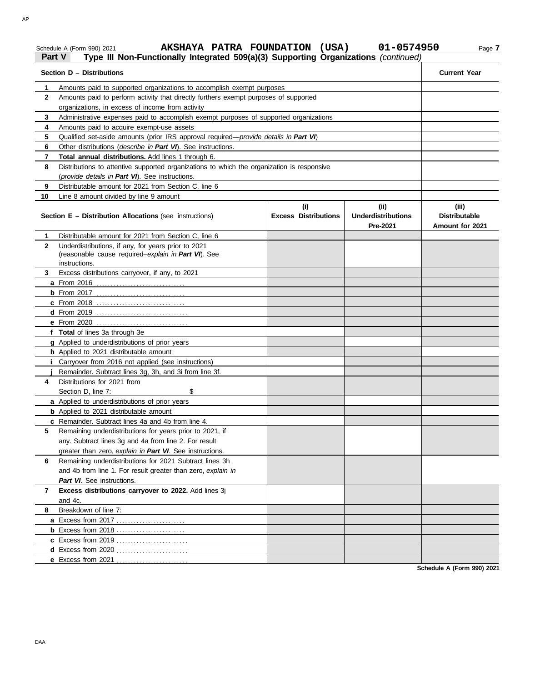### Schedule A (Form 990) 2021 **AKSHAYA PATRA FOUNDATION (USA)** 01-0574950 Page 7 **AKSHAYA PATRA FOUNDATION (USA) 01-0574950**

## **Part V Type III Non-Functionally Integrated 509(a)(3) Supporting Organizations** *(continued)*

| Section D - Distributions | <b>Current Year</b>                                                                                                         |                                    |                                               |                                                  |  |  |  |
|---------------------------|-----------------------------------------------------------------------------------------------------------------------------|------------------------------------|-----------------------------------------------|--------------------------------------------------|--|--|--|
| 1                         |                                                                                                                             |                                    |                                               |                                                  |  |  |  |
| 2                         | Amounts paid to perform activity that directly furthers exempt purposes of supported                                        |                                    |                                               |                                                  |  |  |  |
|                           | organizations, in excess of income from activity                                                                            |                                    |                                               |                                                  |  |  |  |
| 3                         | Administrative expenses paid to accomplish exempt purposes of supported organizations                                       |                                    |                                               |                                                  |  |  |  |
| 4                         | Amounts paid to acquire exempt-use assets                                                                                   |                                    |                                               |                                                  |  |  |  |
| 5                         | Qualified set-aside amounts (prior IRS approval required— <i>provide details in Part VI</i> )                               |                                    |                                               |                                                  |  |  |  |
| 6                         | Other distributions ( <i>describe in Part VI</i> ). See instructions.                                                       |                                    |                                               |                                                  |  |  |  |
| 7                         | Total annual distributions. Add lines 1 through 6.                                                                          |                                    |                                               |                                                  |  |  |  |
| 8                         | Distributions to attentive supported organizations to which the organization is responsive                                  |                                    |                                               |                                                  |  |  |  |
|                           | (provide details in Part VI). See instructions.                                                                             |                                    |                                               |                                                  |  |  |  |
| 9                         | Distributable amount for 2021 from Section C, line 6                                                                        |                                    |                                               |                                                  |  |  |  |
| 10                        | Line 8 amount divided by line 9 amount                                                                                      |                                    |                                               |                                                  |  |  |  |
|                           | <b>Section E – Distribution Allocations (see instructions)</b>                                                              | (i)<br><b>Excess Distributions</b> | (ii)<br><b>Underdistributions</b><br>Pre-2021 | (iii)<br><b>Distributable</b><br>Amount for 2021 |  |  |  |
| 1                         | Distributable amount for 2021 from Section C, line 6                                                                        |                                    |                                               |                                                  |  |  |  |
| $\mathbf{2}$              | Underdistributions, if any, for years prior to 2021<br>(reasonable cause required-explain in Part VI). See<br>instructions. |                                    |                                               |                                                  |  |  |  |
| 3                         | Excess distributions carryover, if any, to 2021                                                                             |                                    |                                               |                                                  |  |  |  |
|                           |                                                                                                                             |                                    |                                               |                                                  |  |  |  |
|                           |                                                                                                                             |                                    |                                               |                                                  |  |  |  |
|                           | <b>c</b> From 2018                                                                                                          |                                    |                                               |                                                  |  |  |  |
|                           |                                                                                                                             |                                    |                                               |                                                  |  |  |  |
|                           |                                                                                                                             |                                    |                                               |                                                  |  |  |  |
|                           | f Total of lines 3a through 3e                                                                                              |                                    |                                               |                                                  |  |  |  |
|                           | g Applied to underdistributions of prior years                                                                              |                                    |                                               |                                                  |  |  |  |
|                           | h Applied to 2021 distributable amount                                                                                      |                                    |                                               |                                                  |  |  |  |
|                           | i Carryover from 2016 not applied (see instructions)                                                                        |                                    |                                               |                                                  |  |  |  |
|                           | Remainder. Subtract lines 3g, 3h, and 3i from line 3f.                                                                      |                                    |                                               |                                                  |  |  |  |
| 4                         | Distributions for 2021 from                                                                                                 |                                    |                                               |                                                  |  |  |  |
|                           | Section D, line 7:<br>\$                                                                                                    |                                    |                                               |                                                  |  |  |  |
|                           | a Applied to underdistributions of prior years                                                                              |                                    |                                               |                                                  |  |  |  |
|                           | <b>b</b> Applied to 2021 distributable amount                                                                               |                                    |                                               |                                                  |  |  |  |
|                           | c Remainder. Subtract lines 4a and 4b from line 4.<br>Remaining underdistributions for years prior to 2021, if              |                                    |                                               |                                                  |  |  |  |
|                           | any. Subtract lines 3g and 4a from line 2. For result                                                                       |                                    |                                               |                                                  |  |  |  |
|                           | greater than zero, explain in Part VI. See instructions.                                                                    |                                    |                                               |                                                  |  |  |  |
| 6                         | Remaining underdistributions for 2021 Subtract lines 3h                                                                     |                                    |                                               |                                                  |  |  |  |
|                           | and 4b from line 1. For result greater than zero, explain in                                                                |                                    |                                               |                                                  |  |  |  |
|                           | Part VI. See instructions.                                                                                                  |                                    |                                               |                                                  |  |  |  |
| $\mathbf{7}$              | Excess distributions carryover to 2022. Add lines 3j                                                                        |                                    |                                               |                                                  |  |  |  |
|                           | and 4c.                                                                                                                     |                                    |                                               |                                                  |  |  |  |
| 8                         | Breakdown of line 7:                                                                                                        |                                    |                                               |                                                  |  |  |  |
|                           |                                                                                                                             |                                    |                                               |                                                  |  |  |  |
|                           | <b>b</b> Excess from 2018                                                                                                   |                                    |                                               |                                                  |  |  |  |
|                           | <b>c</b> Excess from 2019                                                                                                   |                                    |                                               |                                                  |  |  |  |
|                           | d Excess from 2020                                                                                                          |                                    |                                               |                                                  |  |  |  |
|                           | e Excess from 2021                                                                                                          |                                    |                                               |                                                  |  |  |  |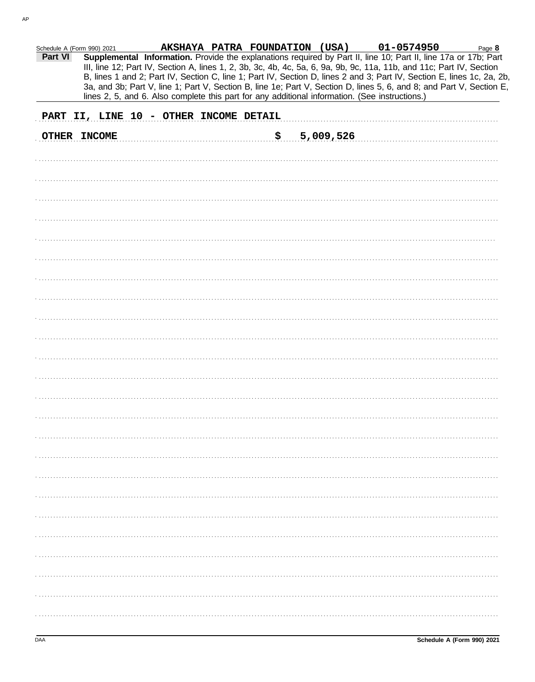| Schedule A (Form 990) 2021 |              |                                                                                                |    |           | AKSHAYA PATRA FOUNDATION (USA) 01-0574950                                                                                                                                                                                                                                                                                                                                                                                                                                                 | Page 8 |
|----------------------------|--------------|------------------------------------------------------------------------------------------------|----|-----------|-------------------------------------------------------------------------------------------------------------------------------------------------------------------------------------------------------------------------------------------------------------------------------------------------------------------------------------------------------------------------------------------------------------------------------------------------------------------------------------------|--------|
| Part VI                    |              | lines 2, 5, and 6. Also complete this part for any additional information. (See instructions.) |    |           | Supplemental Information. Provide the explanations required by Part II, line 10; Part II, line 17a or 17b; Part<br>III, line 12; Part IV, Section A, lines 1, 2, 3b, 3c, 4b, 4c, 5a, 6, 9a, 9b, 9c, 11a, 11b, and 11c; Part IV, Section<br>B, lines 1 and 2; Part IV, Section C, line 1; Part IV, Section D, lines 2 and 3; Part IV, Section E, lines 1c, 2a, 2b,<br>3a, and 3b; Part V, line 1; Part V, Section B, line 1e; Part V, Section D, lines 5, 6, and 8; and Part V, Section E, |        |
|                            |              |                                                                                                |    |           |                                                                                                                                                                                                                                                                                                                                                                                                                                                                                           |        |
|                            |              | PART II, LINE 10 - OTHER INCOME DETAIL                                                         |    |           |                                                                                                                                                                                                                                                                                                                                                                                                                                                                                           |        |
|                            | OTHER INCOME |                                                                                                | \$ | 5,009,526 |                                                                                                                                                                                                                                                                                                                                                                                                                                                                                           |        |
|                            |              |                                                                                                |    |           |                                                                                                                                                                                                                                                                                                                                                                                                                                                                                           |        |
|                            |              |                                                                                                |    |           |                                                                                                                                                                                                                                                                                                                                                                                                                                                                                           |        |
|                            |              |                                                                                                |    |           |                                                                                                                                                                                                                                                                                                                                                                                                                                                                                           |        |
|                            |              |                                                                                                |    |           |                                                                                                                                                                                                                                                                                                                                                                                                                                                                                           |        |
|                            |              |                                                                                                |    |           |                                                                                                                                                                                                                                                                                                                                                                                                                                                                                           |        |
|                            |              |                                                                                                |    |           |                                                                                                                                                                                                                                                                                                                                                                                                                                                                                           |        |
|                            |              |                                                                                                |    |           |                                                                                                                                                                                                                                                                                                                                                                                                                                                                                           |        |
|                            |              |                                                                                                |    |           |                                                                                                                                                                                                                                                                                                                                                                                                                                                                                           |        |
|                            |              |                                                                                                |    |           |                                                                                                                                                                                                                                                                                                                                                                                                                                                                                           |        |
|                            |              |                                                                                                |    |           |                                                                                                                                                                                                                                                                                                                                                                                                                                                                                           |        |
|                            |              |                                                                                                |    |           |                                                                                                                                                                                                                                                                                                                                                                                                                                                                                           |        |
|                            |              |                                                                                                |    |           |                                                                                                                                                                                                                                                                                                                                                                                                                                                                                           |        |
|                            |              |                                                                                                |    |           |                                                                                                                                                                                                                                                                                                                                                                                                                                                                                           |        |
|                            |              |                                                                                                |    |           |                                                                                                                                                                                                                                                                                                                                                                                                                                                                                           |        |
|                            |              |                                                                                                |    |           |                                                                                                                                                                                                                                                                                                                                                                                                                                                                                           |        |
|                            |              |                                                                                                |    |           |                                                                                                                                                                                                                                                                                                                                                                                                                                                                                           |        |
|                            |              |                                                                                                |    |           |                                                                                                                                                                                                                                                                                                                                                                                                                                                                                           |        |
|                            |              |                                                                                                |    |           |                                                                                                                                                                                                                                                                                                                                                                                                                                                                                           |        |
|                            |              |                                                                                                |    |           |                                                                                                                                                                                                                                                                                                                                                                                                                                                                                           |        |
|                            |              |                                                                                                |    |           |                                                                                                                                                                                                                                                                                                                                                                                                                                                                                           |        |
|                            |              |                                                                                                |    |           |                                                                                                                                                                                                                                                                                                                                                                                                                                                                                           |        |
|                            |              |                                                                                                |    |           |                                                                                                                                                                                                                                                                                                                                                                                                                                                                                           |        |
|                            |              |                                                                                                |    |           |                                                                                                                                                                                                                                                                                                                                                                                                                                                                                           |        |
|                            |              |                                                                                                |    |           |                                                                                                                                                                                                                                                                                                                                                                                                                                                                                           |        |
|                            |              |                                                                                                |    |           |                                                                                                                                                                                                                                                                                                                                                                                                                                                                                           |        |
|                            |              |                                                                                                |    |           |                                                                                                                                                                                                                                                                                                                                                                                                                                                                                           |        |
|                            |              |                                                                                                |    |           |                                                                                                                                                                                                                                                                                                                                                                                                                                                                                           |        |
|                            |              |                                                                                                |    |           |                                                                                                                                                                                                                                                                                                                                                                                                                                                                                           |        |
|                            |              |                                                                                                |    |           |                                                                                                                                                                                                                                                                                                                                                                                                                                                                                           |        |
|                            |              |                                                                                                |    |           |                                                                                                                                                                                                                                                                                                                                                                                                                                                                                           |        |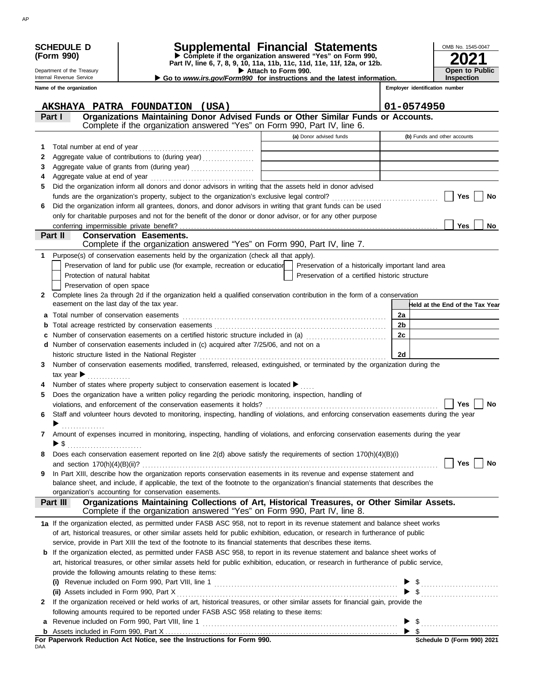|              | <b>SCHEDULE D</b>                         | Supplemental Financial Statements                                                                                                         |                     |                                                    |                | OMB No. 1545-0047               |
|--------------|-------------------------------------------|-------------------------------------------------------------------------------------------------------------------------------------------|---------------------|----------------------------------------------------|----------------|---------------------------------|
|              | (Form 990)                                | Complete if the organization answered "Yes" on Form 990,<br>Part IV, line 6, 7, 8, 9, 10, 11a, 11b, 11c, 11d, 11e, 11f, 12a, or 12b.      |                     |                                                    |                |                                 |
|              | Department of the Treasury                |                                                                                                                                           | Attach to Form 990. |                                                    |                | <b>Open to Public</b>           |
|              | Internal Revenue Service                  | Go to www.irs.gov/Form990 for instructions and the latest information.                                                                    |                     |                                                    |                | <b>Inspection</b>               |
|              | Name of the organization                  |                                                                                                                                           |                     |                                                    |                | Employer identification number  |
|              |                                           |                                                                                                                                           |                     |                                                    |                |                                 |
|              | Part I                                    | AKSHAYA PATRA FOUNDATION (USA)<br>Organizations Maintaining Donor Advised Funds or Other Similar Funds or Accounts.                       |                     |                                                    | 01-0574950     |                                 |
|              |                                           | Complete if the organization answered "Yes" on Form 990, Part IV, line 6.                                                                 |                     |                                                    |                |                                 |
|              |                                           |                                                                                                                                           |                     | (a) Donor advised funds                            |                | (b) Funds and other accounts    |
| 1            |                                           |                                                                                                                                           |                     |                                                    |                |                                 |
| 2            |                                           | Aggregate value of contributions to (during year)                                                                                         |                     |                                                    |                |                                 |
| 3            |                                           |                                                                                                                                           |                     |                                                    |                |                                 |
| 4            |                                           |                                                                                                                                           |                     |                                                    |                |                                 |
| 5            |                                           | Did the organization inform all donors and donor advisors in writing that the assets held in donor advised                                |                     |                                                    |                |                                 |
|              |                                           |                                                                                                                                           |                     |                                                    |                | Yes<br>No                       |
| 6            |                                           | Did the organization inform all grantees, donors, and donor advisors in writing that grant funds can be used                              |                     |                                                    |                |                                 |
|              |                                           | only for charitable purposes and not for the benefit of the donor or donor advisor, or for any other purpose                              |                     |                                                    |                |                                 |
|              |                                           |                                                                                                                                           |                     |                                                    |                | <b>Yes</b><br>No                |
|              | Part II                                   | <b>Conservation Easements.</b><br>Complete if the organization answered "Yes" on Form 990, Part IV, line 7.                               |                     |                                                    |                |                                 |
|              |                                           | Purpose(s) of conservation easements held by the organization (check all that apply).                                                     |                     |                                                    |                |                                 |
|              |                                           | Preservation of land for public use (for example, recreation or education                                                                 |                     | Preservation of a historically important land area |                |                                 |
|              | Protection of natural habitat             |                                                                                                                                           |                     | Preservation of a certified historic structure     |                |                                 |
|              | Preservation of open space                |                                                                                                                                           |                     |                                                    |                |                                 |
| $\mathbf{2}$ |                                           | Complete lines 2a through 2d if the organization held a qualified conservation contribution in the form of a conservation                 |                     |                                                    |                |                                 |
|              | easement on the last day of the tax year. |                                                                                                                                           |                     |                                                    |                | Held at the End of the Tax Year |
| a            |                                           |                                                                                                                                           |                     |                                                    | 2a             |                                 |
|              |                                           |                                                                                                                                           |                     |                                                    | 2 <sub>b</sub> |                                 |
|              |                                           | Number of conservation easements on a certified historic structure included in (a) [[[[[[[[[[[[[[[[[[[[[[[[[]]                            |                     |                                                    | 2c             |                                 |
|              |                                           | d Number of conservation easements included in (c) acquired after 7/25/06, and not on a                                                   |                     |                                                    |                |                                 |
|              |                                           |                                                                                                                                           |                     |                                                    | 2d             |                                 |
| 3            |                                           | Number of conservation easements modified, transferred, released, extinguished, or terminated by the organization during the              |                     |                                                    |                |                                 |
|              | tax year $\blacktriangleright$            |                                                                                                                                           |                     |                                                    |                |                                 |
|              |                                           | Number of states where property subject to conservation easement is located $\blacktriangleright$                                         |                     |                                                    |                |                                 |
|              |                                           | Does the organization have a written policy regarding the periodic monitoring, inspection, handling of                                    |                     |                                                    |                |                                 |
|              |                                           |                                                                                                                                           |                     |                                                    |                | <b>Yes</b><br>No                |
|              |                                           | Staff and volunteer hours devoted to monitoring, inspecting, handling of violations, and enforcing conservation easements during the year |                     |                                                    |                |                                 |
|              |                                           |                                                                                                                                           |                     |                                                    |                |                                 |
| 7            |                                           | Amount of expenses incurred in monitoring, inspecting, handling of violations, and enforcing conservation easements during the year       |                     |                                                    |                |                                 |
|              | ▶ \$                                      | Does each conservation easement reported on line 2(d) above satisfy the requirements of section 170(h)(4)(B)(i)                           |                     |                                                    |                |                                 |
| 8            |                                           |                                                                                                                                           |                     |                                                    |                | Yes<br>No                       |
| 9            |                                           | In Part XIII, describe how the organization reports conservation easements in its revenue and expense statement and                       |                     |                                                    |                |                                 |
|              |                                           | balance sheet, and include, if applicable, the text of the footnote to the organization's financial statements that describes the         |                     |                                                    |                |                                 |
|              |                                           | organization's accounting for conservation easements.                                                                                     |                     |                                                    |                |                                 |
|              | Part III                                  | Organizations Maintaining Collections of Art, Historical Treasures, or Other Similar Assets.                                              |                     |                                                    |                |                                 |
|              |                                           | Complete if the organization answered "Yes" on Form 990, Part IV, line 8.                                                                 |                     |                                                    |                |                                 |
|              |                                           | 1a If the organization elected, as permitted under FASB ASC 958, not to report in its revenue statement and balance sheet works           |                     |                                                    |                |                                 |
|              |                                           | of art, historical treasures, or other similar assets held for public exhibition, education, or research in furtherance of public         |                     |                                                    |                |                                 |
|              |                                           | service, provide in Part XIII the text of the footnote to its financial statements that describes these items.                            |                     |                                                    |                |                                 |
|              |                                           | <b>b</b> If the organization elected, as permitted under FASB ASC 958, to report in its revenue statement and balance sheet works of      |                     |                                                    |                |                                 |
|              |                                           | art, historical treasures, or other similar assets held for public exhibition, education, or research in furtherance of public service,   |                     |                                                    |                |                                 |
|              |                                           | provide the following amounts relating to these items:                                                                                    |                     |                                                    |                |                                 |
|              |                                           |                                                                                                                                           |                     |                                                    |                |                                 |
|              |                                           |                                                                                                                                           |                     |                                                    |                |                                 |
| $\mathbf{2}$ |                                           | If the organization received or held works of art, historical treasures, or other similar assets for financial gain, provide the          |                     |                                                    |                |                                 |
|              |                                           | following amounts required to be reported under FASB ASC 958 relating to these items:<br>Revenue included on Form 990, Part VIII, line 1  |                     |                                                    |                |                                 |
| a<br>b       |                                           |                                                                                                                                           |                     |                                                    |                |                                 |
|              |                                           | For Paperwork Reduction Act Notice, see the Instructions for Form 990.                                                                    |                     |                                                    |                | Schedule D (Form 990) 2021      |
| DAA          |                                           |                                                                                                                                           |                     |                                                    |                |                                 |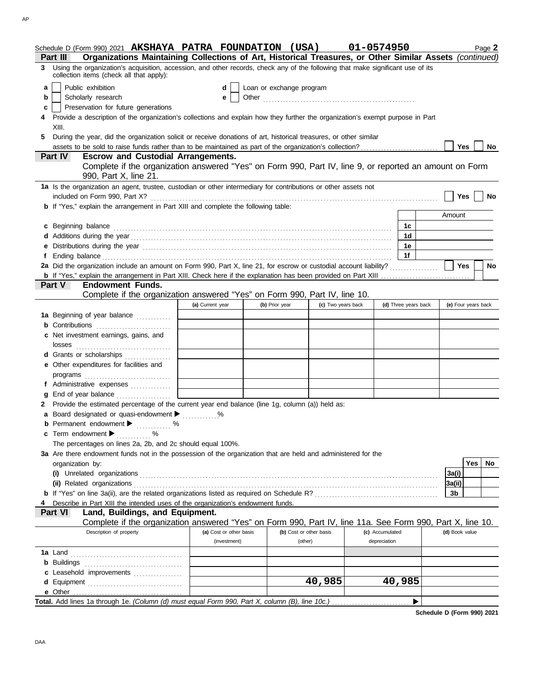|   | Schedule D (Form 990) 2021 AKSHAYA PATRA FOUNDATION (USA)                                                                                                                                                                      |                  |                                         |                          |         |                         | 01-0574950                      |                      |  |                     | Page 2      |
|---|--------------------------------------------------------------------------------------------------------------------------------------------------------------------------------------------------------------------------------|------------------|-----------------------------------------|--------------------------|---------|-------------------------|---------------------------------|----------------------|--|---------------------|-------------|
|   | Organizations Maintaining Collections of Art, Historical Treasures, or Other Similar Assets (continued)<br>Part III                                                                                                            |                  |                                         |                          |         |                         |                                 |                      |  |                     |             |
| 3 | Using the organization's acquisition, accession, and other records, check any of the following that make significant use of its<br>collection items (check all that apply):                                                    |                  |                                         |                          |         |                         |                                 |                      |  |                     |             |
| a | Public exhibition                                                                                                                                                                                                              |                  | d                                       | Loan or exchange program |         |                         |                                 |                      |  |                     |             |
| b | Scholarly research                                                                                                                                                                                                             |                  | е                                       |                          |         |                         |                                 |                      |  |                     |             |
| c | Preservation for future generations                                                                                                                                                                                            |                  |                                         |                          |         |                         |                                 |                      |  |                     |             |
|   | Provide a description of the organization's collections and explain how they further the organization's exempt purpose in Part                                                                                                 |                  |                                         |                          |         |                         |                                 |                      |  |                     |             |
|   | XIII.                                                                                                                                                                                                                          |                  |                                         |                          |         |                         |                                 |                      |  |                     |             |
| 5 | During the year, did the organization solicit or receive donations of art, historical treasures, or other similar                                                                                                              |                  |                                         |                          |         |                         |                                 |                      |  |                     |             |
|   |                                                                                                                                                                                                                                |                  |                                         |                          |         |                         |                                 |                      |  | Yes                 | No          |
|   | <b>Escrow and Custodial Arrangements.</b><br><b>Part IV</b>                                                                                                                                                                    |                  |                                         |                          |         |                         |                                 |                      |  |                     |             |
|   | Complete if the organization answered "Yes" on Form 990, Part IV, line 9, or reported an amount on Form<br>990, Part X, line 21.                                                                                               |                  |                                         |                          |         |                         |                                 |                      |  |                     |             |
|   | 1a Is the organization an agent, trustee, custodian or other intermediary for contributions or other assets not                                                                                                                |                  |                                         |                          |         |                         |                                 |                      |  |                     |             |
|   | included on Form 990, Part X?                                                                                                                                                                                                  |                  |                                         |                          |         |                         |                                 |                      |  | Yes                 | No          |
|   | <b>b</b> If "Yes," explain the arrangement in Part XIII and complete the following table:                                                                                                                                      |                  |                                         |                          |         |                         |                                 |                      |  | Amount              |             |
|   |                                                                                                                                                                                                                                |                  |                                         |                          |         |                         |                                 |                      |  |                     |             |
|   | c Beginning balance                                                                                                                                                                                                            |                  |                                         |                          |         |                         |                                 | 1с.                  |  |                     |             |
|   |                                                                                                                                                                                                                                |                  |                                         |                          |         |                         |                                 | 1d<br>1e             |  |                     |             |
|   | e Distributions during the year manufactured contains and the year manufactured with the set of the set of the set of the set of the set of the set of the set of the set of the set of the set of the set of the set of the s |                  |                                         |                          |         |                         |                                 | 1f                   |  |                     |             |
|   | 2a Did the organization include an amount on Form 990, Part X, line 21, for escrow or custodial account liability?                                                                                                             |                  |                                         |                          |         |                         |                                 |                      |  | Yes                 | <b>No</b>   |
|   |                                                                                                                                                                                                                                |                  |                                         |                          |         |                         |                                 |                      |  |                     |             |
|   | <b>Part V</b><br><b>Endowment Funds.</b>                                                                                                                                                                                       |                  |                                         |                          |         |                         |                                 |                      |  |                     |             |
|   | Complete if the organization answered "Yes" on Form 990, Part IV, line 10.                                                                                                                                                     |                  |                                         |                          |         |                         |                                 |                      |  |                     |             |
|   |                                                                                                                                                                                                                                | (a) Current year |                                         | (b) Prior year           |         | (c) Two years back      |                                 | (d) Three years back |  | (e) Four years back |             |
|   | 1a Beginning of year balance                                                                                                                                                                                                   |                  |                                         |                          |         |                         |                                 |                      |  |                     |             |
|   | <b>b</b> Contributions                                                                                                                                                                                                         |                  |                                         |                          |         |                         |                                 |                      |  |                     |             |
|   | c Net investment earnings, gains, and                                                                                                                                                                                          |                  |                                         |                          |         |                         |                                 |                      |  |                     |             |
|   | losses                                                                                                                                                                                                                         |                  |                                         |                          |         |                         |                                 |                      |  |                     |             |
|   | d Grants or scholarships                                                                                                                                                                                                       |                  |                                         |                          |         |                         |                                 |                      |  |                     |             |
|   | e Other expenditures for facilities and                                                                                                                                                                                        |                  |                                         |                          |         |                         |                                 |                      |  |                     |             |
|   |                                                                                                                                                                                                                                |                  |                                         |                          |         |                         |                                 |                      |  |                     |             |
|   | f Administrative expenses                                                                                                                                                                                                      |                  |                                         |                          |         |                         |                                 |                      |  |                     |             |
|   | End of year balance                                                                                                                                                                                                            |                  |                                         |                          |         |                         |                                 |                      |  |                     |             |
|   | Provide the estimated percentage of the current year end balance (line 1g, column (a)) held as:                                                                                                                                |                  |                                         |                          |         |                         |                                 |                      |  |                     |             |
|   | a Board designated or quasi-endowment metal metal metal metal metal metal metal metal metal metal metal metal                                                                                                                  |                  |                                         |                          |         |                         |                                 |                      |  |                     |             |
|   | <b>b</b> Permanent endowment $\blacktriangleright$<br>$\sim$ %                                                                                                                                                                 |                  |                                         |                          |         |                         |                                 |                      |  |                     |             |
|   | c Term endowment $\blacktriangleright$<br>$\%$                                                                                                                                                                                 |                  |                                         |                          |         |                         |                                 |                      |  |                     |             |
|   | The percentages on lines 2a, 2b, and 2c should equal 100%.                                                                                                                                                                     |                  |                                         |                          |         |                         |                                 |                      |  |                     |             |
|   | 3a Are there endowment funds not in the possession of the organization that are held and administered for the                                                                                                                  |                  |                                         |                          |         |                         |                                 |                      |  |                     |             |
|   | organization by:                                                                                                                                                                                                               |                  |                                         |                          |         |                         |                                 |                      |  |                     | Yes l<br>No |
|   |                                                                                                                                                                                                                                |                  |                                         |                          |         |                         |                                 |                      |  | 3a(i)               |             |
|   | (ii) Related organizations                                                                                                                                                                                                     |                  |                                         |                          |         |                         |                                 |                      |  | 3a(ii)              |             |
|   |                                                                                                                                                                                                                                |                  |                                         |                          |         |                         |                                 |                      |  | 3b                  |             |
|   | Describe in Part XIII the intended uses of the organization's endowment funds.                                                                                                                                                 |                  |                                         |                          |         |                         |                                 |                      |  |                     |             |
|   | Part VI<br>Land, Buildings, and Equipment.                                                                                                                                                                                     |                  |                                         |                          |         |                         |                                 |                      |  |                     |             |
|   | Complete if the organization answered "Yes" on Form 990, Part IV, line 11a. See Form 990, Part X, line 10.                                                                                                                     |                  |                                         |                          |         |                         |                                 |                      |  |                     |             |
|   | Description of property                                                                                                                                                                                                        |                  | (a) Cost or other basis<br>(investment) |                          | (other) | (b) Cost or other basis | (c) Accumulated<br>depreciation |                      |  | (d) Book value      |             |
|   |                                                                                                                                                                                                                                |                  |                                         |                          |         |                         |                                 |                      |  |                     |             |
|   |                                                                                                                                                                                                                                |                  |                                         |                          |         |                         |                                 |                      |  |                     |             |
|   | c Leasehold improvements                                                                                                                                                                                                       |                  |                                         |                          |         |                         |                                 |                      |  |                     |             |
|   |                                                                                                                                                                                                                                |                  |                                         |                          |         | 40,985                  |                                 | 40,985               |  |                     |             |
|   |                                                                                                                                                                                                                                |                  |                                         |                          |         |                         |                                 |                      |  |                     |             |
|   |                                                                                                                                                                                                                                |                  |                                         |                          |         |                         |                                 | ▶                    |  |                     |             |
|   |                                                                                                                                                                                                                                |                  |                                         |                          |         |                         |                                 |                      |  |                     |             |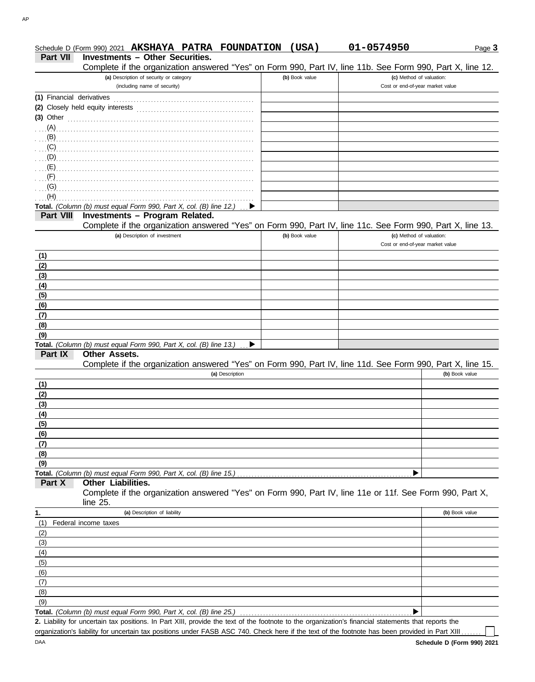|                           | Schedule D (Form 990) 2021 AKSHAYA PATRA FOUNDATION                                                                                                                                                                                 |                | (USA) | 01-0574950                       | Page 3         |
|---------------------------|-------------------------------------------------------------------------------------------------------------------------------------------------------------------------------------------------------------------------------------|----------------|-------|----------------------------------|----------------|
| Part VII                  | <b>Investments - Other Securities.</b>                                                                                                                                                                                              |                |       |                                  |                |
|                           | Complete if the organization answered "Yes" on Form 990, Part IV, line 11b. See Form 990, Part X, line 12.                                                                                                                          |                |       |                                  |                |
|                           | (a) Description of security or category                                                                                                                                                                                             | (b) Book value |       | (c) Method of valuation:         |                |
|                           | (including name of security)                                                                                                                                                                                                        |                |       | Cost or end-of-year market value |                |
| (1) Financial derivatives |                                                                                                                                                                                                                                     |                |       |                                  |                |
|                           |                                                                                                                                                                                                                                     |                |       |                                  |                |
| $(3)$ Other               |                                                                                                                                                                                                                                     |                |       |                                  |                |
|                           |                                                                                                                                                                                                                                     |                |       |                                  |                |
|                           |                                                                                                                                                                                                                                     |                |       |                                  |                |
|                           | (C)                                                                                                                                                                                                                                 |                |       |                                  |                |
|                           |                                                                                                                                                                                                                                     |                |       |                                  |                |
|                           |                                                                                                                                                                                                                                     |                |       |                                  |                |
| $\Gamma$ (F)              | $\overline{E}$ (E) and the contract of the contract of the contract of the contract of the contract of the contract of the contract of the contract of the contract of the contract of the contract of the contract of the contract |                |       |                                  |                |
|                           |                                                                                                                                                                                                                                     |                |       |                                  |                |
| (G)<br>(H)                |                                                                                                                                                                                                                                     |                |       |                                  |                |
|                           |                                                                                                                                                                                                                                     |                |       |                                  |                |
|                           | Total. (Column (b) must equal Form 990, Part X, col. (B) line 12.)                                                                                                                                                                  |                |       |                                  |                |
| <b>Part VIII</b>          | Investments - Program Related.                                                                                                                                                                                                      |                |       |                                  |                |
|                           | Complete if the organization answered "Yes" on Form 990, Part IV, line 11c. See Form 990, Part X, line 13.                                                                                                                          |                |       |                                  |                |
|                           | (a) Description of investment                                                                                                                                                                                                       | (b) Book value |       | (c) Method of valuation:         |                |
|                           |                                                                                                                                                                                                                                     |                |       | Cost or end-of-year market value |                |
| (1)                       |                                                                                                                                                                                                                                     |                |       |                                  |                |
| (2)                       |                                                                                                                                                                                                                                     |                |       |                                  |                |
| (3)                       |                                                                                                                                                                                                                                     |                |       |                                  |                |
| (4)                       |                                                                                                                                                                                                                                     |                |       |                                  |                |
| (5)                       |                                                                                                                                                                                                                                     |                |       |                                  |                |
| (6)                       |                                                                                                                                                                                                                                     |                |       |                                  |                |
| (7)                       |                                                                                                                                                                                                                                     |                |       |                                  |                |
| (8)                       |                                                                                                                                                                                                                                     |                |       |                                  |                |
| (9)                       |                                                                                                                                                                                                                                     |                |       |                                  |                |
|                           | Total. (Column (b) must equal Form 990, Part X, col. (B) line 13.)                                                                                                                                                                  |                |       |                                  |                |
| Part IX                   | <b>Other Assets.</b>                                                                                                                                                                                                                |                |       |                                  |                |
|                           | Complete if the organization answered "Yes" on Form 990, Part IV, line 11d. See Form 990, Part X, line 15.                                                                                                                          |                |       |                                  |                |
|                           | (a) Description                                                                                                                                                                                                                     |                |       |                                  | (b) Book value |
| (1)                       |                                                                                                                                                                                                                                     |                |       |                                  |                |
| (2)                       |                                                                                                                                                                                                                                     |                |       |                                  |                |
| (3)                       |                                                                                                                                                                                                                                     |                |       |                                  |                |
| (4)                       |                                                                                                                                                                                                                                     |                |       |                                  |                |
| (5)                       |                                                                                                                                                                                                                                     |                |       |                                  |                |
| (6)                       |                                                                                                                                                                                                                                     |                |       |                                  |                |
| (7)                       |                                                                                                                                                                                                                                     |                |       |                                  |                |
| (8)                       |                                                                                                                                                                                                                                     |                |       |                                  |                |
| (9)                       |                                                                                                                                                                                                                                     |                |       |                                  |                |
|                           | Total. (Column (b) must equal Form 990, Part X, col. (B) line 15.)                                                                                                                                                                  |                |       |                                  |                |
| Part X                    | <b>Other Liabilities.</b>                                                                                                                                                                                                           |                |       |                                  |                |
|                           | Complete if the organization answered "Yes" on Form 990, Part IV, line 11e or 11f. See Form 990, Part X,                                                                                                                            |                |       |                                  |                |
|                           | line $25$ .                                                                                                                                                                                                                         |                |       |                                  |                |
| 1.                        | (a) Description of liability                                                                                                                                                                                                        |                |       |                                  | (b) Book value |
| (1)                       | Federal income taxes                                                                                                                                                                                                                |                |       |                                  |                |
|                           |                                                                                                                                                                                                                                     |                |       |                                  |                |
| (2)                       |                                                                                                                                                                                                                                     |                |       |                                  |                |
| (3)                       |                                                                                                                                                                                                                                     |                |       |                                  |                |
| (4)                       |                                                                                                                                                                                                                                     |                |       |                                  |                |
| (5)                       |                                                                                                                                                                                                                                     |                |       |                                  |                |
| (6)                       |                                                                                                                                                                                                                                     |                |       |                                  |                |
| (7)                       |                                                                                                                                                                                                                                     |                |       |                                  |                |
| (8)                       |                                                                                                                                                                                                                                     |                |       |                                  |                |
| (9)                       |                                                                                                                                                                                                                                     |                |       |                                  |                |
|                           | Total. (Column (b) must equal Form 990, Part X, col. (B) line 25.)                                                                                                                                                                  |                |       |                                  |                |
|                           | 2. Liability for uncertain tax positions. In Part XIII, provide the text of the footnote to the organization's financial statements that reports the                                                                                |                |       |                                  |                |

organization's liability for uncertain tax positions under FASB ASC 740. Check here if the text of the footnote has been provided in Part XIII . . . . . . .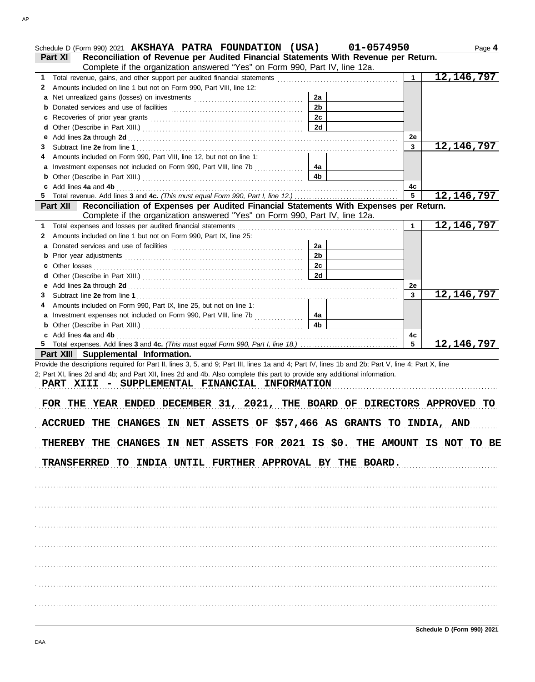|   | Schedule D (Form 990) 2021 AKSHAYA PATRA FOUNDATION (USA) 01-0574950<br>Part XI Reconciliation of Revenue per Audited Financial Statements With Revenue per Return.                                                            |                |    |    |
|---|--------------------------------------------------------------------------------------------------------------------------------------------------------------------------------------------------------------------------------|----------------|----|----|
|   | Complete if the organization answered "Yes" on Form 990, Part IV, line 12a.                                                                                                                                                    |                |    |    |
| 1 | Total revenue, gains, and other support per audited financial statements [111] [11] Total revenue, [11] Total revenue of the statements [11] Total revenue of the statements [11] Total revenue of the statements in the state |                |    | 12 |
| 2 | Amounts included on line 1 but not on Form 990, Part VIII, line 12:                                                                                                                                                            |                |    |    |
|   |                                                                                                                                                                                                                                | 2a             |    |    |
|   |                                                                                                                                                                                                                                | 2 <sub>b</sub> |    |    |
|   |                                                                                                                                                                                                                                | 2c             |    |    |
|   |                                                                                                                                                                                                                                | 2d             |    |    |
|   |                                                                                                                                                                                                                                |                | 2е |    |
| 3 |                                                                                                                                                                                                                                |                | 3  | 12 |
| 4 | Amounts included on Form 990, Part VIII, line 12, but not on line 1:                                                                                                                                                           |                |    |    |
|   | a Investment expenses not included on Form 990, Part VIII, line 7b                                                                                                                                                             | 4a             |    |    |
|   |                                                                                                                                                                                                                                | 4b.            |    |    |
|   | c Add lines 4a and 4b                                                                                                                                                                                                          |                | 4c |    |
|   |                                                                                                                                                                                                                                |                | 5  | 12 |
|   | Part XII Reconciliation of Expenses per Audited Financial Statements With Expenses per Return.                                                                                                                                 |                |    |    |

| Complete if the organization answered "Yes" on Form 990, Part IV, line 12a.                                                                                                                                                                                            |    |    |              |
|------------------------------------------------------------------------------------------------------------------------------------------------------------------------------------------------------------------------------------------------------------------------|----|----|--------------|
| 1 Total expenses and losses per audited financial statements                                                                                                                                                                                                           |    |    | 12, 146, 797 |
| 2 Amounts included on line 1 but not on Form 990, Part IX, line 25:                                                                                                                                                                                                    |    |    |              |
| a Donated services and use of facilities                                                                                                                                                                                                                               | 2a |    |              |
|                                                                                                                                                                                                                                                                        | 2b |    |              |
| c Other losses <b>contracts</b> of the losses <b>contracts</b> of the losses <b>contracts</b> of the losses <b>contracts</b> of the losses <b>contracts</b> of the losses <b>contracts</b> of the losses <b>contracts</b> of the losses <b>contracts</b> of the losses | 2c |    |              |
|                                                                                                                                                                                                                                                                        | 2d |    |              |
|                                                                                                                                                                                                                                                                        |    | 2e |              |
|                                                                                                                                                                                                                                                                        |    |    | 12, 146, 797 |
| 4 Amounts included on Form 990, Part IX, line 25, but not on line 1:                                                                                                                                                                                                   |    |    |              |
| a Investment expenses not included on Form 990, Part VIII, line 7b                                                                                                                                                                                                     | 4а |    |              |
| <b>b</b> Other (Describe in Part XIII.) <b>CONSIDENT Description Description Description Description Description Description Description Description Description Description Description Description Descri</b>                                                        | 4b |    |              |
| c Add lines 4a and 4b                                                                                                                                                                                                                                                  |    | 4c |              |
|                                                                                                                                                                                                                                                                        |    |    |              |

**Part XIII Supplemental Information.** Provide the descriptions required for Part II, lines 3, 5, and 9; Part III, lines 1a and 4; Part IV, lines 1b and 2b; Part V, line 4; Part X, line 2; Part XI, lines 2d and 4b; and Part XII, lines 2d and 4b. Also complete this part to provide any additional information.

**5** Total expenses. Add lines **3** and **4c.** *(This must equal Form 990, Part I, line 18.)* . . . . . . . . . . . . . . . . . . . . . . . . . . . . . . . . . .

PART XIII - SUPPLEMENTAL FINANCIAL INFORMATION

FOR THE YEAR ENDED DECEMBER 31, 2021, THE BOARD OF DIRECTORS APPROVED TO ACCRUED THE CHANGES IN NET ASSETS OF \$57,466 AS GRANTS TO INDIA, AND THEREBY THE CHANGES IN NET ASSETS FOR 2021 IS \$0. THE AMOUNT IS NOT TO BE TRANSFERRED TO INDIA UNTIL FURTHER APPROVAL BY THE BOARD.

. . . . . . . . . . . . . . . . . . . . . . . . . . . . . . . . . . . . . . . . . . . . . . . . . . . . . . . . . . . . . . . . . . . . . . . . . . . . . . . . . . . . . . . . . . . . . . . . . . . . . . . . . . . . . . . . . . . . . . . . . . . . . . . . . . . . . . . . . . . . . . . . . . . . . . . . . . . . . . . . .

. . . . . . . . . . . . . . . . . . . . . . . . . . . . . . . . . . . . . . . . . . . . . . . . . . . . . . . . . . . . . . . . . . . . . . . . . . . . . . . . . . . . . . . . . . . . . . . . . . . . . . . . . . . . . . . . . . . . . . . . . . . . . . . . . . . . . . . . . . . . . . . . . . . . . . . . . . . . . . . . . . . . . . . . . . . . . . . . . . . . . . . . . . . . . . . . . . . . . . . . . . . . . . . . . . . . . . . . . . . . . . . . . . . . . . . . . . . . . . . . . . . . . . . . . . . . . . . . . . . . . . . . . . . . . . . . . . . . . . . . . . . . . . . . . . . . . . . . . . . . . . . . . . . . . . . . . . . . . . . . . . . . . . . . . . . . . . . . . . . . . . . . . . . . . . . . . . . . . . . . . . . . . . . . . . . . . . . . . . . . . . . . . . . . . . . . . . . . . . . . . . . . . . . . . . . . . . . . . . . . . . . . . . . . . . . . . . . . . . . . . . . . . . . . . . . . . . . . . . . . . . . . . . . . . . . . . . . . . . . . . . . . . . . . . . . . . . . . . . . . . . . . . . . . . . . . . . . . . . . . . . . . . . . . . . . . . . . . . . . . . . . . . . . . . . . . . . . . . . . . . . . . . . . . . . . . . . . . . . . . . . . . . . . . . . . . . . . . . . . . . . . . . . . . . . . . . . . . . . . . . . . . . . . . . . . . . . . . . . . . . . . . . . . . . . . . . . . . . . . . . . . . . . . . . . . . . . . . . . . . . . . . . . . . . . . . . . . . . . . . . . . . . . . . . . . . . . . . . . . . . . . . . . . . . . . . . . . . . . . . . . . . . . . . . . . . . . . . . . . . . . . . . . . . . . . . . . . . . . . . . . . . . . . . . . . . . . . . . . . . . . . . . . . . . . . . . . . . . . . . . . . . . . . . . . . . . . . . . . . . . . . . . . . . . . . . . . . . . . . . . . . . . . . . . . . . . . . . . . . . . . . . . . . . . . . . . . . . . . . . . . . . . . . . . . . . . . . . . . . . . . . . . . . . . . . . . . . . . . . . . . . . . . . . . . . . . . . . . . . . . . . . . .

**5 12,146,797**

Page **4**

**12,146,797**

**12,146,797**

**12,146,797**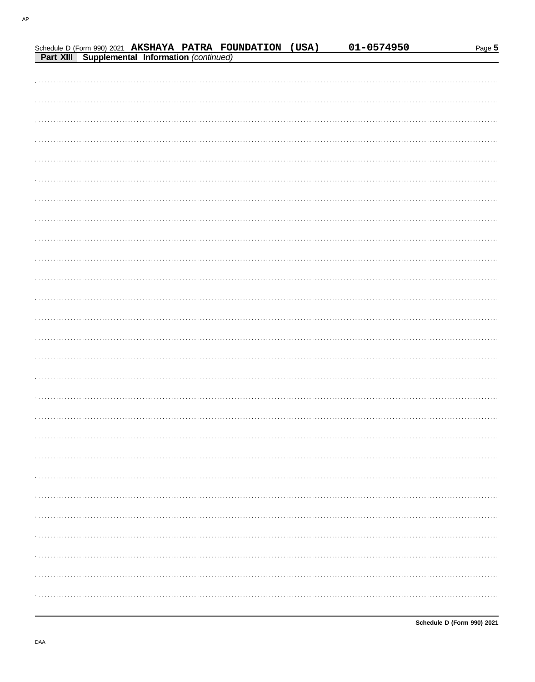|                                                |  | Schedule D (Form 990) 2021 AKSHAYA PATRA FOUNDATION (USA) | 01-0574950 | Page 5 |
|------------------------------------------------|--|-----------------------------------------------------------|------------|--------|
| Part XIII Supplemental Information (continued) |  |                                                           |            |        |
|                                                |  |                                                           |            |        |
|                                                |  |                                                           |            |        |
|                                                |  |                                                           |            |        |
|                                                |  |                                                           |            |        |
|                                                |  |                                                           |            |        |
|                                                |  |                                                           |            |        |
|                                                |  |                                                           |            |        |
|                                                |  |                                                           |            |        |
|                                                |  |                                                           |            |        |
|                                                |  |                                                           |            |        |
|                                                |  |                                                           |            |        |
|                                                |  |                                                           |            |        |
|                                                |  |                                                           |            |        |
|                                                |  |                                                           |            |        |
|                                                |  |                                                           |            |        |
|                                                |  |                                                           |            |        |
|                                                |  |                                                           |            |        |
|                                                |  |                                                           |            |        |
|                                                |  |                                                           |            |        |
|                                                |  |                                                           |            |        |
|                                                |  |                                                           |            |        |
|                                                |  |                                                           |            |        |
|                                                |  |                                                           |            |        |
|                                                |  |                                                           |            |        |
|                                                |  |                                                           |            |        |
|                                                |  |                                                           |            |        |
|                                                |  |                                                           |            |        |
|                                                |  |                                                           |            |        |
|                                                |  |                                                           |            |        |
|                                                |  |                                                           |            |        |
|                                                |  |                                                           |            |        |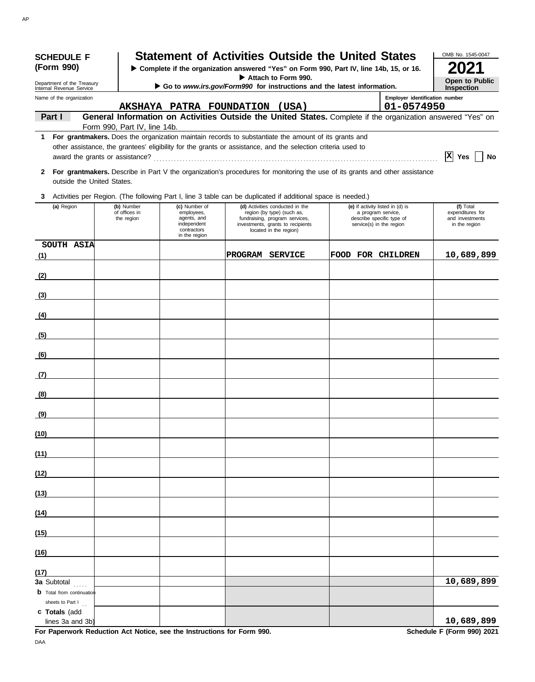| <b>SCHEDULE F</b><br>(Form 990)                      |                                           |                                                                                           | <b>Statement of Activities Outside the United States</b><br>> Complete if the organization answered "Yes" on Form 990, Part IV, line 14b, 15, or 16.                                                                 |                                                                                                                 |                                | OMB No. 1545-0047                                                 |
|------------------------------------------------------|-------------------------------------------|-------------------------------------------------------------------------------------------|----------------------------------------------------------------------------------------------------------------------------------------------------------------------------------------------------------------------|-----------------------------------------------------------------------------------------------------------------|--------------------------------|-------------------------------------------------------------------|
| Department of the Treasury                           |                                           |                                                                                           | Attach to Form 990.                                                                                                                                                                                                  |                                                                                                                 |                                | <b>Open to Public</b>                                             |
| Internal Revenue Service<br>Name of the organization |                                           |                                                                                           | Go to www.irs.gov/Form990 for instructions and the latest information.                                                                                                                                               |                                                                                                                 | Employer identification number | <b>Inspection</b>                                                 |
| Part I                                               |                                           |                                                                                           | AKSHAYA PATRA FOUNDATION (USA)<br>General Information on Activities Outside the United States. Complete if the organization answered "Yes" on                                                                        |                                                                                                                 | 01-0574950                     |                                                                   |
|                                                      | Form 990, Part IV, line 14b.              |                                                                                           |                                                                                                                                                                                                                      |                                                                                                                 |                                |                                                                   |
| 1.                                                   |                                           |                                                                                           | For grantmakers. Does the organization maintain records to substantiate the amount of its grants and<br>other assistance, the grantees' eligibility for the grants or assistance, and the selection criteria used to |                                                                                                                 |                                | $ X $ Yes $ $<br>No                                               |
| outside the United States.                           |                                           |                                                                                           | 2 For grantmakers. Describe in Part V the organization's procedures for monitoring the use of its grants and other assistance                                                                                        |                                                                                                                 |                                |                                                                   |
| 3                                                    |                                           |                                                                                           | Activities per Region. (The following Part I, line 3 table can be duplicated if additional space is needed.)                                                                                                         |                                                                                                                 |                                |                                                                   |
| (a) Region                                           | (b) Number<br>of offices in<br>the region | (c) Number of<br>employees,<br>agents, and<br>independent<br>contractors<br>in the region | (d) Activities conducted in the<br>region (by type) (such as,<br>fundraising, program services,<br>investments, grants to recipients<br>located in the region)                                                       | (e) If activity listed in (d) is<br>a program service,<br>describe specific type of<br>service(s) in the region |                                | (f) Total<br>expenditures for<br>and investments<br>in the region |
| SOUTH ASIA<br>(1)                                    |                                           |                                                                                           | PROGRAM SERVICE                                                                                                                                                                                                      | <b>FOOD FOR CHILDREN</b>                                                                                        |                                | 10,689,899                                                        |
| (2)                                                  |                                           |                                                                                           |                                                                                                                                                                                                                      |                                                                                                                 |                                |                                                                   |
| (3)                                                  |                                           |                                                                                           |                                                                                                                                                                                                                      |                                                                                                                 |                                |                                                                   |
| (4)                                                  |                                           |                                                                                           |                                                                                                                                                                                                                      |                                                                                                                 |                                |                                                                   |
| (5)                                                  |                                           |                                                                                           |                                                                                                                                                                                                                      |                                                                                                                 |                                |                                                                   |
| (6)                                                  |                                           |                                                                                           |                                                                                                                                                                                                                      |                                                                                                                 |                                |                                                                   |
| (7)                                                  |                                           |                                                                                           |                                                                                                                                                                                                                      |                                                                                                                 |                                |                                                                   |
| (8)                                                  |                                           |                                                                                           |                                                                                                                                                                                                                      |                                                                                                                 |                                |                                                                   |
|                                                      |                                           |                                                                                           |                                                                                                                                                                                                                      |                                                                                                                 |                                |                                                                   |
| <u>(9)</u>                                           |                                           |                                                                                           |                                                                                                                                                                                                                      |                                                                                                                 |                                |                                                                   |
| (10)                                                 |                                           |                                                                                           |                                                                                                                                                                                                                      |                                                                                                                 |                                |                                                                   |
| (11)                                                 |                                           |                                                                                           |                                                                                                                                                                                                                      |                                                                                                                 |                                |                                                                   |
| (12)                                                 |                                           |                                                                                           |                                                                                                                                                                                                                      |                                                                                                                 |                                |                                                                   |
| (13)                                                 |                                           |                                                                                           |                                                                                                                                                                                                                      |                                                                                                                 |                                |                                                                   |
| (14)                                                 |                                           |                                                                                           |                                                                                                                                                                                                                      |                                                                                                                 |                                |                                                                   |
| (15)                                                 |                                           |                                                                                           |                                                                                                                                                                                                                      |                                                                                                                 |                                |                                                                   |
| (16)                                                 |                                           |                                                                                           |                                                                                                                                                                                                                      |                                                                                                                 |                                |                                                                   |
| (17)<br>3a Subtotal                                  |                                           |                                                                                           |                                                                                                                                                                                                                      |                                                                                                                 |                                | 10,689,899                                                        |
| <b>b</b> Total from continuation<br>sheets to Part I |                                           |                                                                                           |                                                                                                                                                                                                                      |                                                                                                                 |                                |                                                                   |
| c Totals (add<br>lines 3a and 3b)                    |                                           |                                                                                           |                                                                                                                                                                                                                      |                                                                                                                 |                                | 10,689,899                                                        |

For Paperwork Reduction Act Notice, see the Instructions for Form 990. DAA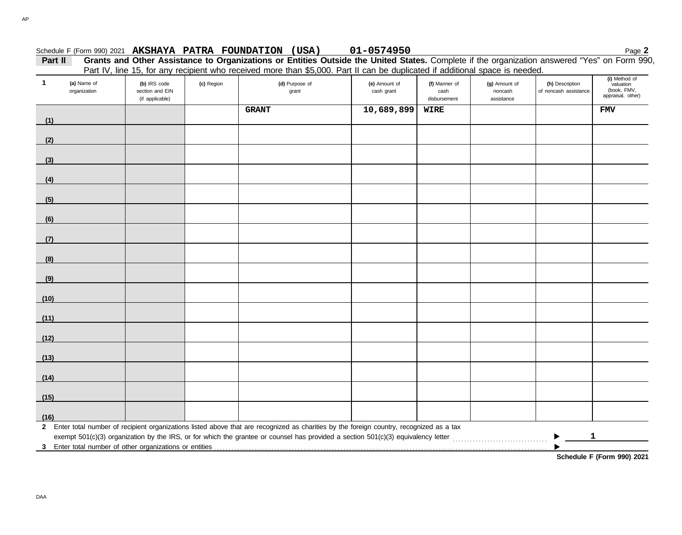## Schedule F (Form 990) 2021 Page **2 AKSHAYA PATRA FOUNDATION (USA) 01-0574950**

**Part II Grants and Other Assistance to Organizations or Entities Outside the United States.** Complete if the organization answered "Yes" on Form 990, Part IV, line 15, for any recipient who received more than \$5,000. Part II can be duplicated if additional space is needed.

| (i) Method of<br>valuation<br>$\mathbf 1$<br>(a) Name of<br>(b) IRS code<br>(c) Region<br>(d) Purpose of<br>(e) Amount of<br>(f) Manner of<br>(h) Description<br>(g) Amount of<br>(book, FMV,<br>organization<br>section and EIN<br>cash grant<br>cash<br>noncash<br>of noncash assistance<br>grant<br>appraisal, other)<br>(if applicable)<br>disbursement<br>assistance<br>10,689,899<br><b>GRANT</b><br>WIRE<br><b>FMV</b><br>(1) |  |
|--------------------------------------------------------------------------------------------------------------------------------------------------------------------------------------------------------------------------------------------------------------------------------------------------------------------------------------------------------------------------------------------------------------------------------------|--|
|                                                                                                                                                                                                                                                                                                                                                                                                                                      |  |
|                                                                                                                                                                                                                                                                                                                                                                                                                                      |  |
|                                                                                                                                                                                                                                                                                                                                                                                                                                      |  |
| (2)                                                                                                                                                                                                                                                                                                                                                                                                                                  |  |
| (3)                                                                                                                                                                                                                                                                                                                                                                                                                                  |  |
| (4)                                                                                                                                                                                                                                                                                                                                                                                                                                  |  |
| (5)                                                                                                                                                                                                                                                                                                                                                                                                                                  |  |
| (6)                                                                                                                                                                                                                                                                                                                                                                                                                                  |  |
| (7)                                                                                                                                                                                                                                                                                                                                                                                                                                  |  |
|                                                                                                                                                                                                                                                                                                                                                                                                                                      |  |
| (8)                                                                                                                                                                                                                                                                                                                                                                                                                                  |  |
| (9)                                                                                                                                                                                                                                                                                                                                                                                                                                  |  |
| (10)                                                                                                                                                                                                                                                                                                                                                                                                                                 |  |
| (11)                                                                                                                                                                                                                                                                                                                                                                                                                                 |  |
| (12)                                                                                                                                                                                                                                                                                                                                                                                                                                 |  |
| (13)                                                                                                                                                                                                                                                                                                                                                                                                                                 |  |
| (14)                                                                                                                                                                                                                                                                                                                                                                                                                                 |  |
| (15)                                                                                                                                                                                                                                                                                                                                                                                                                                 |  |
|                                                                                                                                                                                                                                                                                                                                                                                                                                      |  |
| (16)<br>2 Enter total number of recipient organizations listed above that are recognized as charities by the foreign country, recognized as a tax                                                                                                                                                                                                                                                                                    |  |
| $\mathbf{1}$                                                                                                                                                                                                                                                                                                                                                                                                                         |  |
|                                                                                                                                                                                                                                                                                                                                                                                                                                      |  |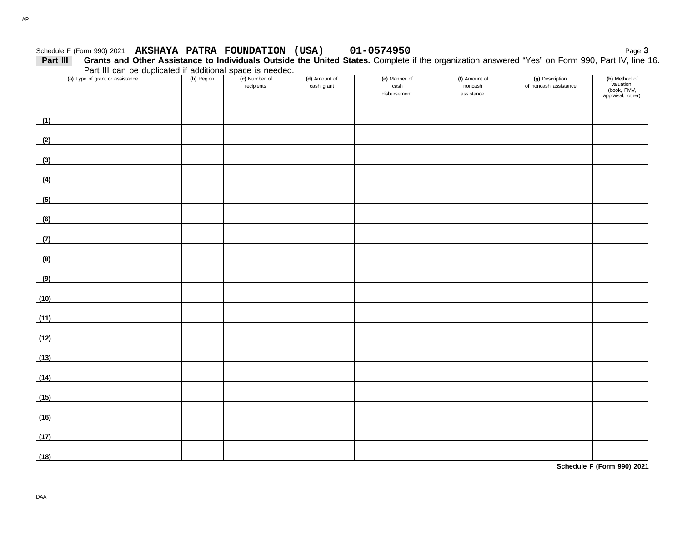## Schedule F (Form 990) 2021 Page **3 AKSHAYA PATRA FOUNDATION (USA) 01-0574950**

**Part III Grants and Other Assistance to Individuals Outside the United States.** Complete if the organization answered "Yes" on Form 990, Part IV, line 16. Part III can be duplicated if additional space is needed.

|      | Part in can be duplicated if additional space is needed.                                                             |            |                             |                             |                                       |                                        |                                          |                                                                |
|------|----------------------------------------------------------------------------------------------------------------------|------------|-----------------------------|-----------------------------|---------------------------------------|----------------------------------------|------------------------------------------|----------------------------------------------------------------|
|      | (a) Type of grant or assistance                                                                                      | (b) Region | (c) Number of<br>recipients | (d) Amount of<br>cash grant | (e) Manner of<br>cash<br>disbursement | (f) Amount of<br>noncash<br>assistance | (g) Description<br>of noncash assistance | (h) Method of<br>valuation<br>(book, FMV,<br>appraisal, other) |
| (1)  |                                                                                                                      |            |                             |                             |                                       |                                        |                                          |                                                                |
| (2)  | <u> 1980 - Johann Barbara, martxa al</u>                                                                             |            |                             |                             |                                       |                                        |                                          |                                                                |
| (3)  |                                                                                                                      |            |                             |                             |                                       |                                        |                                          |                                                                |
| (4)  | <u> 1989 - Johann Barn, mars eta bat erroman erroman erroman erroman erroman erroman erroman erroman erroman err</u> |            |                             |                             |                                       |                                        |                                          |                                                                |
| (5)  |                                                                                                                      |            |                             |                             |                                       |                                        |                                          |                                                                |
| (6)  |                                                                                                                      |            |                             |                             |                                       |                                        |                                          |                                                                |
| (7)  | and the control of the control of the                                                                                |            |                             |                             |                                       |                                        |                                          |                                                                |
| (8)  |                                                                                                                      |            |                             |                             |                                       |                                        |                                          |                                                                |
|      |                                                                                                                      |            |                             |                             |                                       |                                        |                                          |                                                                |
| (9)  |                                                                                                                      |            |                             |                             |                                       |                                        |                                          |                                                                |
| (10) | <u> 1986 - Jan Stein Stein Stein Stein Stein Stein Stein Stein Stein Stein Stein Stein Stein Stein Stein Stein S</u> |            |                             |                             |                                       |                                        |                                          |                                                                |
| (11) |                                                                                                                      |            |                             |                             |                                       |                                        |                                          |                                                                |
| (12) |                                                                                                                      |            |                             |                             |                                       |                                        |                                          |                                                                |
| (13) |                                                                                                                      |            |                             |                             |                                       |                                        |                                          |                                                                |
| (14) |                                                                                                                      |            |                             |                             |                                       |                                        |                                          |                                                                |
| (15) |                                                                                                                      |            |                             |                             |                                       |                                        |                                          |                                                                |
| (16) |                                                                                                                      |            |                             |                             |                                       |                                        |                                          |                                                                |
| (17) |                                                                                                                      |            |                             |                             |                                       |                                        |                                          |                                                                |
| (18) |                                                                                                                      |            |                             |                             |                                       |                                        |                                          |                                                                |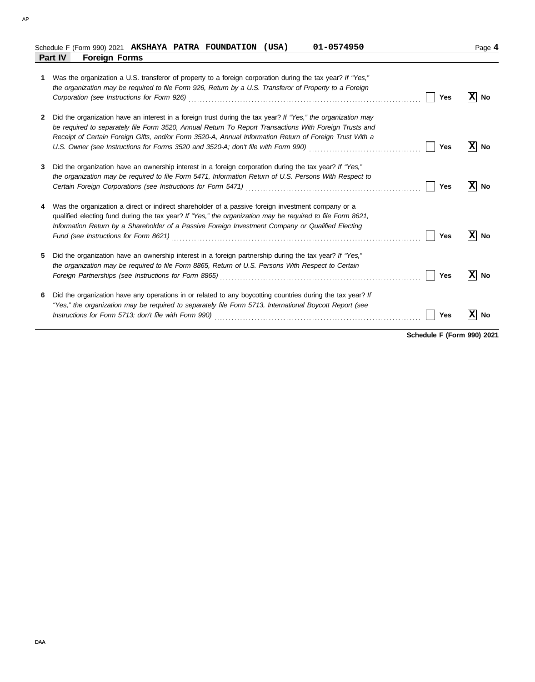| Schedule F (Form 990) 2021             |  | AKSHAYA PATRA FOUNDATION | (USA, | 01-0574950 | Page |
|----------------------------------------|--|--------------------------|-------|------------|------|
| <b>Part IV</b><br><b>Foreign Forms</b> |  |                          |       |            |      |

|   | Was the organization a U.S. transferor of property to a foreign corporation during the tax year? If "Yes,"<br>the organization may be required to file Form 926, Return by a U.S. Transferor of Property to a Foreign<br>Corporation (see Instructions for Form 926) Material Corporation (see Instruction of See Instructions for Form 926)                                                                                                        | Yes | No |
|---|-----------------------------------------------------------------------------------------------------------------------------------------------------------------------------------------------------------------------------------------------------------------------------------------------------------------------------------------------------------------------------------------------------------------------------------------------------|-----|----|
| 2 | Did the organization have an interest in a foreign trust during the tax year? If "Yes," the organization may<br>be required to separately file Form 3520, Annual Return To Report Transactions With Foreign Trusts and<br>Receipt of Certain Foreign Gifts, and/or Form 3520-A, Annual Information Return of Foreign Trust With a<br>U.S. Owner (see Instructions for Forms 3520 and 3520-A; don't file with Form 990) [[[[[[[[[[[[[[[[[[[[[[[[[[[[ | Yes | No |
| 3 | Did the organization have an ownership interest in a foreign corporation during the tax year? If "Yes,"<br>the organization may be required to file Form 5471, Information Return of U.S. Persons With Respect to<br>Certain Foreign Corporations (see Instructions for Form 5471) [[20] Cartain Corporation Corporations (see Instructions for Form 5471) [[20] Cartain Corporations Corporations (see Instructions of Termin 2011 of Termin 2012  | Yes | No |
| 4 | Was the organization a direct or indirect shareholder of a passive foreign investment company or a<br>qualified electing fund during the tax year? If "Yes," the organization may be required to file Form 8621,<br>Information Return by a Shareholder of a Passive Foreign Investment Company or Qualified Electing                                                                                                                               | Yes | No |
| 5 | Did the organization have an ownership interest in a foreign partnership during the tax year? If "Yes,"<br>the organization may be required to file Form 8865, Return of U.S. Persons With Respect to Certain<br>Foreign Partnerships (see Instructions for Form 8865) [11] Conserved Conserved Partners Partnerships (see Instructions for Form 8865)                                                                                              | Yes | No |
| 6 | Did the organization have any operations in or related to any boycotting countries during the tax year? If<br>"Yes," the organization may be required to separately file Form 5713, International Boycott Report (see                                                                                                                                                                                                                               | Yes | Nο |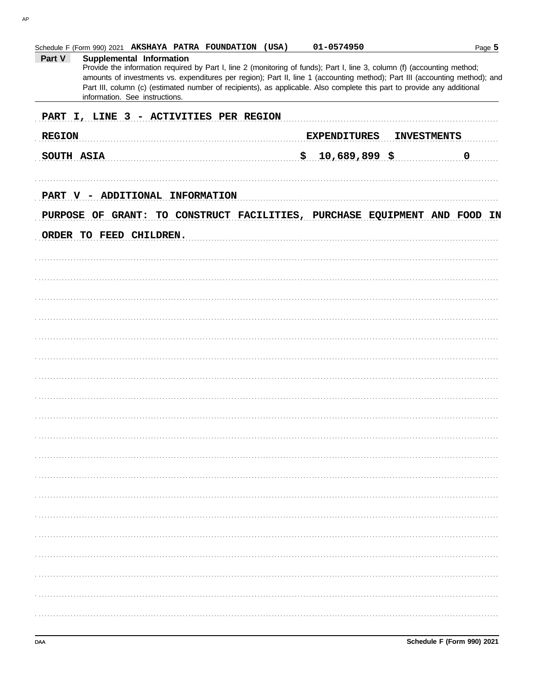Part V

**REGION** 

SOUTH ASIA

Schedule F (Form 990) 2021 AKSHAYA PATRA FOUNDATION (USA)

Supplemental Information

information. See instructions.

|   |  |  |                         | PART V - ADDITIONAL INFORMATION |  |                                                                           |  |  |  |
|---|--|--|-------------------------|---------------------------------|--|---------------------------------------------------------------------------|--|--|--|
|   |  |  |                         |                                 |  | PURPOSE OF GRANT: TO CONSTRUCT FACILITIES, PURCHASE EQUIPMENT AND FOOD IN |  |  |  |
|   |  |  | ORDER TO FEED CHILDREN. |                                 |  |                                                                           |  |  |  |
|   |  |  |                         |                                 |  |                                                                           |  |  |  |
|   |  |  |                         |                                 |  |                                                                           |  |  |  |
|   |  |  |                         |                                 |  |                                                                           |  |  |  |
|   |  |  |                         |                                 |  |                                                                           |  |  |  |
|   |  |  |                         |                                 |  |                                                                           |  |  |  |
|   |  |  |                         |                                 |  |                                                                           |  |  |  |
|   |  |  |                         |                                 |  |                                                                           |  |  |  |
|   |  |  |                         |                                 |  |                                                                           |  |  |  |
|   |  |  |                         |                                 |  |                                                                           |  |  |  |
|   |  |  |                         |                                 |  |                                                                           |  |  |  |
|   |  |  |                         |                                 |  |                                                                           |  |  |  |
|   |  |  |                         |                                 |  |                                                                           |  |  |  |
|   |  |  |                         |                                 |  |                                                                           |  |  |  |
|   |  |  |                         |                                 |  |                                                                           |  |  |  |
|   |  |  |                         |                                 |  |                                                                           |  |  |  |
|   |  |  |                         |                                 |  |                                                                           |  |  |  |
|   |  |  |                         |                                 |  |                                                                           |  |  |  |
| . |  |  |                         |                                 |  |                                                                           |  |  |  |

01-0574950

 $$10,689,899$  \$

Provide the information required by Part I, line 2 (monitoring of funds); Part I, line 3, column (f) (accounting method; amounts of investments vs. expenditures per region); Part II, line 1 (accounting method); Part III (accounting method); and Part III, column (c) (estimated number of recipients), as applicable. Also complete this part to provide any additional

PART I, LINE 3 - ACTIVITIES PER REGION

EXPENDITURES

 $\overline{0}$ 

**INVESTMENTS**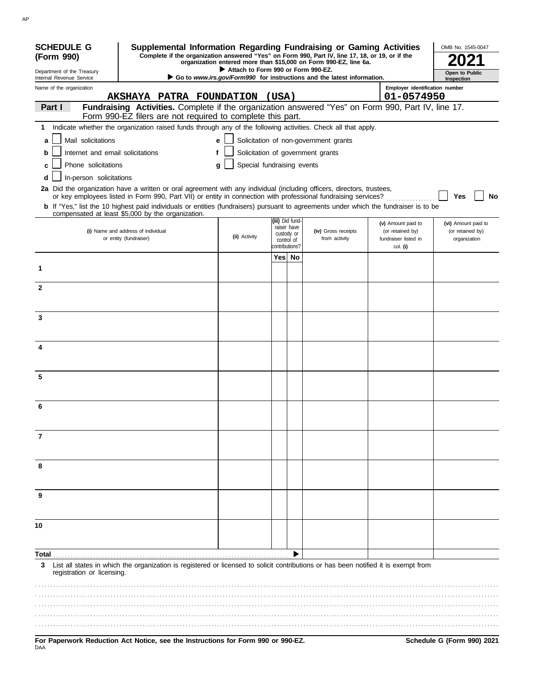| <b>SCHEDULE G</b>                                    | Supplemental Information Regarding Fundraising or Gaming Activities                                                                                                                                                                      |                                    |                                            |                                                                               |                                                      | OMB No. 1545-0047                |
|------------------------------------------------------|------------------------------------------------------------------------------------------------------------------------------------------------------------------------------------------------------------------------------------------|------------------------------------|--------------------------------------------|-------------------------------------------------------------------------------|------------------------------------------------------|----------------------------------|
| (Form 990)                                           | Complete if the organization answered "Yes" on Form 990, Part IV, line 17, 18, or 19, or if the                                                                                                                                          |                                    |                                            | organization entered more than \$15,000 on Form 990-EZ, line 6a.              |                                                      |                                  |
| Department of the Treasury                           |                                                                                                                                                                                                                                          | Attach to Form 990 or Form 990-EZ. |                                            |                                                                               |                                                      | Open to Public                   |
| Internal Revenue Service<br>Name of the organization | AKSHAYA PATRA FOUNDATION                                                                                                                                                                                                                 |                                    | (USA)                                      | Go to <i>www.irs.gov/Form990</i> for instructions and the latest information. | Employer identification number<br>01-0574950         | Inspection                       |
| Part I                                               | Fundraising Activities. Complete if the organization answered "Yes" on Form 990, Part IV, line 17.                                                                                                                                       |                                    |                                            |                                                                               |                                                      |                                  |
|                                                      | Form 990-EZ filers are not required to complete this part.                                                                                                                                                                               |                                    |                                            |                                                                               |                                                      |                                  |
|                                                      | 1 Indicate whether the organization raised funds through any of the following activities. Check all that apply.                                                                                                                          |                                    |                                            |                                                                               |                                                      |                                  |
| Mail solicitations<br>a                              |                                                                                                                                                                                                                                          | e                                  |                                            | Solicitation of non-government grants                                         |                                                      |                                  |
| Internet and email solicitations<br>b                |                                                                                                                                                                                                                                          |                                    |                                            | Solicitation of government grants                                             |                                                      |                                  |
| Phone solicitations<br>c                             |                                                                                                                                                                                                                                          | Special fundraising events<br>g    |                                            |                                                                               |                                                      |                                  |
| In-person solicitations<br>d                         |                                                                                                                                                                                                                                          |                                    |                                            |                                                                               |                                                      |                                  |
|                                                      | 2a Did the organization have a written or oral agreement with any individual (including officers, directors, trustees,<br>or key employees listed in Form 990, Part VII) or entity in connection with professional fundraising services? |                                    |                                            |                                                                               |                                                      | No<br>Yes                        |
|                                                      | <b>b</b> If "Yes," list the 10 highest paid individuals or entities (fundraisers) pursuant to agreements under which the fundraiser is to be<br>compensated at least \$5,000 by the organization.                                        |                                    |                                            |                                                                               |                                                      |                                  |
|                                                      |                                                                                                                                                                                                                                          |                                    | (iii) Did fund-<br>raiser have             |                                                                               | (v) Amount paid to                                   | (vi) Amount paid to              |
|                                                      | (i) Name and address of individual<br>or entity (fundraiser)                                                                                                                                                                             | (ii) Activity                      | custody or<br>control of<br>contributions? | (iv) Gross receipts<br>from activity                                          | (or retained by)<br>fundraiser listed in<br>col. (i) | (or retained by)<br>organization |
|                                                      |                                                                                                                                                                                                                                          |                                    | Yes No                                     |                                                                               |                                                      |                                  |
|                                                      |                                                                                                                                                                                                                                          |                                    |                                            |                                                                               |                                                      |                                  |
| $\mathbf{2}$                                         |                                                                                                                                                                                                                                          |                                    |                                            |                                                                               |                                                      |                                  |
| 3                                                    |                                                                                                                                                                                                                                          |                                    |                                            |                                                                               |                                                      |                                  |
|                                                      |                                                                                                                                                                                                                                          |                                    |                                            |                                                                               |                                                      |                                  |
| 4                                                    |                                                                                                                                                                                                                                          |                                    |                                            |                                                                               |                                                      |                                  |
| 5                                                    |                                                                                                                                                                                                                                          |                                    |                                            |                                                                               |                                                      |                                  |
|                                                      |                                                                                                                                                                                                                                          |                                    |                                            |                                                                               |                                                      |                                  |
|                                                      |                                                                                                                                                                                                                                          |                                    |                                            |                                                                               |                                                      |                                  |
| 7                                                    |                                                                                                                                                                                                                                          |                                    |                                            |                                                                               |                                                      |                                  |
| 8                                                    |                                                                                                                                                                                                                                          |                                    |                                            |                                                                               |                                                      |                                  |
| 9                                                    |                                                                                                                                                                                                                                          |                                    |                                            |                                                                               |                                                      |                                  |
|                                                      |                                                                                                                                                                                                                                          |                                    |                                            |                                                                               |                                                      |                                  |
| 10                                                   |                                                                                                                                                                                                                                          |                                    |                                            |                                                                               |                                                      |                                  |
| Total                                                |                                                                                                                                                                                                                                          |                                    |                                            |                                                                               |                                                      |                                  |
| 3<br>registration or licensing.                      | List all states in which the organization is registered or licensed to solicit contributions or has been notified it is exempt from                                                                                                      |                                    |                                            |                                                                               |                                                      |                                  |
|                                                      |                                                                                                                                                                                                                                          |                                    |                                            |                                                                               |                                                      |                                  |
|                                                      |                                                                                                                                                                                                                                          |                                    |                                            |                                                                               |                                                      |                                  |
|                                                      |                                                                                                                                                                                                                                          |                                    |                                            |                                                                               |                                                      |                                  |
|                                                      |                                                                                                                                                                                                                                          |                                    |                                            |                                                                               |                                                      |                                  |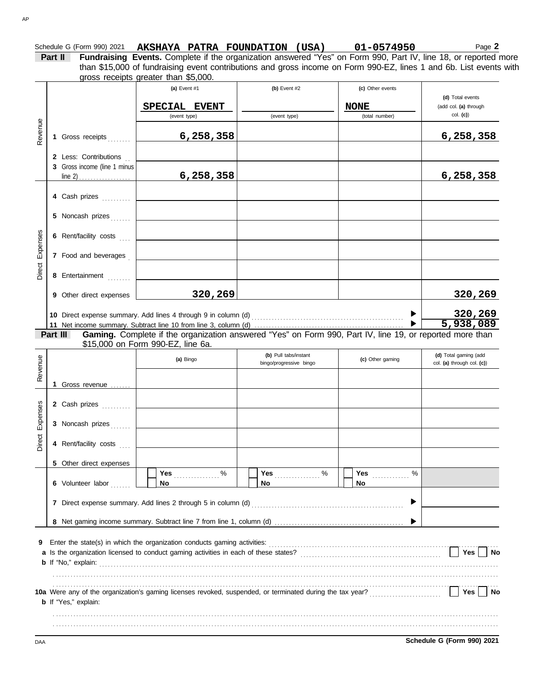|          | gross receipts greater than \$5,000.             | (a) Event #1                                                                                                                                                                                                                   | (b) Event $#2$          | (c) Other events              |                                   |
|----------|--------------------------------------------------|--------------------------------------------------------------------------------------------------------------------------------------------------------------------------------------------------------------------------------|-------------------------|-------------------------------|-----------------------------------|
|          |                                                  |                                                                                                                                                                                                                                |                         |                               | (d) Total events                  |
|          |                                                  | SPECIAL EVENT<br>(event type)                                                                                                                                                                                                  | (event type)            | <b>NONE</b><br>(total number) | (add col. (a) through<br>col. (c) |
|          |                                                  |                                                                                                                                                                                                                                |                         |                               |                                   |
|          | 1 Gross receipts                                 | 6,258,358                                                                                                                                                                                                                      |                         |                               | 6,258,358                         |
|          | 2 Less: Contributions                            |                                                                                                                                                                                                                                |                         |                               |                                   |
|          | 3 Gross income (line 1 minus                     |                                                                                                                                                                                                                                |                         |                               |                                   |
|          | line 2) . $\dots$ . $\dots$ . $\dots$ . $\qquad$ | 6,258,358                                                                                                                                                                                                                      |                         |                               | 6,258,358                         |
|          | 4 Cash prizes                                    |                                                                                                                                                                                                                                |                         |                               |                                   |
|          | 5 Noncash prizes                                 |                                                                                                                                                                                                                                |                         |                               |                                   |
|          |                                                  |                                                                                                                                                                                                                                |                         |                               |                                   |
|          | 6 Rent/facility costs                            |                                                                                                                                                                                                                                |                         |                               |                                   |
|          | 7 Food and beverages                             |                                                                                                                                                                                                                                |                         |                               |                                   |
|          | 8 Entertainment                                  |                                                                                                                                                                                                                                |                         |                               |                                   |
|          | 9 Other direct expenses                          | 320,269                                                                                                                                                                                                                        |                         |                               | 320,269                           |
|          |                                                  |                                                                                                                                                                                                                                |                         |                               |                                   |
|          |                                                  |                                                                                                                                                                                                                                |                         |                               |                                   |
|          |                                                  |                                                                                                                                                                                                                                |                         |                               |                                   |
|          |                                                  |                                                                                                                                                                                                                                |                         |                               | <u>320,269</u><br>5,938,089       |
|          |                                                  | Gaming. Complete if the organization answered "Yes" on Form 990, Part IV, line 19, or reported more than<br>\$15,000 on Form 990-EZ, line 6a.                                                                                  |                         |                               |                                   |
|          |                                                  | (a) Bingo                                                                                                                                                                                                                      | (b) Pull tabs/instant   | (c) Other gaming              | (d) Total gaming (add             |
|          |                                                  |                                                                                                                                                                                                                                | bingo/progressive bingo |                               | col. (a) through col. (c))        |
|          |                                                  |                                                                                                                                                                                                                                |                         |                               |                                   |
|          | 1 Gross revenue                                  |                                                                                                                                                                                                                                |                         |                               |                                   |
|          | 2 Cash prizes                                    |                                                                                                                                                                                                                                |                         |                               |                                   |
|          | 3 Noncash prizes                                 |                                                                                                                                                                                                                                |                         |                               |                                   |
|          | 4 Rent/facility costs                            |                                                                                                                                                                                                                                |                         |                               |                                   |
|          |                                                  |                                                                                                                                                                                                                                |                         |                               |                                   |
|          | 5 Other direct expenses                          | Yes $%$                                                                                                                                                                                                                        | Yes $%$                 | <b>Yes</b> ____________<br>%  |                                   |
|          | 6 Volunteer labor                                | No                                                                                                                                                                                                                             | No                      | No                            |                                   |
|          |                                                  | 7 Direct expense summary. Add lines 2 through 5 in column (d) [1] contently contently contently contently contently contently contently contently contently contently contently contently contently contently contently conten |                         | ▶                             |                                   |
|          |                                                  |                                                                                                                                                                                                                                |                         |                               |                                   |
|          |                                                  |                                                                                                                                                                                                                                |                         |                               |                                   |
| Part III |                                                  |                                                                                                                                                                                                                                |                         |                               |                                   |
|          |                                                  |                                                                                                                                                                                                                                |                         |                               |                                   |
|          |                                                  |                                                                                                                                                                                                                                |                         |                               | Yes   No                          |

. . . . . . . . . . . . . . . . . . . . . . . . . . . . . . . . . . . . . . . . . . . . . . . . . . . . . . . . . . . . . . . . . . . . . . . . . . . . . . . . . . . . . . . . . . . . . . . . . . . . . . . . . . . . . . . . . . . . . . . . . . . . . . . . . . . . . . . . . . . . . . . . . . . . . . . . . . .

Schedule G (Form 990) 2021 **AKSHAYA PATRA FOUNDATION (USA)** 01-0574950 **1998 1999** 2

DAA **Schedule G (Form 990) 2021**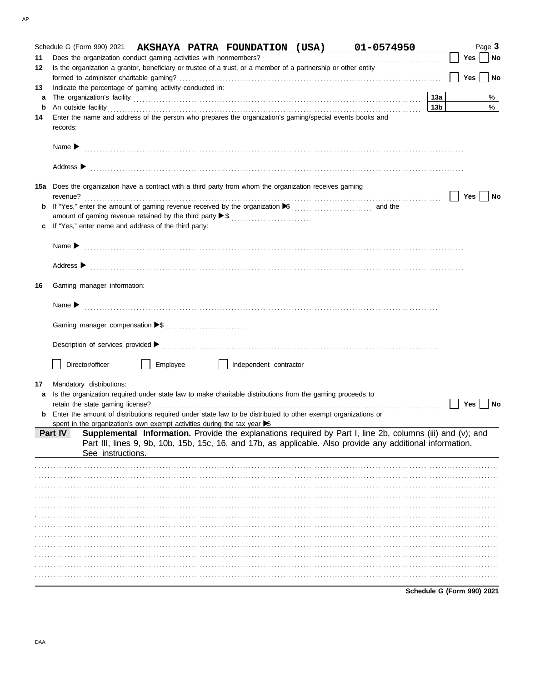|         | Schedule G (Form 990) 2021 AKSHAYA PATRA FOUNDATION (USA) 01-0574950                                                                  |          |                        |                                                                                                                                                                                                                                |                            |     | Page 3 |
|---------|---------------------------------------------------------------------------------------------------------------------------------------|----------|------------------------|--------------------------------------------------------------------------------------------------------------------------------------------------------------------------------------------------------------------------------|----------------------------|-----|--------|
| 11      |                                                                                                                                       |          |                        |                                                                                                                                                                                                                                |                            | Yes | No     |
| 12      | Is the organization a grantor, beneficiary or trustee of a trust, or a member of a partnership or other entity                        |          |                        |                                                                                                                                                                                                                                |                            |     |        |
|         |                                                                                                                                       |          |                        |                                                                                                                                                                                                                                |                            | Yes | ∣ No   |
| 13      | Indicate the percentage of gaming activity conducted in:                                                                              |          |                        |                                                                                                                                                                                                                                |                            |     |        |
| a       |                                                                                                                                       |          |                        |                                                                                                                                                                                                                                | 13a                        |     | %      |
| b       |                                                                                                                                       |          |                        | An outside facility encourance and account of the contract of the contract of the contract of the contract of the contract of the contract of the contract of the contract of the contract of the contract of the contract of  | 13 <sub>b</sub>            |     | %      |
| 14      | Enter the name and address of the person who prepares the organization's gaming/special events books and<br>records:                  |          |                        |                                                                                                                                                                                                                                |                            |     |        |
|         |                                                                                                                                       |          |                        |                                                                                                                                                                                                                                |                            |     |        |
|         |                                                                                                                                       |          |                        | Address > www.communications.com/www.communications.com/www.communications.com/www.com/www.com/www.com/www.com/                                                                                                                |                            |     |        |
|         | 15a Does the organization have a contract with a third party from whom the organization receives gaming                               |          |                        |                                                                                                                                                                                                                                |                            | Yes | No     |
|         |                                                                                                                                       |          |                        |                                                                                                                                                                                                                                |                            |     |        |
|         |                                                                                                                                       |          |                        |                                                                                                                                                                                                                                |                            |     |        |
|         | c If "Yes," enter name and address of the third party:                                                                                |          |                        |                                                                                                                                                                                                                                |                            |     |        |
|         |                                                                                                                                       |          |                        |                                                                                                                                                                                                                                |                            |     |        |
|         |                                                                                                                                       |          |                        |                                                                                                                                                                                                                                |                            |     |        |
|         |                                                                                                                                       |          |                        |                                                                                                                                                                                                                                |                            |     |        |
|         |                                                                                                                                       |          |                        | Address > the contract of the contract of the contract of the contract of the contract of the contract of the contract of the contract of the contract of the contract of the contract of the contract of the contract of the  |                            |     |        |
| 16      | Gaming manager information:                                                                                                           |          |                        |                                                                                                                                                                                                                                |                            |     |        |
|         |                                                                                                                                       |          |                        |                                                                                                                                                                                                                                |                            |     |        |
|         |                                                                                                                                       |          |                        |                                                                                                                                                                                                                                |                            |     |        |
|         |                                                                                                                                       |          |                        |                                                                                                                                                                                                                                |                            |     |        |
|         |                                                                                                                                       |          |                        |                                                                                                                                                                                                                                |                            |     |        |
|         |                                                                                                                                       |          |                        |                                                                                                                                                                                                                                |                            |     |        |
|         |                                                                                                                                       |          |                        | Description of services provided successive contract contract contract contract contract contract contract contract contract contract contract contract contract contract contract contract contract contract contract contrac |                            |     |        |
|         |                                                                                                                                       |          |                        |                                                                                                                                                                                                                                |                            |     |        |
|         | Director/officer                                                                                                                      | Employee | Independent contractor |                                                                                                                                                                                                                                |                            |     |        |
|         |                                                                                                                                       |          |                        |                                                                                                                                                                                                                                |                            |     |        |
| 17<br>a | Mandatory distributions:<br>Is the organization required under state law to make charitable distributions from the gaming proceeds to |          |                        |                                                                                                                                                                                                                                |                            |     |        |
|         |                                                                                                                                       |          |                        |                                                                                                                                                                                                                                |                            | Yes | No     |
| b       | Enter the amount of distributions required under state law to be distributed to other exempt organizations or                         |          |                        |                                                                                                                                                                                                                                |                            |     |        |
|         | spent in the organization's own exempt activities during the tax year S                                                               |          |                        |                                                                                                                                                                                                                                |                            |     |        |
|         | Part IV                                                                                                                               |          |                        | Supplemental Information. Provide the explanations required by Part I, line 2b, columns (iii) and (v); and                                                                                                                     |                            |     |        |
|         | See instructions.                                                                                                                     |          |                        | Part III, lines 9, 9b, 10b, 15b, 15c, 16, and 17b, as applicable. Also provide any additional information.                                                                                                                     |                            |     |        |
|         |                                                                                                                                       |          |                        |                                                                                                                                                                                                                                |                            |     |        |
|         |                                                                                                                                       |          |                        |                                                                                                                                                                                                                                |                            |     |        |
|         |                                                                                                                                       |          |                        |                                                                                                                                                                                                                                |                            |     |        |
|         |                                                                                                                                       |          |                        |                                                                                                                                                                                                                                |                            |     |        |
|         |                                                                                                                                       |          |                        |                                                                                                                                                                                                                                |                            |     |        |
|         |                                                                                                                                       |          |                        |                                                                                                                                                                                                                                |                            |     |        |
|         |                                                                                                                                       |          |                        |                                                                                                                                                                                                                                |                            |     |        |
|         |                                                                                                                                       |          |                        |                                                                                                                                                                                                                                |                            |     |        |
|         |                                                                                                                                       |          |                        |                                                                                                                                                                                                                                |                            |     |        |
|         |                                                                                                                                       |          |                        |                                                                                                                                                                                                                                |                            |     |        |
|         |                                                                                                                                       |          |                        |                                                                                                                                                                                                                                |                            |     |        |
|         |                                                                                                                                       |          |                        |                                                                                                                                                                                                                                |                            |     |        |
|         |                                                                                                                                       |          |                        |                                                                                                                                                                                                                                | Schedule G (Form 990) 2021 |     |        |